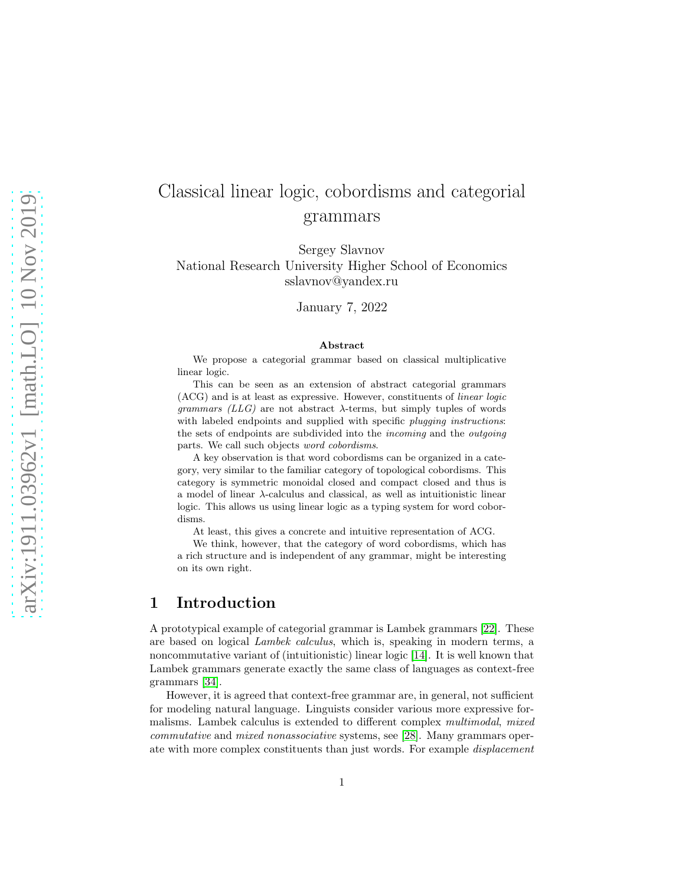# Classical linear logic, cobordisms and categorial grammars

Sergey Slavnov National Research University Higher School of Economics sslavnov@yandex.ru

January 7, 2022

#### Abstract

We propose a categorial grammar based on classical multiplicative linear logic.

This can be seen as an extension of abstract categorial grammars (ACG) and is at least as expressive. However, constituents of linear logic grammars  $(LLG)$  are not abstract  $\lambda$ -terms, but simply tuples of words with labeled endpoints and supplied with specific *plugging instructions*: the sets of endpoints are subdivided into the incoming and the outgoing parts. We call such objects word cobordisms.

A key observation is that word cobordisms can be organized in a category, very similar to the familiar category of topological cobordisms. This category is symmetric monoidal closed and compact closed and thus is a model of linear  $\lambda$ -calculus and classical, as well as intuitionistic linear logic. This allows us using linear logic as a typing system for word cobordisms.

At least, this gives a concrete and intuitive representation of ACG.

We think, however, that the category of word cobordisms, which has a rich structure and is independent of any grammar, might be interesting on its own right.

## 1 Introduction

A prototypical example of categorial grammar is Lambek grammars [\[22\]](#page-59-0). These are based on logical Lambek calculus, which is, speaking in modern terms, a noncommutative variant of (intuitionistic) linear logic [\[14\]](#page-58-0). It is well known that Lambek grammars generate exactly the same class of languages as context-free grammars [\[34\]](#page-60-0).

However, it is agreed that context-free grammar are, in general, not sufficient for modeling natural language. Linguists consider various more expressive formalisms. Lambek calculus is extended to different complex multimodal, mixed commutative and mixed nonassociative systems, see [\[28\]](#page-59-1). Many grammars operate with more complex constituents than just words. For example displacement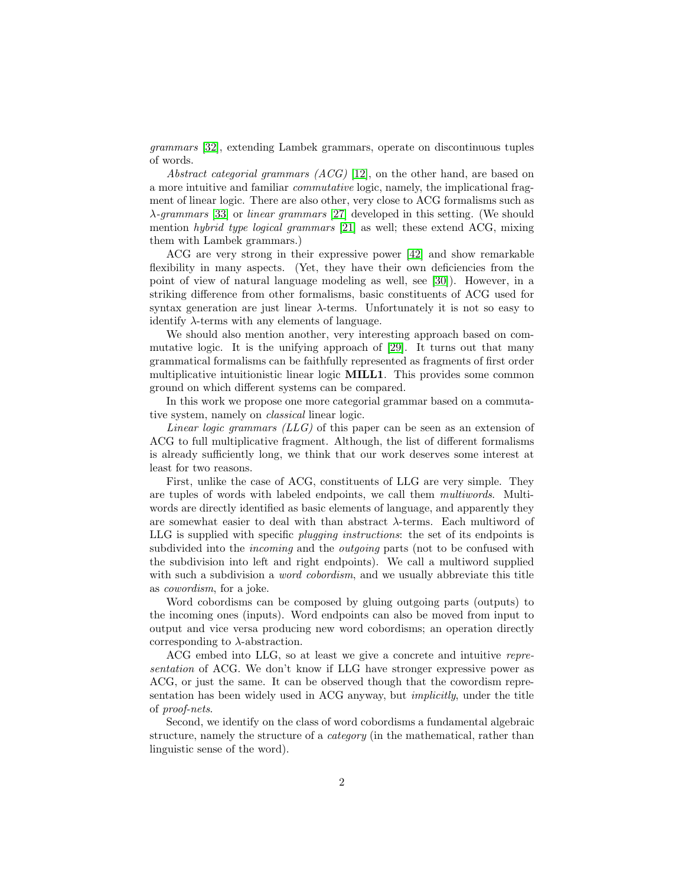grammars [\[32\]](#page-60-1), extending Lambek grammars, operate on discontinuous tuples of words.

Abstract categorial grammars  $(ACG)$  [\[12\]](#page-58-1), on the other hand, are based on a more intuitive and familiar commutative logic, namely, the implicational fragment of linear logic. There are also other, very close to ACG formalisms such as λ-grammars [\[33\]](#page-60-2) or linear grammars [\[27\]](#page-59-2) developed in this setting. (We should mention hybrid type logical grammars [\[21\]](#page-59-3) as well; these extend ACG, mixing them with Lambek grammars.)

ACG are very strong in their expressive power [\[42\]](#page-60-3) and show remarkable flexibility in many aspects. (Yet, they have their own deficiencies from the point of view of natural language modeling as well, see [\[30\]](#page-59-4)). However, in a striking difference from other formalisms, basic constituents of ACG used for syntax generation are just linear  $\lambda$ -terms. Unfortunately it is not so easy to identify  $\lambda$ -terms with any elements of language.

We should also mention another, very interesting approach based on commutative logic. It is the unifying approach of [\[29\]](#page-59-5). It turns out that many grammatical formalisms can be faithfully represented as fragments of first order multiplicative intuitionistic linear logic MILL1. This provides some common ground on which different systems can be compared.

In this work we propose one more categorial grammar based on a commutative system, namely on classical linear logic.

Linear logic grammars  $(LLG)$  of this paper can be seen as an extension of ACG to full multiplicative fragment. Although, the list of different formalisms is already sufficiently long, we think that our work deserves some interest at least for two reasons.

First, unlike the case of ACG, constituents of LLG are very simple. They are tuples of words with labeled endpoints, we call them multiwords. Multiwords are directly identified as basic elements of language, and apparently they are somewhat easier to deal with than abstract  $\lambda$ -terms. Each multiword of LLG is supplied with specific plugging instructions: the set of its endpoints is subdivided into the *incoming* and the *outgoing* parts (not to be confused with the subdivision into left and right endpoints). We call a multiword supplied with such a subdivision a *word cobordism*, and we usually abbreviate this title as cowordism, for a joke.

Word cobordisms can be composed by gluing outgoing parts (outputs) to the incoming ones (inputs). Word endpoints can also be moved from input to output and vice versa producing new word cobordisms; an operation directly corresponding to  $\lambda$ -abstraction.

ACG embed into LLG, so at least we give a concrete and intuitive representation of ACG. We don't know if LLG have stronger expressive power as ACG, or just the same. It can be observed though that the cowordism representation has been widely used in ACG anyway, but implicitly, under the title of proof-nets.

Second, we identify on the class of word cobordisms a fundamental algebraic structure, namely the structure of a category (in the mathematical, rather than linguistic sense of the word).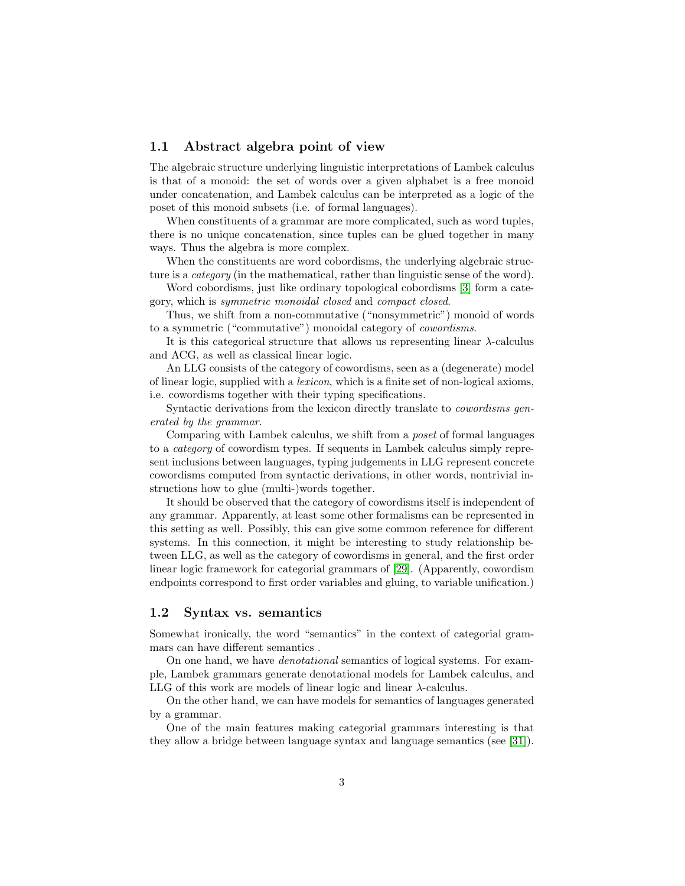## 1.1 Abstract algebra point of view

The algebraic structure underlying linguistic interpretations of Lambek calculus is that of a monoid: the set of words over a given alphabet is a free monoid under concatenation, and Lambek calculus can be interpreted as a logic of the poset of this monoid subsets (i.e. of formal languages).

When constituents of a grammar are more complicated, such as word tuples, there is no unique concatenation, since tuples can be glued together in many ways. Thus the algebra is more complex.

When the constituents are word cobordisms, the underlying algebraic structure is a *category* (in the mathematical, rather than linguistic sense of the word).

Word cobordisms, just like ordinary topological cobordisms [\[3\]](#page-57-0) form a category, which is symmetric monoidal closed and compact closed.

Thus, we shift from a non-commutative ("nonsymmetric") monoid of words to a symmetric ("commutative") monoidal category of cowordisms.

It is this categorical structure that allows us representing linear  $\lambda$ -calculus and ACG, as well as classical linear logic.

An LLG consists of the category of cowordisms, seen as a (degenerate) model of linear logic, supplied with a lexicon, which is a finite set of non-logical axioms, i.e. cowordisms together with their typing specifications.

Syntactic derivations from the lexicon directly translate to cowordisms generated by the grammar.

Comparing with Lambek calculus, we shift from a poset of formal languages to a category of cowordism types. If sequents in Lambek calculus simply represent inclusions between languages, typing judgements in LLG represent concrete cowordisms computed from syntactic derivations, in other words, nontrivial instructions how to glue (multi-)words together.

It should be observed that the category of cowordisms itself is independent of any grammar. Apparently, at least some other formalisms can be represented in this setting as well. Possibly, this can give some common reference for different systems. In this connection, it might be interesting to study relationship between LLG, as well as the category of cowordisms in general, and the first order linear logic framework for categorial grammars of [\[29\]](#page-59-5). (Apparently, cowordism endpoints correspond to first order variables and gluing, to variable unification.)

#### 1.2 Syntax vs. semantics

Somewhat ironically, the word "semantics" in the context of categorial grammars can have different semantics .

On one hand, we have denotational semantics of logical systems. For example, Lambek grammars generate denotational models for Lambek calculus, and LLG of this work are models of linear logic and linear  $\lambda$ -calculus.

On the other hand, we can have models for semantics of languages generated by a grammar.

One of the main features making categorial grammars interesting is that they allow a bridge between language syntax and language semantics (see [\[31\]](#page-60-4)).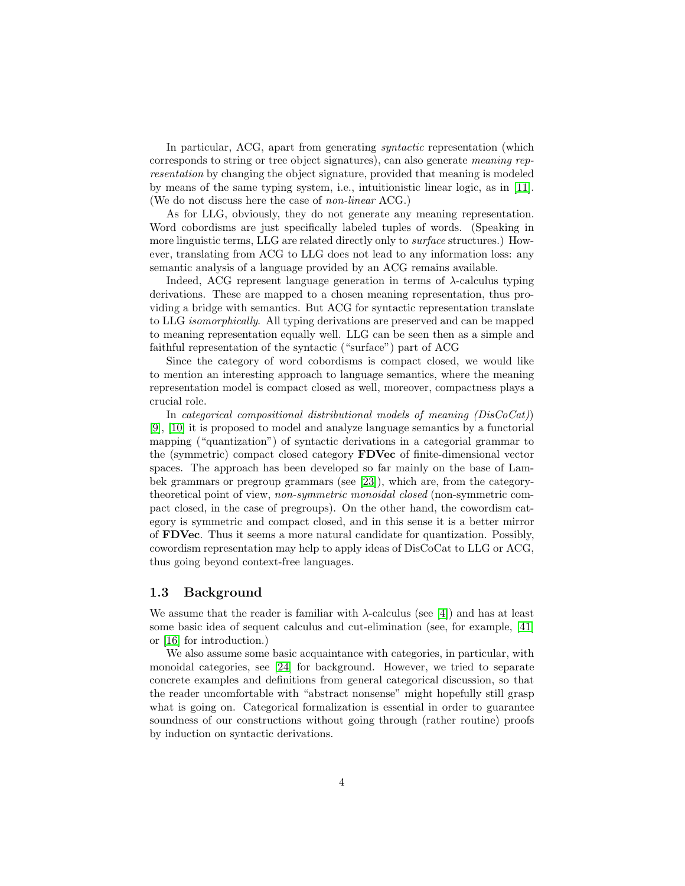In particular, ACG, apart from generating syntactic representation (which corresponds to string or tree object signatures), can also generate meaning representation by changing the object signature, provided that meaning is modeled by means of the same typing system, i.e., intuitionistic linear logic, as in [\[11\]](#page-58-2). (We do not discuss here the case of non-linear ACG.)

As for LLG, obviously, they do not generate any meaning representation. Word cobordisms are just specifically labeled tuples of words. (Speaking in more linguistic terms, LLG are related directly only to surface structures.) However, translating from ACG to LLG does not lead to any information loss: any semantic analysis of a language provided by an ACG remains available.

Indeed, ACG represent language generation in terms of  $\lambda$ -calculus typing derivations. These are mapped to a chosen meaning representation, thus providing a bridge with semantics. But ACG for syntactic representation translate to LLG isomorphically. All typing derivations are preserved and can be mapped to meaning representation equally well. LLG can be seen then as a simple and faithful representation of the syntactic ("surface") part of ACG

Since the category of word cobordisms is compact closed, we would like to mention an interesting approach to language semantics, where the meaning representation model is compact closed as well, moreover, compactness plays a crucial role.

In categorical compositional distributional models of meaning  $(DisCoCat)$ ) [\[9\]](#page-58-3), [\[10\]](#page-58-4) it is proposed to model and analyze language semantics by a functorial mapping ("quantization") of syntactic derivations in a categorial grammar to the (symmetric) compact closed category FDVec of finite-dimensional vector spaces. The approach has been developed so far mainly on the base of Lambek grammars or pregroup grammars (see [\[23\]](#page-59-6)), which are, from the categorytheoretical point of view, non-symmetric monoidal closed (non-symmetric compact closed, in the case of pregroups). On the other hand, the cowordism category is symmetric and compact closed, and in this sense it is a better mirror of FDVec. Thus it seems a more natural candidate for quantization. Possibly, cowordism representation may help to apply ideas of DisCoCat to LLG or ACG, thus going beyond context-free languages.

### 1.3 Background

We assume that the reader is familiar with  $\lambda$ -calculus (see [\[4\]](#page-58-5)) and has at least some basic idea of sequent calculus and cut-elimination (see, for example, [\[41\]](#page-60-5) or [\[16\]](#page-58-6) for introduction.)

We also assume some basic acquaintance with categories, in particular, with monoidal categories, see [\[24\]](#page-59-7) for background. However, we tried to separate concrete examples and definitions from general categorical discussion, so that the reader uncomfortable with "abstract nonsense" might hopefully still grasp what is going on. Categorical formalization is essential in order to guarantee soundness of our constructions without going through (rather routine) proofs by induction on syntactic derivations.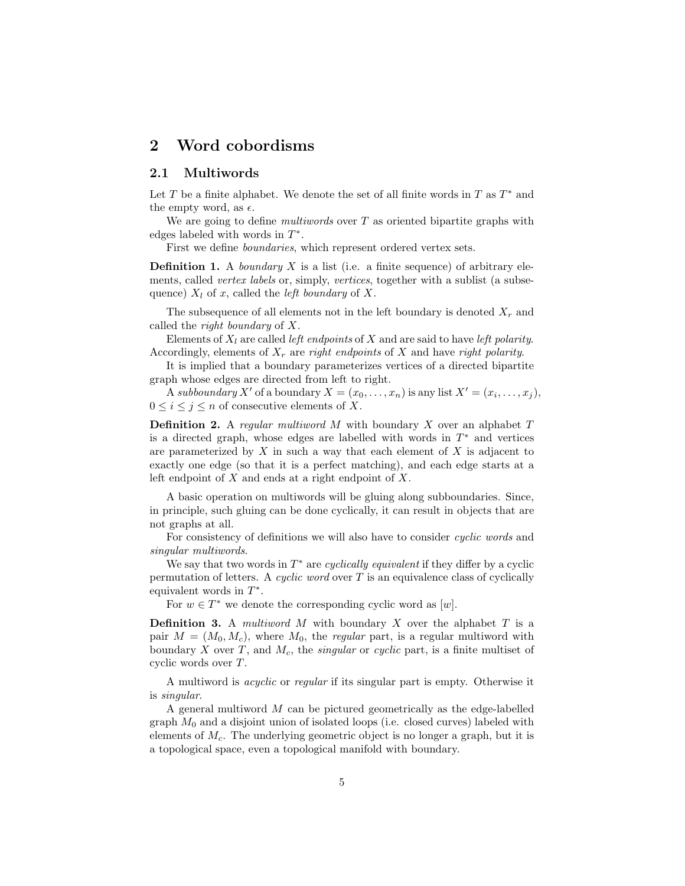## 2 Word cobordisms

## 2.1 Multiwords

Let T be a finite alphabet. We denote the set of all finite words in T as  $T^*$  and the empty word, as  $\epsilon$ .

We are going to define *multiwords* over  $T$  as oriented bipartite graphs with edges labeled with words in  $T^*$ .

First we define boundaries, which represent ordered vertex sets.

**Definition 1.** A *boundary*  $X$  is a list (i.e. a finite sequence) of arbitrary elements, called *vertex labels* or, simply, *vertices*, together with a sublist (a subsequence)  $X_l$  of x, called the *left boundary* of X.

The subsequence of all elements not in the left boundary is denoted  $X_r$  and called the right boundary of X.

Elements of  $X_l$  are called *left endpoints* of X and are said to have *left polarity*. Accordingly, elements of  $X_r$  are right endpoints of X and have right polarity.

It is implied that a boundary parameterizes vertices of a directed bipartite graph whose edges are directed from left to right.

A subboundary X' of a boundary  $X = (x_0, \ldots, x_n)$  is any list  $X' = (x_i, \ldots, x_j)$ ,  $0 \leq i \leq j \leq n$  of consecutive elements of X.

**Definition 2.** A regular multiword  $M$  with boundary  $X$  over an alphabet  $T$ is a directed graph, whose edges are labelled with words in  $T^*$  and vertices are parameterized by  $X$  in such a way that each element of  $X$  is adjacent to exactly one edge (so that it is a perfect matching), and each edge starts at a left endpoint of  $X$  and ends at a right endpoint of  $X$ .

A basic operation on multiwords will be gluing along subboundaries. Since, in principle, such gluing can be done cyclically, it can result in objects that are not graphs at all.

For consistency of definitions we will also have to consider *cyclic words* and singular multiwords.

We say that two words in  $T^*$  are *cyclically equivalent* if they differ by a cyclic permutation of letters. A cyclic word over  $T$  is an equivalence class of cyclically equivalent words in  $T^*$ .

For  $w \in T^*$  we denote the corresponding cyclic word as  $[w]$ .

**Definition 3.** A multiword M with boundary X over the alphabet  $T$  is a pair  $M = (M_0, M_c)$ , where  $M_0$ , the *regular* part, is a regular multiword with boundary X over T, and  $M_c$ , the *singular* or *cyclic* part, is a finite multiset of cyclic words over  $T$ .

A multiword is acyclic or regular if its singular part is empty. Otherwise it is singular.

A general multiword M can be pictured geometrically as the edge-labelled graph  $M_0$  and a disjoint union of isolated loops (i.e. closed curves) labeled with elements of  $M_c$ . The underlying geometric object is no longer a graph, but it is a topological space, even a topological manifold with boundary.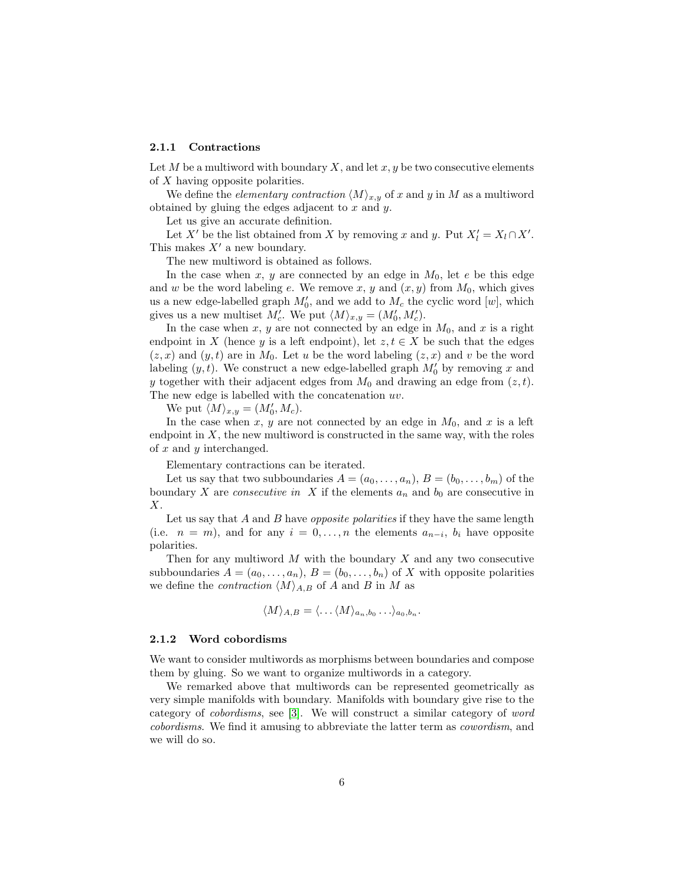#### 2.1.1 Contractions

Let M be a multiword with boundary X, and let  $x, y$  be two consecutive elements of X having opposite polarities.

We define the *elementary contraction*  $\langle M \rangle_{x,y}$  of x and y in M as a multiword obtained by gluing the edges adjacent to  $x$  and  $y$ .

Let us give an accurate definition.

Let X' be the list obtained from X by removing x and y. Put  $X'_l = X_l \cap X'$ . This makes  $X'$  a new boundary.

The new multiword is obtained as follows.

In the case when  $x, y$  are connected by an edge in  $M_0$ , let e be this edge and w be the word labeling e. We remove x, y and  $(x, y)$  from  $M_0$ , which gives us a new edge-labelled graph  $M'_0$ , and we add to  $M_c$  the cyclic word  $[w]$ , which gives us a new multiset  $M'_{c}$ . We put  $\langle M \rangle_{x,y} = (M'_{0}, M'_{c})$ .

In the case when x, y are not connected by an edge in  $M_0$ , and x is a right endpoint in X (hence y is a left endpoint), let  $z, t \in X$  be such that the edges  $(z, x)$  and  $(y, t)$  are in  $M_0$ . Let u be the word labeling  $(z, x)$  and v be the word labeling  $(y, t)$ . We construct a new edge-labelled graph  $M'_0$  by removing x and y together with their adjacent edges from  $M_0$  and drawing an edge from  $(z, t)$ . The new edge is labelled with the concatenation uv.

We put  $\langle M \rangle_{x,y} = (M'_0, M_c)$ .

In the case when x, y are not connected by an edge in  $M_0$ , and x is a left endpoint in  $X$ , the new multiword is constructed in the same way, with the roles of  $x$  and  $y$  interchanged.

Elementary contractions can be iterated.

Let us say that two subboundaries  $A = (a_0, \ldots, a_n), B = (b_0, \ldots, b_m)$  of the boundary X are *consecutive in* X if the elements  $a_n$  and  $b_0$  are consecutive in X.

Let us say that A and B have *opposite polarities* if they have the same length (i.e.  $n = m$ ), and for any  $i = 0, \ldots, n$  the elements  $a_{n-i}, b_i$  have opposite polarities.

Then for any multiword  $M$  with the boundary  $X$  and any two consecutive subboundaries  $A = (a_0, \ldots, a_n)$ ,  $B = (b_0, \ldots, b_n)$  of X with opposite polarities we define the *contraction*  $\langle M \rangle_{A,B}$  of A and B in M as

$$
\langle M \rangle_{A,B} = \langle \dots \langle M \rangle_{a_n,b_0} \dots \rangle_{a_0,b_n}.
$$

#### 2.1.2 Word cobordisms

We want to consider multiwords as morphisms between boundaries and compose them by gluing. So we want to organize multiwords in a category.

We remarked above that multiwords can be represented geometrically as very simple manifolds with boundary. Manifolds with boundary give rise to the category of cobordisms, see [\[3\]](#page-57-0). We will construct a similar category of word cobordisms. We find it amusing to abbreviate the latter term as cowordism, and we will do so.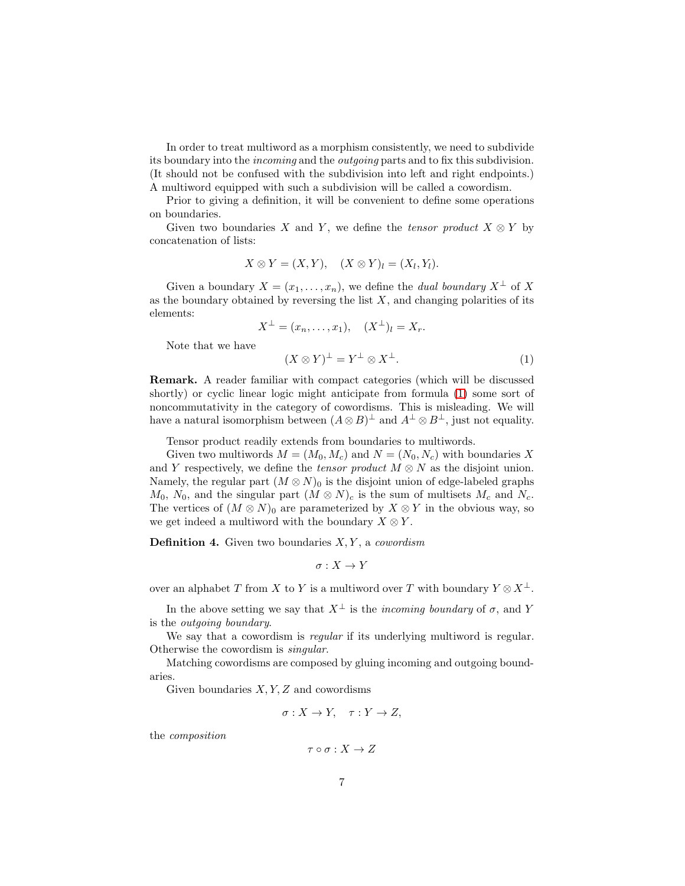In order to treat multiword as a morphism consistently, we need to subdivide its boundary into the *incoming* and the *outgoing* parts and to fix this subdivision. (It should not be confused with the subdivision into left and right endpoints.) A multiword equipped with such a subdivision will be called a cowordism.

Prior to giving a definition, it will be convenient to define some operations on boundaries.

Given two boundaries X and Y, we define the tensor product  $X \otimes Y$  by concatenation of lists:

$$
X \otimes Y = (X, Y), \quad (X \otimes Y)_l = (X_l, Y_l).
$$

Given a boundary  $X = (x_1, \ldots, x_n)$ , we define the *dual boundary*  $X^{\perp}$  of X as the boundary obtained by reversing the list  $X$ , and changing polarities of its elements:

$$
X^{\perp} = (x_n, \dots, x_1), \quad (X^{\perp})_l = X_r.
$$

Note that we have

<span id="page-6-0"></span>
$$
(X \otimes Y)^{\perp} = Y^{\perp} \otimes X^{\perp}.
$$
 (1)

Remark. A reader familiar with compact categories (which will be discussed shortly) or cyclic linear logic might anticipate from formula [\(1\)](#page-6-0) some sort of noncommutativity in the category of cowordisms. This is misleading. We will have a natural isomorphism between  $(A \otimes B)^{\perp}$  and  $A^{\perp} \otimes B^{\perp}$ , just not equality.

Tensor product readily extends from boundaries to multiwords.

Given two multiwords  $M = (M_0, M_c)$  and  $N = (N_0, N_c)$  with boundaries X and Y respectively, we define the *tensor product*  $M \otimes N$  as the disjoint union. Namely, the regular part  $(M \otimes N)_0$  is the disjoint union of edge-labeled graphs  $M_0$ ,  $N_0$ , and the singular part  $(M \otimes N)_c$  is the sum of multisets  $M_c$  and  $N_c$ . The vertices of  $(M \otimes N)_0$  are parameterized by  $X \otimes Y$  in the obvious way, so we get indeed a multiword with the boundary  $X \otimes Y$ .

**Definition 4.** Given two boundaries  $X, Y$ , a cowordism

$$
\sigma:X\to Y
$$

over an alphabet T from X to Y is a multiword over T with boundary  $Y \otimes X^{\perp}$ .

In the above setting we say that  $X^{\perp}$  is the *incoming boundary* of  $\sigma$ , and Y is the outgoing boundary.

We say that a cowordism is *regular* if its underlying multiword is regular. Otherwise the cowordism is singular.

Matching cowordisms are composed by gluing incoming and outgoing boundaries.

Given boundaries  $X, Y, Z$  and cowordisms

$$
\sigma: X \to Y, \quad \tau: Y \to Z,
$$

the composition

$$
\tau \circ \sigma : X \to Z
$$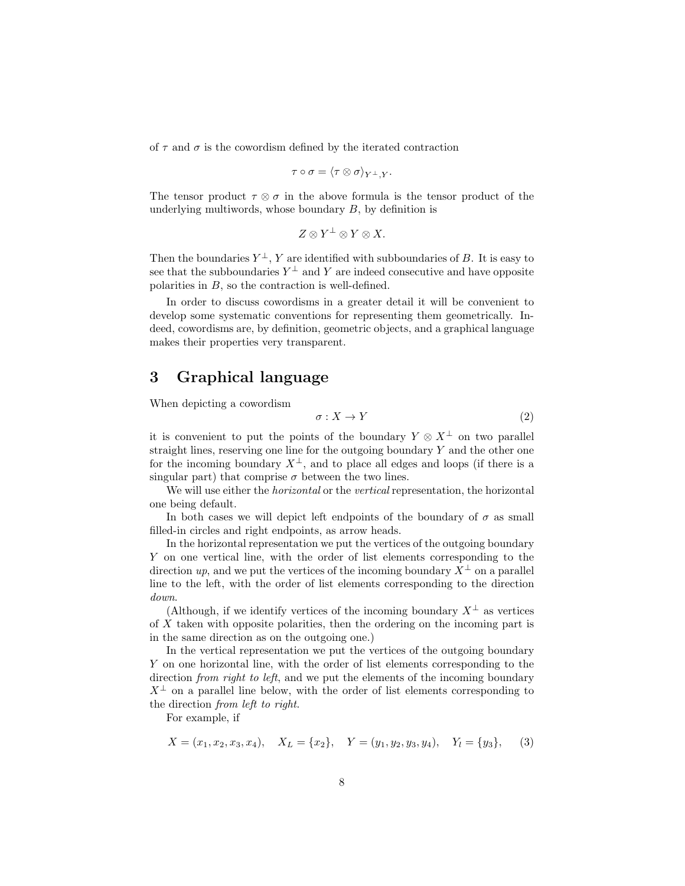of  $\tau$  and  $\sigma$  is the cowordism defined by the iterated contraction

$$
\tau\circ\sigma=\langle\tau\otimes\sigma\rangle_{Y^{\perp},Y}.
$$

The tensor product  $\tau \otimes \sigma$  in the above formula is the tensor product of the underlying multiwords, whose boundary  $B$ , by definition is

$$
Z\otimes Y^\perp\otimes Y\otimes X.
$$

Then the boundaries  $Y^{\perp}$ , Y are identified with subboundaries of B. It is easy to see that the subboundaries  $Y^{\perp}$  and Y are indeed consecutive and have opposite polarities in B, so the contraction is well-defined.

In order to discuss cowordisms in a greater detail it will be convenient to develop some systematic conventions for representing them geometrically. Indeed, cowordisms are, by definition, geometric objects, and a graphical language makes their properties very transparent.

## 3 Graphical language

When depicting a cowordism

<span id="page-7-0"></span>
$$
\sigma: X \to Y \tag{2}
$$

it is convenient to put the points of the boundary  $Y \otimes X^{\perp}$  on two parallel straight lines, reserving one line for the outgoing boundary  $Y$  and the other one for the incoming boundary  $X^{\perp}$ , and to place all edges and loops (if there is a singular part) that comprise  $\sigma$  between the two lines.

We will use either the *horizontal* or the *vertical* representation, the horizontal one being default.

In both cases we will depict left endpoints of the boundary of  $\sigma$  as small filled-in circles and right endpoints, as arrow heads.

In the horizontal representation we put the vertices of the outgoing boundary Y on one vertical line, with the order of list elements corresponding to the direction up, and we put the vertices of the incoming boundary  $X^{\perp}$  on a parallel line to the left, with the order of list elements corresponding to the direction down.

(Although, if we identify vertices of the incoming boundary  $X^{\perp}$  as vertices of X taken with opposite polarities, then the ordering on the incoming part is in the same direction as on the outgoing one.)

In the vertical representation we put the vertices of the outgoing boundary Y on one horizontal line, with the order of list elements corresponding to the direction *from right to left*, and we put the elements of the incoming boundary  $X^{\perp}$  on a parallel line below, with the order of list elements corresponding to the direction from left to right.

For example, if

<span id="page-7-1"></span>
$$
X = (x_1, x_2, x_3, x_4), X_L = \{x_2\}, Y = (y_1, y_2, y_3, y_4), Y_l = \{y_3\},
$$
 (3)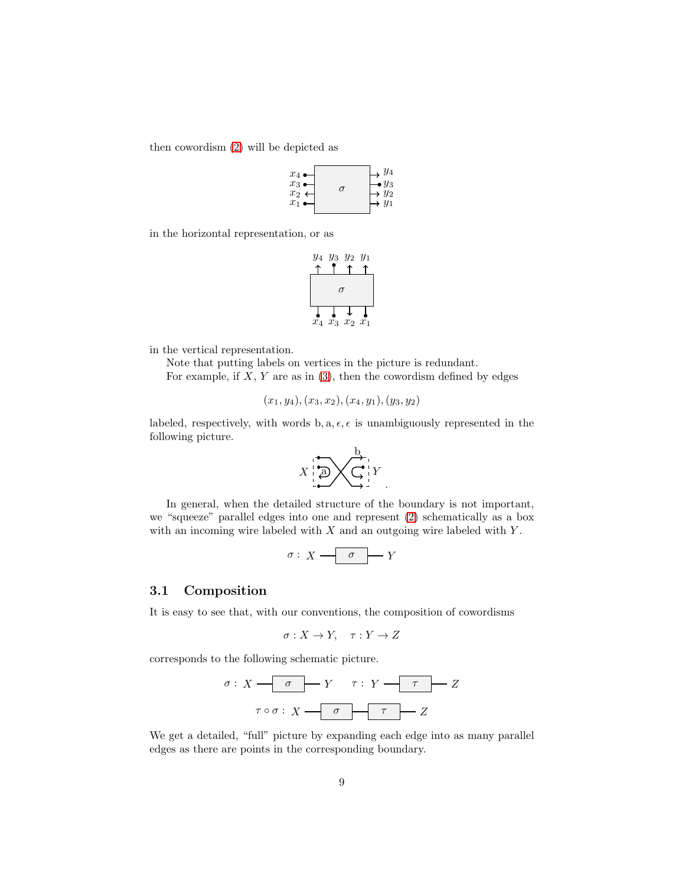then cowordism [\(2\)](#page-7-0) will be depicted as



in the horizontal representation, or as

$$
\begin{array}{c|cc}\ny_4 & y_3 & y_2 & y_1 \\
\uparrow & \uparrow & \uparrow \\
\hline\n\end{array}
$$
\n
$$
\begin{array}{c|c}\n\hline\n\end{array}
$$
\n
$$
\begin{array}{c|c}\n\hline\n\end{array}
$$
\n
$$
\begin{array}{c|c}\n\hline\n\end{array}
$$
\n
$$
x_4 & x_3 & x_2 & x_1
$$

in the vertical representation.

Note that putting labels on vertices in the picture is redundant. For example, if  $X, Y$  are as in  $(3)$ , then the cowordism defined by edges

$$
(x_1,y_4), (x_3,x_2), (x_4,y_1), (y_3,y_2)
$$

labeled, respectively, with words  $b, a, \epsilon, \epsilon$  is unambiguously represented in the following picture.

$$
X \bigoplus_{i=1}^n \bigtimes \bigodot_{i=1}^n Y
$$

In general, when the detailed structure of the boundary is not important, we "squeeze" parallel edges into one and represent [\(2\)](#page-7-0) schematically as a box with an incoming wire labeled with  $X$  and an outgoing wire labeled with  $Y$ .

$$
\sigma: X \longrightarrow \sigma \longrightarrow Y
$$

## 3.1 Composition

It is easy to see that, with our conventions, the composition of cowordisms

$$
\sigma: X \to Y, \quad \tau: Y \to Z
$$

corresponds to the following schematic picture.

$$
\sigma: X \xrightarrow{\sigma} Y \qquad \tau: Y \xrightarrow{\tau} Z
$$

$$
\tau \circ \sigma: X \xrightarrow{\sigma} T \xrightarrow{\tau} Z
$$

We get a detailed, "full" picture by expanding each edge into as many parallel edges as there are points in the corresponding boundary.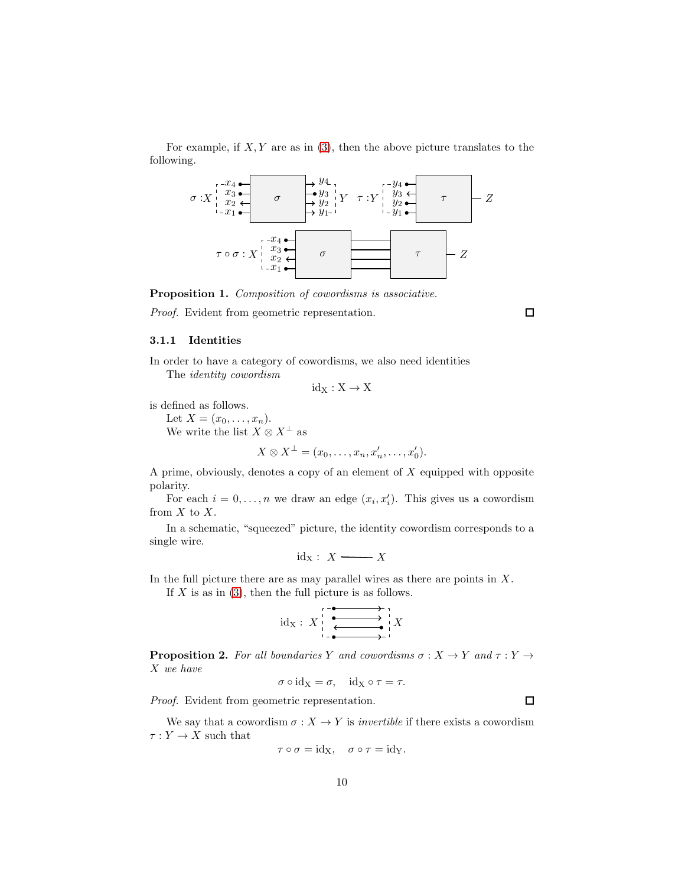For example, if  $X, Y$  are as in [\(3\)](#page-7-1), then the above picture translates to the following.



Proposition 1. Composition of cowordisms is associative.

Proof. Evident from geometric representation.

 $\Box$ 

 $\Box$ 

### 3.1.1 Identities

In order to have a category of cowordisms, we also need identities The identity cowordism

$$
\mathrm{id}_X:X\to X
$$

is defined as follows.

Let  $X = (x_0, \ldots, x_n)$ .

We write the list  $X \otimes X^{\perp}$  as

$$
X\otimes X^{\perp}=(x_0,\ldots,x_n,x_n',\ldots,x_0').
$$

A prime, obviously, denotes a copy of an element of  $X$  equipped with opposite polarity.

For each  $i = 0, \ldots, n$  we draw an edge  $(x_i, x'_i)$ . This gives us a cowordism from  $X$  to  $X$ .

In a schematic, "squeezed" picture, the identity cowordism corresponds to a single wire.

$$
\mathrm{id}_{\mathbf{X}}:\ X \longrightarrow\hspace{-3mm} X
$$

In the full picture there are as may parallel wires as there are points in  $X$ .

If  $X$  is as in [\(3\)](#page-7-1), then the full picture is as follows.

$$
\mathrm{id}_{X}:\;X\Big|\xrightarrow[\bullet]{\begin{array}{c}\bullet\longrightarrow\\\bullet\end{array}}X
$$

**Proposition 2.** For all boundaries Y and cowordisms  $\sigma : X \to Y$  and  $\tau : Y \to Y$ X we have

 $\sigma \circ id_X = \sigma$ ,  $id_X \circ \tau = \tau$ .

Proof. Evident from geometric representation.

We say that a cowordism  $\sigma: X \to Y$  is *invertible* if there exists a cowordism  $\tau: Y \to X$  such that

$$
\tau \circ \sigma = \mathrm{id}_{X}, \quad \sigma \circ \tau = \mathrm{id}_{Y}.
$$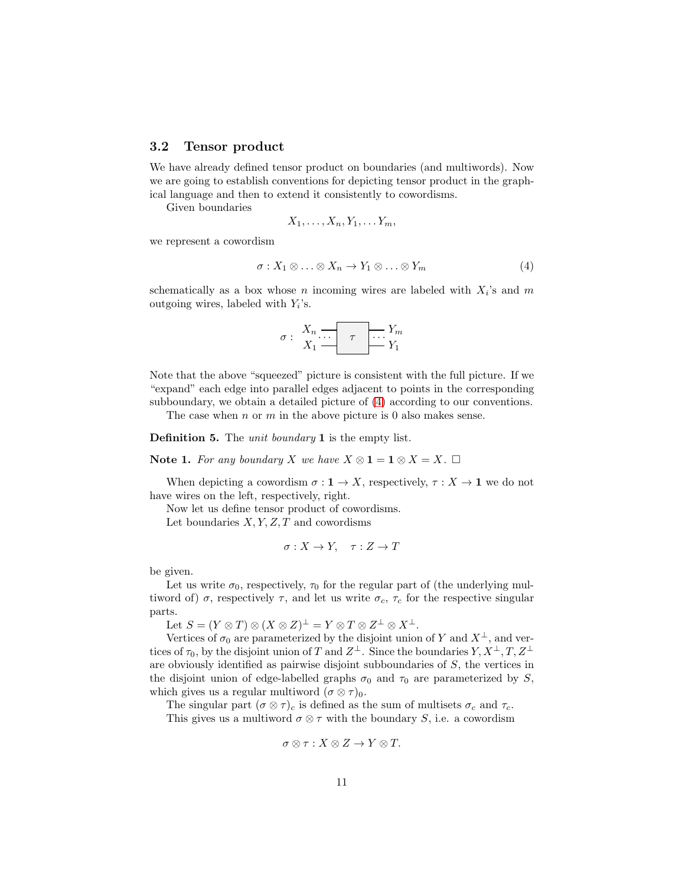## 3.2 Tensor product

We have already defined tensor product on boundaries (and multiwords). Now we are going to establish conventions for depicting tensor product in the graphical language and then to extend it consistently to cowordisms.

Given boundaries

$$
X_1,\ldots,X_n,Y_1,\ldots Y_m,
$$

we represent a cowordism

<span id="page-10-0"></span>
$$
\sigma: X_1 \otimes \ldots \otimes X_n \to Y_1 \otimes \ldots \otimes Y_m \tag{4}
$$

schematically as a box whose n incoming wires are labeled with  $X_i$ 's and m outgoing wires, labeled with  $Y_i$ 's.

$$
\sigma: \begin{array}{c|c} X_n & \cdots & \tau \\ X_1 & \cdots & Y_n \end{array} \longrightarrow Y_m
$$

Note that the above "squeezed" picture is consistent with the full picture. If we "expand" each edge into parallel edges adjacent to points in the corresponding subboundary, we obtain a detailed picture of [\(4\)](#page-10-0) according to our conventions.

The case when  $n \text{ or } m$  in the above picture is 0 also makes sense.

Definition 5. The *unit boundary* 1 is the empty list.

Note 1. For any boundary X we have  $X \otimes 1 = 1 \otimes X = X$ .  $\Box$ 

When depicting a cowordism  $\sigma: \mathbf{1} \to X$ , respectively,  $\tau: X \to \mathbf{1}$  we do not have wires on the left, respectively, right.

Now let us define tensor product of cowordisms.

Let boundaries  $X, Y, Z, T$  and cowordisms

$$
\sigma: X \to Y, \quad \tau: Z \to T
$$

be given.

Let us write  $\sigma_0$ , respectively,  $\tau_0$  for the regular part of (the underlying multiword of)  $\sigma$ , respectively  $\tau$ , and let us write  $\sigma_c$ ,  $\tau_c$  for the respective singular parts.

Let  $S = (Y \otimes T) \otimes (X \otimes Z)^{\perp} = Y \otimes T \otimes Z^{\perp} \otimes X^{\perp}.$ 

Vertices of  $\sigma_0$  are parameterized by the disjoint union of Y and  $X^{\perp}$ , and vertices of  $\tau_0$ , by the disjoint union of T and  $Z^{\perp}$ . Since the boundaries  $Y, X^{\perp}, T, Z^{\perp}$ are obviously identified as pairwise disjoint subboundaries of S, the vertices in the disjoint union of edge-labelled graphs  $\sigma_0$  and  $\tau_0$  are parameterized by S, which gives us a regular multiword  $(\sigma \otimes \tau)_0$ .

The singular part  $(\sigma \otimes \tau)_c$  is defined as the sum of multisets  $\sigma_c$  and  $\tau_c$ . This gives us a multiword  $\sigma \otimes \tau$  with the boundary  $S,$  i.e. a cowordism

$$
\sigma \otimes \tau : X \otimes Z \to Y \otimes T.
$$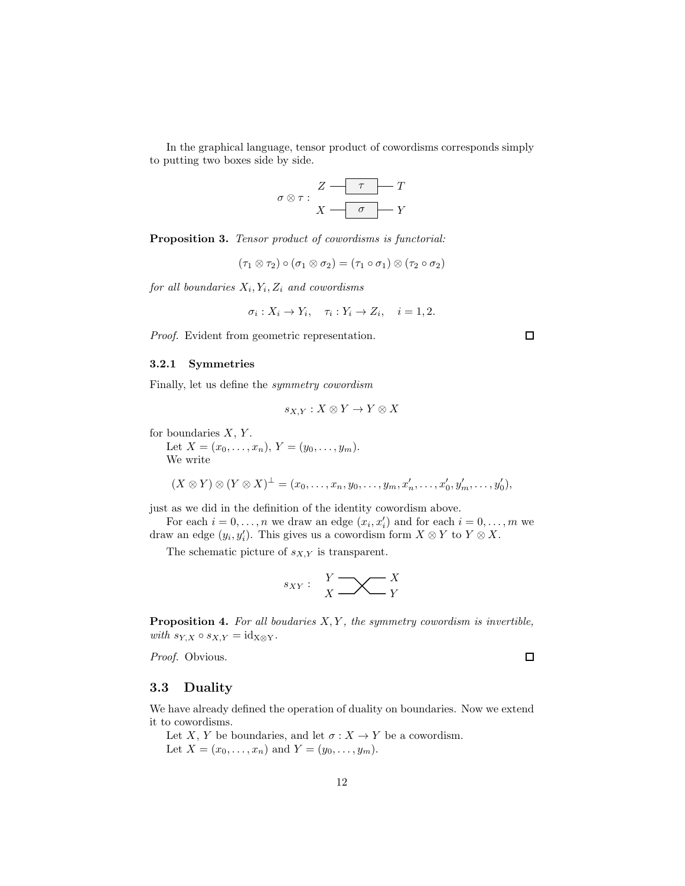In the graphical language, tensor product of cowordisms corresponds simply to putting two boxes side by side.



Proposition 3. Tensor product of cowordisms is functorial:

 $(\tau_1 \otimes \tau_2) \circ (\sigma_1 \otimes \sigma_2) = (\tau_1 \circ \sigma_1) \otimes (\tau_2 \circ \sigma_2)$ 

for all boundaries  $X_i, Y_i, Z_i$  and cowordisms

$$
\sigma_i: X_i \to Y_i, \quad \tau_i: Y_i \to Z_i, \quad i = 1, 2.
$$

Proof. Evident from geometric representation.

### 3.2.1 Symmetries

Finally, let us define the symmetry cowordism

$$
s_{X,Y}: X \otimes Y \to Y \otimes X
$$

for boundaries  $X, Y$ .

Let  $X = (x_0, \ldots, x_n), Y = (y_0, \ldots, y_m).$ We write

$$
(X\otimes Y)\otimes (Y\otimes X)^{\perp}=(x_0,\ldots,x_n,y_0,\ldots,y_m,x'_n,\ldots,x'_0,y'_m,\ldots,y'_0),
$$

just as we did in the definition of the identity cowordism above.

For each  $i = 0, \ldots, n$  we draw an edge  $(x_i, x'_i)$  and for each  $i = 0, \ldots, m$  we draw an edge  $(y_i, y'_i)$ . This gives us a cowordism form  $X \otimes Y$  to  $Y \otimes X$ .

The schematic picture of  $s_{X,Y}$  is transparent.

$$
s_{XY}: \quad \underset{X}{\cancel{Y}} \longrightarrow \underset{Y}{\underbrace{\smile}} \underset{Y}{\cancel{X}}
$$

<span id="page-11-0"></span>**Proposition 4.** For all boudaries  $X, Y$ , the symmetry cowordism is invertible, with  $s_{Y,X} \circ s_{X,Y} = id_{X \otimes Y}.$ 

Proof. Obvious.

 $\Box$ 

 $\Box$ 

#### 3.3 Duality

We have already defined the operation of duality on boundaries. Now we extend it to cowordisms.

Let X, Y be boundaries, and let  $\sigma: X \to Y$  be a cowordism. Let  $X = (x_0, ..., x_n)$  and  $Y = (y_0, ..., y_m)$ .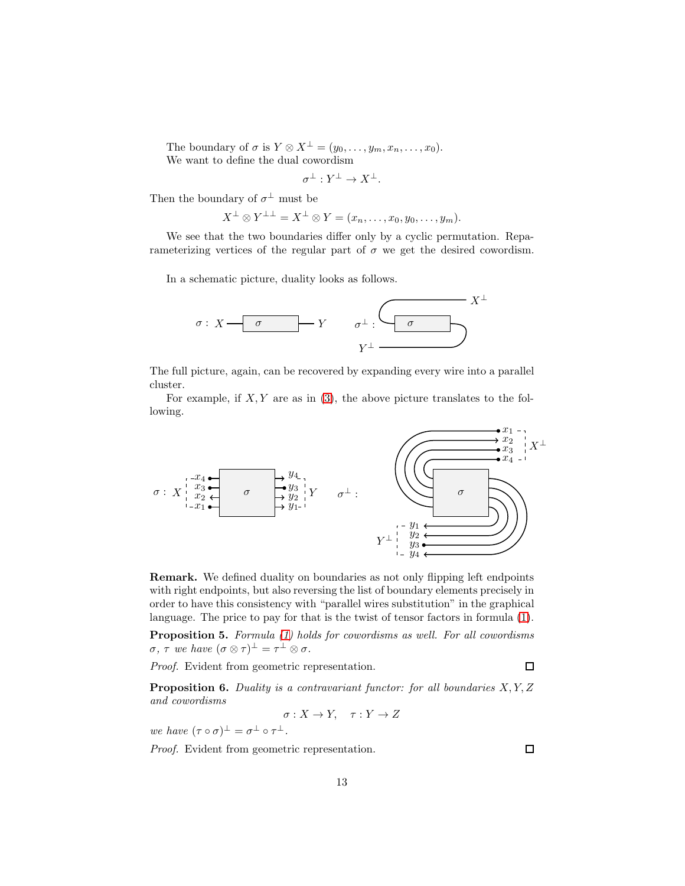The boundary of  $\sigma$  is  $Y \otimes X^{\perp} = (y_0, \ldots, y_m, x_n, \ldots, x_0)$ . We want to define the dual cowordism

$$
\sigma^{\perp}: Y^{\perp} \to X^{\perp}.
$$

Then the boundary of  $\sigma^{\perp}$  must be

$$
X^{\perp} \otimes Y^{\perp \perp} = X^{\perp} \otimes Y = (x_n, \ldots, x_0, y_0, \ldots, y_m).
$$

We see that the two boundaries differ only by a cyclic permutation. Reparameterizing vertices of the regular part of  $\sigma$  we get the desired cowordism.

In a schematic picture, duality looks as follows.



The full picture, again, can be recovered by expanding every wire into a parallel cluster.

For example, if  $X, Y$  are as in [\(3\)](#page-7-1), the above picture translates to the following.

σ : X x1 x2 x3 x4 y1 y2 y3 y4 σ Y Y ⊥ X<sup>⊥</sup> σ ⊥ : x1 x2 x3 x4 σ y1 y2 y3 y4

Remark. We defined duality on boundaries as not only flipping left endpoints with right endpoints, but also reversing the list of boundary elements precisely in order to have this consistency with "parallel wires substitution" in the graphical language. The price to pay for that is the twist of tensor factors in formula [\(1\)](#page-6-0).

Proposition 5. Formula [\(1\)](#page-6-0) holds for cowordisms as well. For all cowordisms  $\sigma, \tau$  we have  $(\sigma \otimes \tau)^{\perp} = \tau^{\perp} \otimes \sigma$ .

Proof. Evident from geometric representation.

**Proposition 6.** Duality is a contravariant functor: for all boundaries  $X, Y, Z$ and cowordisms

$$
\sigma: X \to Y, \quad \tau: Y \to Z
$$

we have  $(\tau \circ \sigma)^{\perp} = \sigma^{\perp} \circ \tau^{\perp}$ .

Proof. Evident from geometric representation.

 $\Box$ 

 $\Box$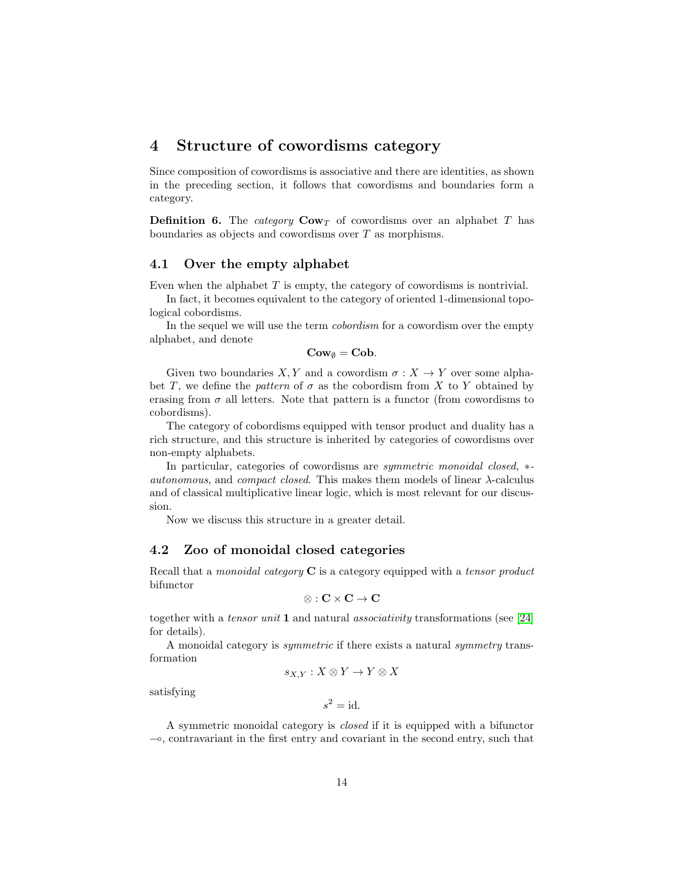## 4 Structure of cowordisms category

Since composition of cowordisms is associative and there are identities, as shown in the preceding section, it follows that cowordisms and boundaries form a category.

**Definition 6.** The *category*  $\mathbf{Cow}_T$  of cowordisms over an alphabet T has boundaries as objects and cowordisms over T as morphisms.

## 4.1 Over the empty alphabet

Even when the alphabet  $T$  is empty, the category of cowordisms is nontrivial.

In fact, it becomes equivalent to the category of oriented 1-dimensional topological cobordisms.

In the sequel we will use the term cobordism for a cowordism over the empty alphabet, and denote

 $\mathbf{Cow}_{\emptyset} = \mathbf{Cob}.$ 

Given two boundaries X, Y and a cowordism  $\sigma: X \to Y$  over some alphabet T, we define the pattern of  $\sigma$  as the cobordism from X to Y obtained by erasing from  $\sigma$  all letters. Note that pattern is a functor (from cowordisms to cobordisms).

The category of cobordisms equipped with tensor product and duality has a rich structure, and this structure is inherited by categories of cowordisms over non-empty alphabets.

In particular, categories of cowordisms are *symmetric monoidal closed*, <sup>\*-</sup> autonomous, and compact closed. This makes them models of linear  $\lambda$ -calculus and of classical multiplicative linear logic, which is most relevant for our discussion.

Now we discuss this structure in a greater detail.

## 4.2 Zoo of monoidal closed categories

Recall that a *monoidal category*  $C$  is a category equipped with a *tensor product* bifunctor

$$
\otimes : \mathbf{C} \times \mathbf{C} \to \mathbf{C}
$$

together with a tensor unit 1 and natural associativity transformations (see [\[24\]](#page-59-7) for details).

A monoidal category is symmetric if there exists a natural symmetry transformation

$$
s_{X,Y}: X \otimes Y \to Y \otimes X
$$

satisfying

$$
s^2 = \mathrm{id}.
$$

A symmetric monoidal category is closed if it is equipped with a bifunctor ⊸, contravariant in the first entry and covariant in the second entry, such that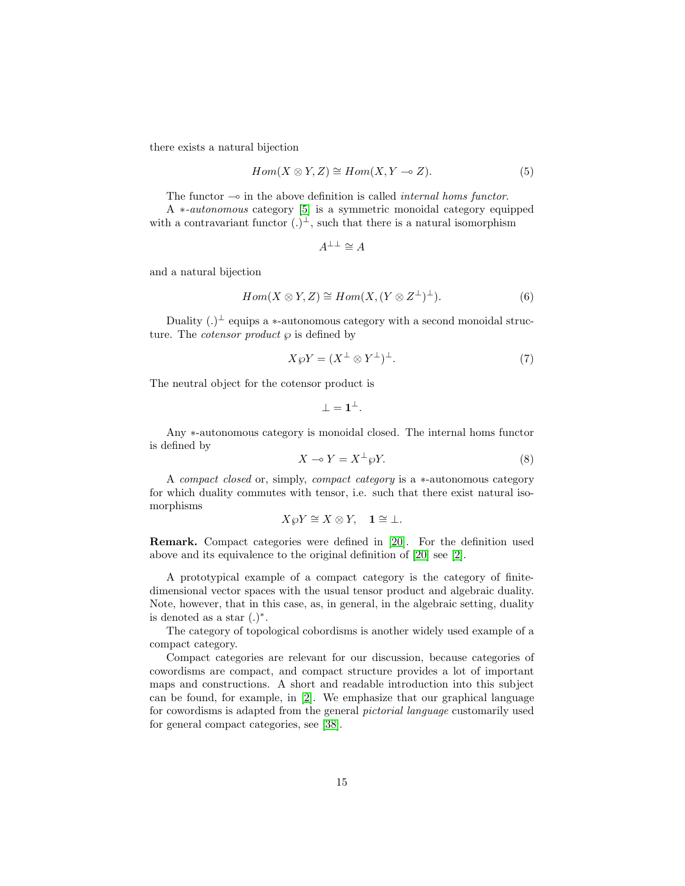there exists a natural bijection

<span id="page-14-0"></span>
$$
Hom(X \otimes Y, Z) \cong Hom(X, Y \multimap Z). \tag{5}
$$

The functor  $\multimap$  in the above definition is called *internal homs functor*.

A ∗-autonomous category [\[5\]](#page-58-7) is a symmetric monoidal category equipped with a contravariant functor  $(.)^{\perp}$ , such that there is a natural isomorphism

$$
A^{\perp\perp} \cong A
$$

and a natural bijection

<span id="page-14-1"></span>
$$
Hom(X \otimes Y, Z) \cong Hom(X, (Y \otimes Z^{\perp})^{\perp}).
$$
\n(6)

Duality  $(.)^{\perp}$  equips a  $*$ -autonomous category with a second monoidal structure. The *cotensor product*  $\wp$  is defined by

<span id="page-14-2"></span>
$$
X \wp Y = (X^{\perp} \otimes Y^{\perp})^{\perp}.
$$
 (7)

The neutral object for the cotensor product is

$$
\bot = \mathbf{1}^\perp.
$$

Any ∗-autonomous category is monoidal closed. The internal homs functor is defined by

<span id="page-14-3"></span>
$$
X \multimap Y = X^{\perp} \wp Y. \tag{8}
$$

A compact closed or, simply, compact category is a ∗-autonomous category for which duality commutes with tensor, i.e. such that there exist natural isomorphisms

$$
X\wp Y\cong X\otimes Y,\quad \mathbf{1}\cong\bot.
$$

Remark. Compact categories were defined in [\[20\]](#page-59-8). For the definition used above and its equivalence to the original definition of [\[20\]](#page-59-8) see [\[2\]](#page-57-1).

A prototypical example of a compact category is the category of finitedimensional vector spaces with the usual tensor product and algebraic duality. Note, however, that in this case, as, in general, in the algebraic setting, duality is denoted as a star  $(.)^*$ .

The category of topological cobordisms is another widely used example of a compact category.

Compact categories are relevant for our discussion, because categories of cowordisms are compact, and compact structure provides a lot of important maps and constructions. A short and readable introduction into this subject can be found, for example, in [\[2\]](#page-57-1). We emphasize that our graphical language for cowordisms is adapted from the general pictorial language customarily used for general compact categories, see [\[38\]](#page-60-6).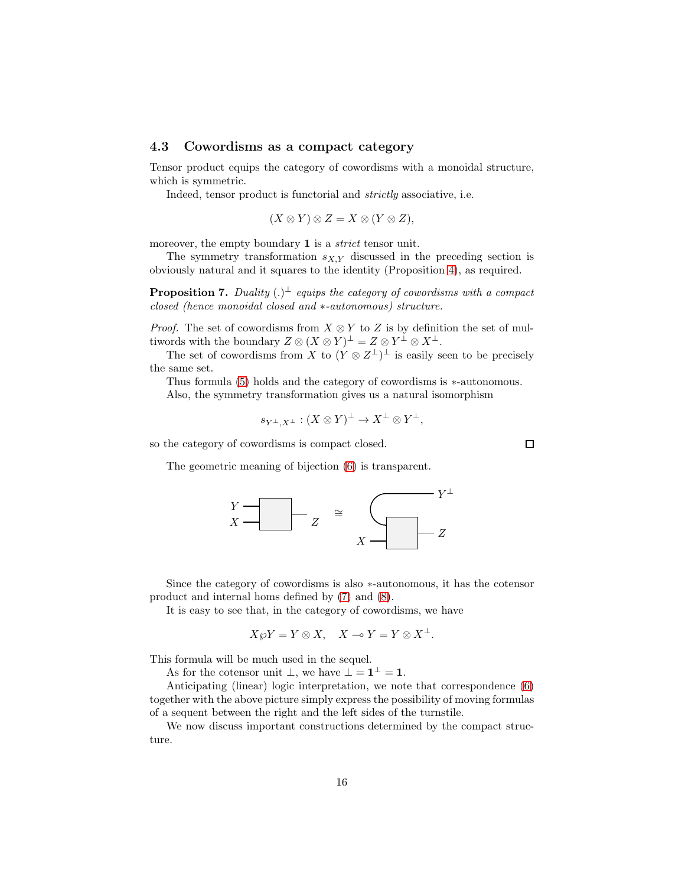## 4.3 Cowordisms as a compact category

Tensor product equips the category of cowordisms with a monoidal structure, which is symmetric.

Indeed, tensor product is functorial and *strictly* associative, i.e.

$$
(X \otimes Y) \otimes Z = X \otimes (Y \otimes Z),
$$

moreover, the empty boundary 1 is a *strict* tensor unit.

The symmetry transformation  $s_{X,Y}$  discussed in the preceding section is obviously natural and it squares to the identity (Proposition [4\)](#page-11-0), as required.

**Proposition 7.** Duality  $(.)^{\perp}$  equips the category of cowordisms with a compact closed (hence monoidal closed and ∗-autonomous) structure.

*Proof.* The set of cowordisms from  $X \otimes Y$  to Z is by definition the set of multiwords with the boundary  $Z \otimes (X \otimes Y)^{\perp} = Z \otimes Y^{\perp} \otimes X^{\perp}$ .

The set of cowordisms from X to  $(Y \otimes Z^{\perp})^{\perp}$  is easily seen to be precisely the same set.

Thus formula [\(5\)](#page-14-0) holds and the category of cowordisms is ∗-autonomous.

Also, the symmetry transformation gives us a natural isomorphism

$$
s_{Y^{\perp},X^{\perp}}:(X\otimes Y)^{\perp}\to X^{\perp}\otimes Y^{\perp},
$$

so the category of cowordisms is compact closed.

The geometric meaning of bijection [\(6\)](#page-14-1) is transparent.



Since the category of cowordisms is also ∗-autonomous, it has the cotensor product and internal homs defined by [\(7\)](#page-14-2) and [\(8\)](#page-14-3).

It is easy to see that, in the category of cowordisms, we have

$$
X\wp Y = Y \otimes X, \quad X \multimap Y = Y \otimes X^{\perp}.
$$

This formula will be much used in the sequel.

As for the cotensor unit  $\bot$ , we have  $\bot = \mathbf{1}^{\bot} = \mathbf{1}$ .

Anticipating (linear) logic interpretation, we note that correspondence [\(6\)](#page-14-1) together with the above picture simply express the possibility of moving formulas of a sequent between the right and the left sides of the turnstile.

We now discuss important constructions determined by the compact structure.

 $\Box$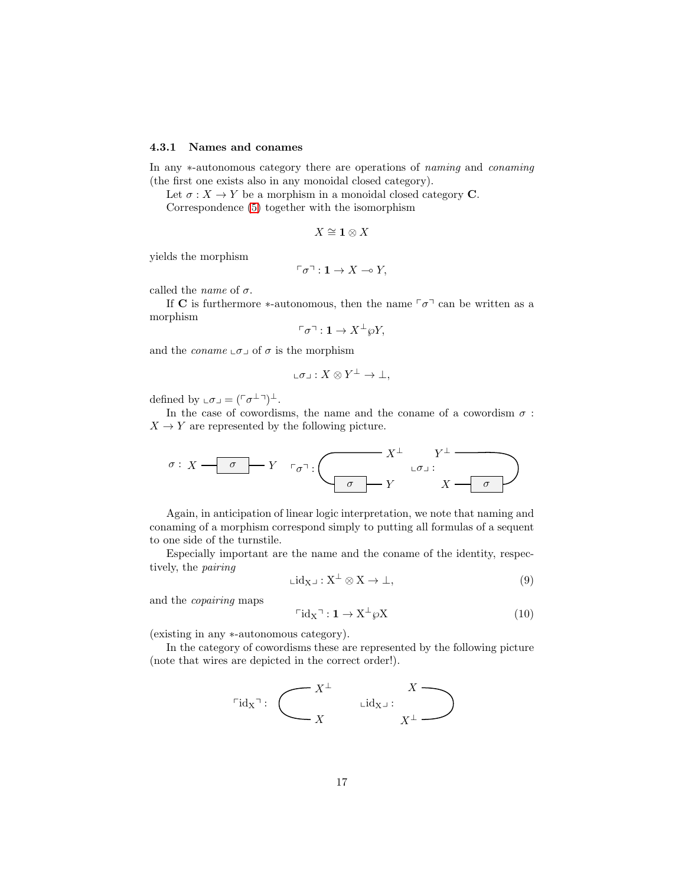#### 4.3.1 Names and conames

In any ∗-autonomous category there are operations of naming and conaming (the first one exists also in any monoidal closed category).

Let  $\sigma: X \to Y$  be a morphism in a monoidal closed category **C**.

Correspondence [\(5\)](#page-14-0) together with the isomorphism

$$
X\cong \mathbf{1}\otimes X
$$

yields the morphism

$$
\ulcorner \sigma \urcorner : \mathbf{1} \to X \multimap Y,
$$

called the *name* of  $\sigma$ .

If C is furthermore  $*$ -autonomous, then the name  $\lceil \sigma \rceil$  can be written as a morphism

$$
\ulcorner \sigma \urcorner : \mathbf{1} \to X^\perp \wp Y,
$$

and the *coname*  $\text{\ensuremath{\llcorner}} \sigma \text{\ensuremath{\lrcorner}}$  of  $\sigma$  is the morphism

$$
\llcorner \sigma \lrcorner : X \otimes Y^\perp \to \bot,
$$

defined by  $\mathsf{L}\sigma\mathsf{L} = (\ulcorner \sigma^{\perp} \urcorner)^{\perp}$ .

In the case of cowordisms, the name and the coname of a cowordism  $\sigma$ :  $X \rightarrow Y$  are represented by the following picture.

$$
\sigma: X \longrightarrow \sigma \longrightarrow Y \quad \tau_{\sigma}^{-1}: \longrightarrow X^{\perp} \quad \downarrow \tau \perp \longrightarrow X^{\perp} \quad \downarrow \tau \longrightarrow X^{\perp} \longrightarrow X^{\perp} \longrightarrow X^{\perp} \longrightarrow Y^{\perp} \longrightarrow Y^{\perp} \longrightarrow Y^{\perp} \longrightarrow Y^{\perp} \longrightarrow Y^{\perp} \longrightarrow Y^{\perp} \longrightarrow Y^{\perp} \longrightarrow Y^{\perp} \longrightarrow Y^{\perp} \longrightarrow Y^{\perp} \longrightarrow Y^{\perp} \longrightarrow Y^{\perp} \longrightarrow Y^{\perp} \longrightarrow Y^{\perp} \longrightarrow Y^{\perp} \longrightarrow Y^{\perp} \longrightarrow Y^{\perp} \longrightarrow Y^{\perp} \longrightarrow Y^{\perp} \longrightarrow Y^{\perp} \longrightarrow Y^{\perp} \longrightarrow Y^{\perp} \longrightarrow Y^{\perp} \longrightarrow Y^{\perp} \longrightarrow Y^{\perp} \longrightarrow Y^{\perp} \longrightarrow Y^{\perp} \longrightarrow Y^{\perp} \longrightarrow Y^{\perp} \longrightarrow Y^{\perp} \longrightarrow Y^{\perp} \longrightarrow Y^{\perp} \longrightarrow Y^{\perp} \longrightarrow Y^{\perp} \longrightarrow Y^{\perp} \longrightarrow Y^{\perp} \longrightarrow Y^{\perp} \longrightarrow Y^{\perp} \longrightarrow Y^{\perp} \longrightarrow Y^{\perp} \longrightarrow Y^{\perp} \longrightarrow Y^{\perp} \longrightarrow Y^{\perp} \longrightarrow Y^{\perp} \longrightarrow Y^{\perp} \longrightarrow Y^{\perp} \longrightarrow Y^{\perp} \longrightarrow Y^{\perp} \longrightarrow Y^{\perp} \longrightarrow Y^{\perp} \longrightarrow Y^{\perp} \longrightarrow Y^{\perp} \longrightarrow Y^{\perp} \longrightarrow Y^{\perp} \longrightarrow Y^{\perp} \longrightarrow Y^{\perp} \longrightarrow Y^{\perp} \longrightarrow Y^{\perp} \longrightarrow Y^{\perp} \longrightarrow Y^{\perp} \longrightarrow Y^{\perp} \longrightarrow Y^{\perp} \longrightarrow Y^{\perp} \longrightarrow Y^{\perp} \longrightarrow Y^{\perp} \longrightarrow Y^{\perp} \longrightarrow Y^{\perp} \longrightarrow Y^{\perp} \longrightarrow Y^{\perp} \longrightarrow Y^{\perp} \longrightarrow Y^{\perp} \longrightarrow Y^{\perp} \longrightarrow Y^{\perp} \longrightarrow Y^{\perp} \longrightarrow Y^{\perp} \longrightarrow Y^{\perp} \longrightarrow Y^{\perp} \longrightarrow Y^{\perp} \longrightarrow Y^{\perp} \longrightarrow Y^{\perp} \longrightarrow Y^{\perp} \longrightarrow Y^{\perp} \longrightarrow Y^{\perp} \longrightarrow Y^{\perp} \longrightarrow Y^{\perp} \
$$

Again, in anticipation of linear logic interpretation, we note that naming and conaming of a morphism correspond simply to putting all formulas of a sequent to one side of the turnstile.

Especially important are the name and the coname of the identity, respectively, the pairing

$$
\mathsf{Lid}_{X} \lrcorner : X^{\perp} \otimes X \to \bot,\tag{9}
$$

and the copairing maps

<span id="page-16-0"></span>
$$
\ulcorner id_X \urcorner : \mathbf{1} \to X^\perp \wp X \tag{10}
$$

(existing in any ∗-autonomous category).

In the category of cowordisms these are represented by the following picture (note that wires are depicted in the correct order!).

$$
\ulcorner \mathrm{id}_{X} \urcorner \colon \left( \begin{matrix} & & X^{\perp} & & X \\ & & \mathrm{Lid}_{X^{\perp}} \colon & \\ & X & & X^{\perp} \end{matrix} \right)
$$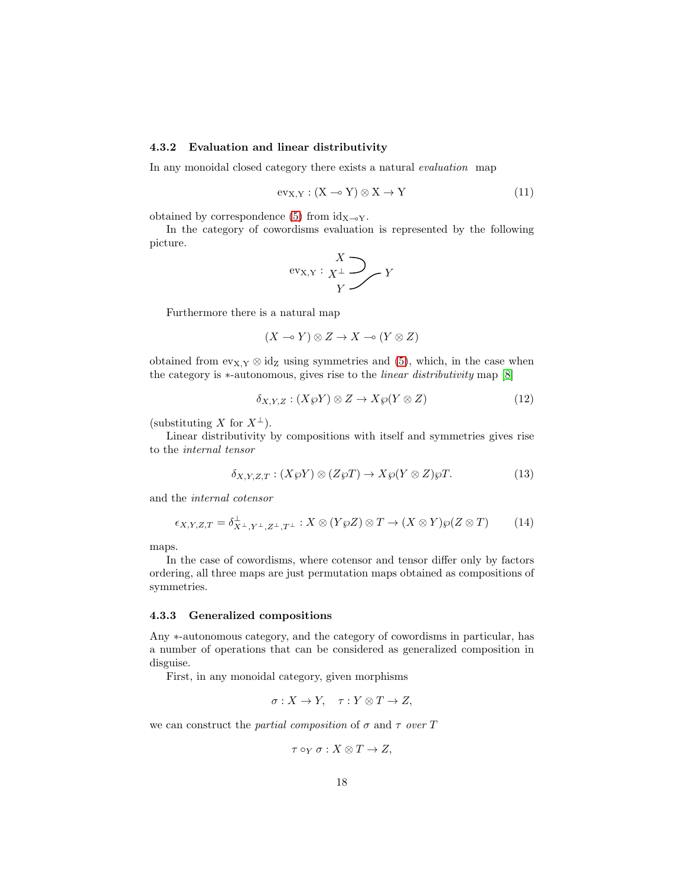#### 4.3.2 Evaluation and linear distributivity

In any monoidal closed category there exists a natural *evaluation* map

<span id="page-17-1"></span>
$$
ev_{X,Y} : (X \multimap Y) \otimes X \to Y \tag{11}
$$

obtained by correspondence [\(5\)](#page-14-0) from  $id_{X\rightarrow Y}$ .

In the category of cowordisms evaluation is represented by the following picture.

$$
\text{ev}_{X,Y}: \underset{Y}{X^{\perp}} \underset{Y}{\longrightarrow} Y
$$

Furthermore there is a natural map

$$
(X \multimap Y) \otimes Z \to X \multimap (Y \otimes Z)
$$

obtained from  $ev_{X,Y} \otimes id_Z$  using symmetries and [\(5\)](#page-14-0), which, in the case when the category is ∗-autonomous, gives rise to the linear distributivity map [\[8\]](#page-58-8)

$$
\delta_{X,Y,Z} : (X\wp Y) \otimes Z \to X\wp (Y \otimes Z) \tag{12}
$$

(substituting X for  $X^{\perp}$ ).

Linear distributivity by compositions with itself and symmetries gives rise to the internal tensor

<span id="page-17-0"></span>
$$
\delta_{X,Y,Z,T}: (X\wp Y) \otimes (Z\wp T) \to X\wp (Y \otimes Z)\wp T. \tag{13}
$$

and the internal cotensor

<span id="page-17-2"></span>
$$
\epsilon_{X,Y,Z,T} = \delta^{\perp}_{X^{\perp},Y^{\perp},Z^{\perp},T^{\perp}} : X \otimes (Y \otimes Z) \otimes T \to (X \otimes Y) \otimes (Z \otimes T) \tag{14}
$$

maps.

In the case of cowordisms, where cotensor and tensor differ only by factors ordering, all three maps are just permutation maps obtained as compositions of symmetries.

#### 4.3.3 Generalized compositions

Any ∗-autonomous category, and the category of cowordisms in particular, has a number of operations that can be considered as generalized composition in disguise.

First, in any monoidal category, given morphisms

$$
\sigma: X \to Y, \quad \tau: Y \otimes T \to Z,
$$

we can construct the partial composition of  $\sigma$  and  $\tau$  over T

$$
\tau\circ_Y\sigma:X\otimes T\to Z,
$$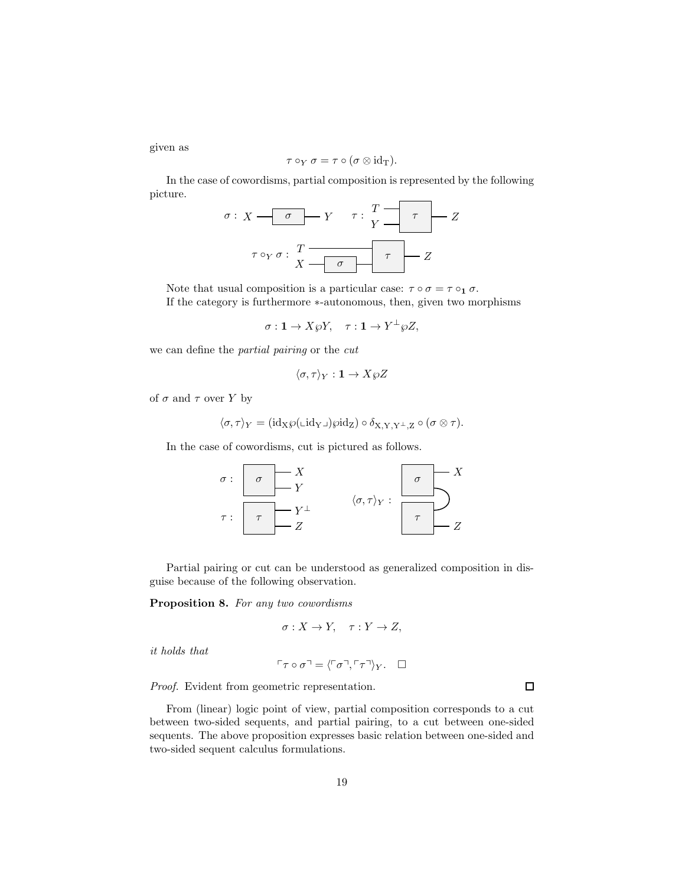given as

$$
\tau\circ_Y\sigma=\tau\circ(\sigma\otimes\mathrm{id}_\mathrm{T}).
$$

In the case of cowordisms, partial composition is represented by the following picture.

$$
\sigma: X \xrightarrow{\sigma} Y \qquad \tau: \frac{T}{Y} \xrightarrow{\tau} Z
$$

$$
\tau \circ_Y \sigma: \frac{T}{X} \xrightarrow{\sigma} \frac{T}{Y} \xrightarrow{\tau} Z
$$

Note that usual composition is a particular case:  $\tau \circ \sigma = \tau \circ_1 \sigma$ . If the category is furthermore ∗-autonomous, then, given two morphisms

$$
\sigma: \mathbf{1} \to X \wp Y, \quad \tau: \mathbf{1} \to Y^{\perp} \wp Z,
$$

we can define the partial pairing or the cut

$$
\langle \sigma, \tau \rangle_Y : \mathbf{1} \to X \wp Z
$$

of  $\sigma$  and  $\tau$  over Y by

$$
\langle \sigma, \tau \rangle_Y = (id_X \wp(\text{L} id_Y \text{L}) \wp id_Z) \circ \delta_{X,Y,Y^{\perp},Z} \circ (\sigma \otimes \tau).
$$

In the case of cowordisms, cut is pictured as follows.



Partial pairing or cut can be understood as generalized composition in disguise because of the following observation.

<span id="page-18-0"></span>Proposition 8. For any two cowordisms

$$
\sigma: X \to Y, \quad \tau: Y \to Z,
$$

it holds that

$$
\ulcorner \tau \circ \sigma \urcorner = \langle \ulcorner \sigma \urcorner, \ulcorner \tau \urcorner \rangle_Y. \square
$$

Proof. Evident from geometric representation.

From (linear) logic point of view, partial composition corresponds to a cut between two-sided sequents, and partial pairing, to a cut between one-sided sequents. The above proposition expresses basic relation between one-sided and two-sided sequent calculus formulations.

 $\Box$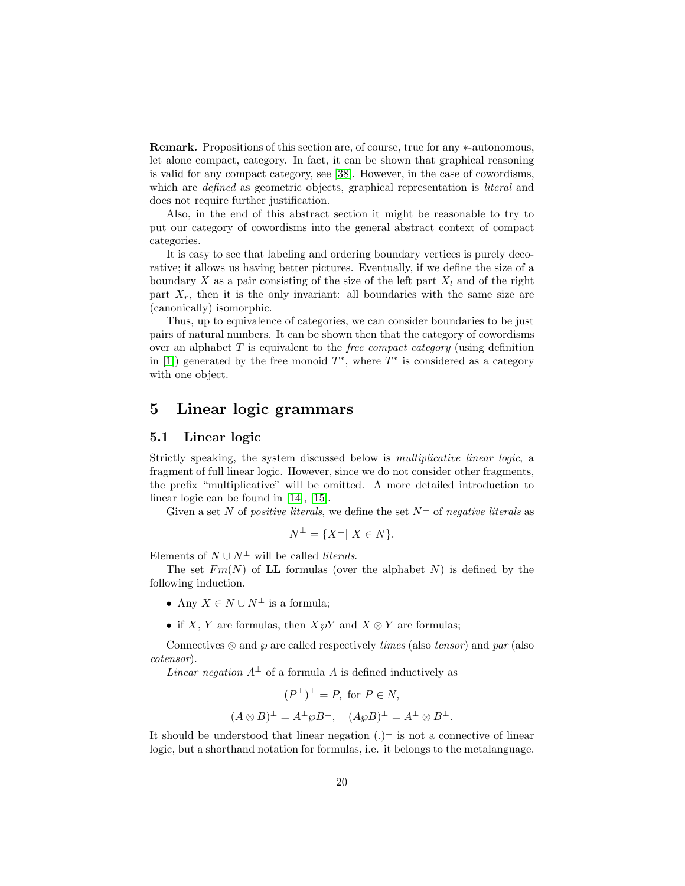Remark. Propositions of this section are, of course, true for any ∗-autonomous, let alone compact, category. In fact, it can be shown that graphical reasoning is valid for any compact category, see [\[38\]](#page-60-6). However, in the case of cowordisms, which are *defined* as geometric objects, graphical representation is *literal* and does not require further justification.

Also, in the end of this abstract section it might be reasonable to try to put our category of cowordisms into the general abstract context of compact categories.

It is easy to see that labeling and ordering boundary vertices is purely decorative; it allows us having better pictures. Eventually, if we define the size of a boundary X as a pair consisting of the size of the left part  $X_l$  and of the right part  $X_r$ , then it is the only invariant: all boundaries with the same size are (canonically) isomorphic.

Thus, up to equivalence of categories, we can consider boundaries to be just pairs of natural numbers. It can be shown then that the category of cowordisms over an alphabet  $T$  is equivalent to the *free compact category* (using definition in [\[1\]](#page-57-2)) generated by the free monoid  $T^*$ , where  $T^*$  is considered as a category with one object.

## 5 Linear logic grammars

### 5.1 Linear logic

Strictly speaking, the system discussed below is multiplicative linear logic, a fragment of full linear logic. However, since we do not consider other fragments, the prefix "multiplicative" will be omitted. A more detailed introduction to linear logic can be found in [\[14\]](#page-58-0), [\[15\]](#page-58-9).

Given a set N of positive literals, we define the set  $N^{\perp}$  of negative literals as

$$
N^{\perp} = \{ X^{\perp} | X \in N \}.
$$

Elements of  $N \cup N^{\perp}$  will be called *literals*.

The set  $Fm(N)$  of LL formulas (over the alphabet N) is defined by the following induction.

- Any  $X \in N \cup N^{\perp}$  is a formula;
- if X, Y are formulas, then  $X \otimes Y$  and  $X \otimes Y$  are formulas;

Connectives  $\otimes$  and  $\varphi$  are called respectively *times* (also *tensor*) and par (also cotensor).

*Linear negation*  $A^{\perp}$  of a formula A is defined inductively as

$$
(P^{\perp})^{\perp} = P, \text{ for } P \in N,
$$

$$
(A \otimes B)^{\perp} = A^{\perp} \wp B^{\perp}, \quad (A \wp B)^{\perp} = A^{\perp} \otimes B^{\perp}.
$$

It should be understood that linear negation  $(.)^{\perp}$  is not a connective of linear logic, but a shorthand notation for formulas, i.e. it belongs to the metalanguage.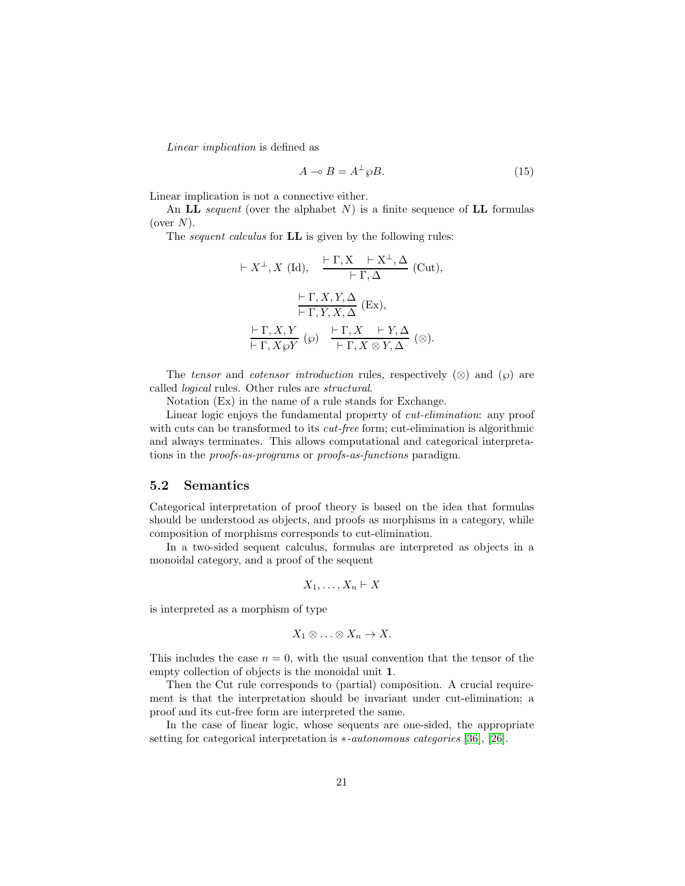Linear implication is defined as

<span id="page-20-0"></span>
$$
A \multimap B = A^{\perp} \wp B. \tag{15}
$$

Linear implication is not a connective either.

An LL sequent (over the alphabet  $N$ ) is a finite sequence of LL formulas (over  $N$ ).

The *sequent calculus* for **LL** is given by the following rules:

$$
\vdash X^{\perp}, X \text{ (Id)}, \quad \frac{\vdash \Gamma, X \quad \vdash X^{\perp}, \Delta}{\vdash \Gamma, \Delta} \text{ (Cut)},
$$
\n
$$
\frac{\vdash \Gamma, X, Y, \Delta}{\vdash \Gamma, Y, X, \Delta} \text{ (Ex)},
$$
\n
$$
\frac{\vdash \Gamma, X, Y}{\vdash \Gamma, X \wp Y} \text{ (\wp)} \quad \frac{\vdash \Gamma, X \quad \vdash Y, \Delta}{\vdash \Gamma, X \otimes Y, \Delta} \text{ (\otimes)}.
$$

The tensor and cotensor introduction rules, respectively  $(\otimes)$  and  $(\varphi)$  are called logical rules. Other rules are structural.

Notation (Ex) in the name of a rule stands for Exchange.

Linear logic enjoys the fundamental property of cut-elimination: any proof with cuts can be transformed to its *cut-free* form; cut-elimination is algorithmic and always terminates. This allows computational and categorical interpretations in the proofs-as-programs or proofs-as-functions paradigm.

## 5.2 Semantics

Categorical interpretation of proof theory is based on the idea that formulas should be understood as objects, and proofs as morphisms in a category, while composition of morphisms corresponds to cut-elimination.

In a two-sided sequent calculus, formulas are interpreted as objects in a monoidal category, and a proof of the sequent

$$
X_1,\ldots,X_n\vdash X
$$

is interpreted as a morphism of type

$$
X_1 \otimes \ldots \otimes X_n \to X.
$$

This includes the case  $n = 0$ , with the usual convention that the tensor of the empty collection of objects is the monoidal unit 1.

Then the Cut rule corresponds to (partial) composition. A crucial requirement is that the interpretation should be invariant under cut-elimination; a proof and its cut-free form are interpreted the same.

In the case of linear logic, whose sequents are one-sided, the appropriate setting for categorical interpretation is ∗-autonomous categories [\[36\]](#page-60-7), [\[26\]](#page-59-9).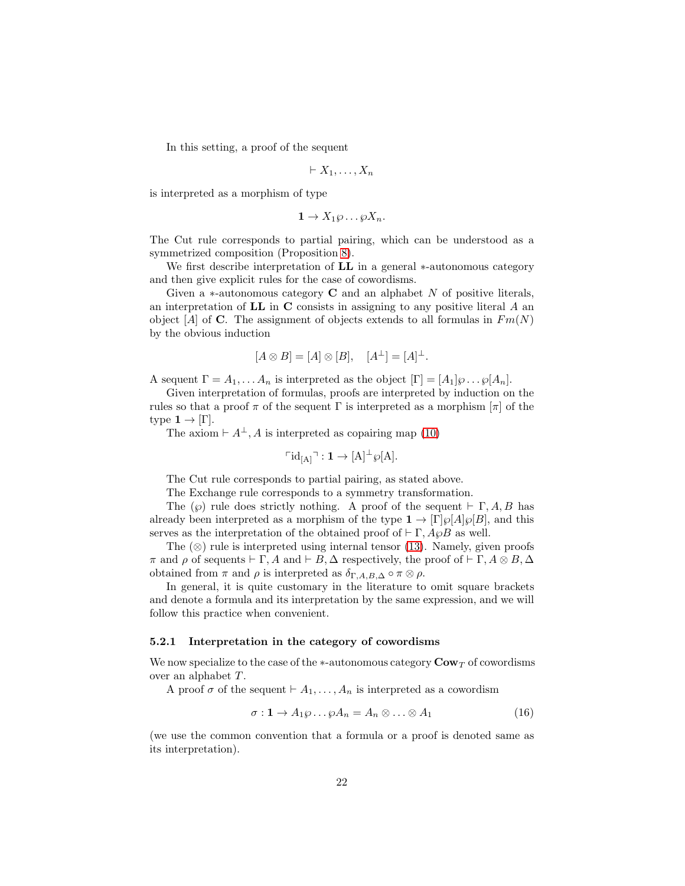In this setting, a proof of the sequent

$$
\vdash X_1,\ldots,X_n
$$

is interpreted as a morphism of type

$$
1 \to X_1 \wp \dots \wp X_n.
$$

The Cut rule corresponds to partial pairing, which can be understood as a symmetrized composition (Proposition [8\)](#page-18-0).

We first describe interpretation of LL in a general ∗-autonomous category and then give explicit rules for the case of cowordisms.

Given a  $*$ -autonomous category **C** and an alphabet N of positive literals, an interpretation of  $LL$  in  $C$  consists in assigning to any positive literal  $A$  an object [A] of **C**. The assignment of objects extends to all formulas in  $Fm(N)$ by the obvious induction

$$
[A \otimes B] = [A] \otimes [B], \quad [A^{\perp}] = [A]^{\perp}.
$$

A sequent  $\Gamma = A_1, \ldots, A_n$  is interpreted as the object  $[\Gamma] = [A_1] \wp \ldots \wp[A_n].$ 

Given interpretation of formulas, proofs are interpreted by induction on the rules so that a proof  $\pi$  of the sequent  $\Gamma$  is interpreted as a morphism  $[\pi]$  of the type  $1 \rightarrow |\Gamma|$ .

The axiom  $\vdash A^{\perp}, A$  is interpreted as copairing map [\(10\)](#page-16-0)

$$
\ulcorner \mathrm{id}_{[A]} \urcorner : \mathbf{1} \to [A]^\perp \wp[A]
$$

The Cut rule corresponds to partial pairing, as stated above.

The Exchange rule corresponds to a symmetry transformation.

The  $(\wp)$  rule does strictly nothing. A proof of the sequent  $\vdash \Gamma, A, B$  has already been interpreted as a morphism of the type  $\mathbf{1} \to [\Gamma] \wp[A] \wp[B]$ , and this serves as the interpretation of the obtained proof of  $\vdash \Gamma$ ,  $A\wp B$  as well.

The  $(\otimes)$  rule is interpreted using internal tensor [\(13\)](#page-17-0). Namely, given proofs  $\pi$  and  $\rho$  of sequents  $\vdash \Gamma$ , A and  $\vdash B$ ,  $\Delta$  respectively, the proof of  $\vdash \Gamma$ ,  $A \otimes B$ ,  $\Delta$ obtained from  $\pi$  and  $\rho$  is interpreted as  $\delta_{\Gamma,A,B,\Delta} \circ \pi \otimes \rho$ .

In general, it is quite customary in the literature to omit square brackets and denote a formula and its interpretation by the same expression, and we will follow this practice when convenient.

#### 5.2.1 Interpretation in the category of cowordisms

We now specialize to the case of the  $*$ -autonomous category  $\mathbf{Cow}_T$  of cowordisms over an alphabet T .

A proof  $\sigma$  of the sequent  $\vdash A_1, \ldots, A_n$  is interpreted as a cowordism

<span id="page-21-0"></span>
$$
\sigma: \mathbf{1} \to A_1 \wp \dots \wp A_n = A_n \otimes \dots \otimes A_1 \tag{16}
$$

(we use the common convention that a formula or a proof is denoted same as its interpretation).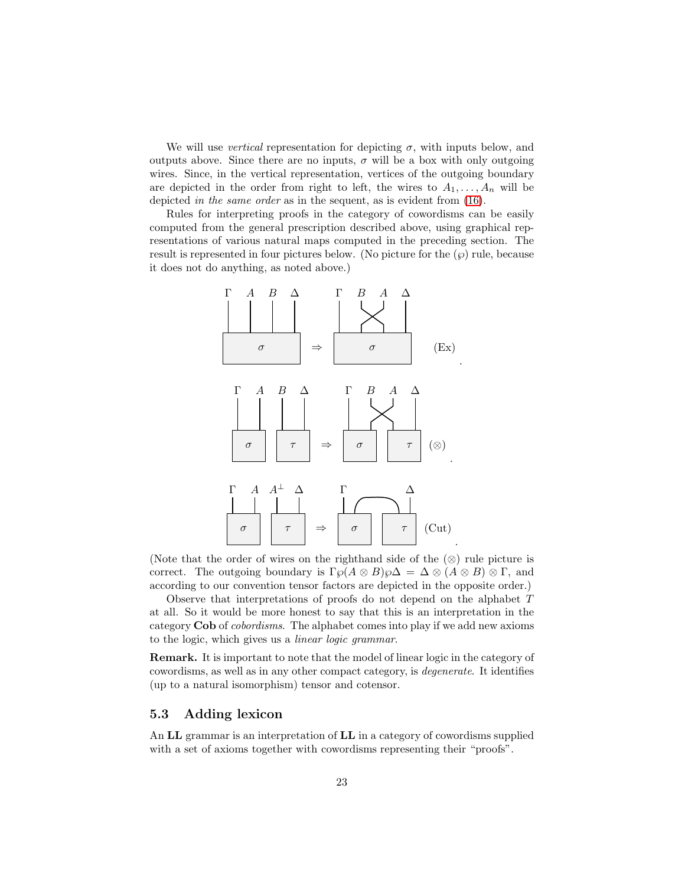We will use *vertical* representation for depicting  $\sigma$ , with inputs below, and outputs above. Since there are no inputs,  $\sigma$  will be a box with only outgoing wires. Since, in the vertical representation, vertices of the outgoing boundary are depicted in the order from right to left, the wires to  $A_1, \ldots, A_n$  will be depicted in the same order as in the sequent, as is evident from [\(16\)](#page-21-0).

Rules for interpreting proofs in the category of cowordisms can be easily computed from the general prescription described above, using graphical representations of various natural maps computed in the preceding section. The result is represented in four pictures below. (No picture for the  $(\wp)$  rule, because it does not do anything, as noted above.)



(Note that the order of wires on the righthand side of the (⊗) rule picture is correct. The outgoing boundary is  $\Gamma \wp(A \otimes B)\wp \Delta = \Delta \otimes (A \otimes B) \otimes \Gamma$ , and according to our convention tensor factors are depicted in the opposite order.)

Observe that interpretations of proofs do not depend on the alphabet T at all. So it would be more honest to say that this is an interpretation in the category Cob of cobordisms. The alphabet comes into play if we add new axioms to the logic, which gives us a linear logic grammar.

Remark. It is important to note that the model of linear logic in the category of cowordisms, as well as in any other compact category, is degenerate. It identifies (up to a natural isomorphism) tensor and cotensor.

## 5.3 Adding lexicon

An LL grammar is an interpretation of LL in a category of cowordisms supplied with a set of axioms together with cowordisms representing their "proofs".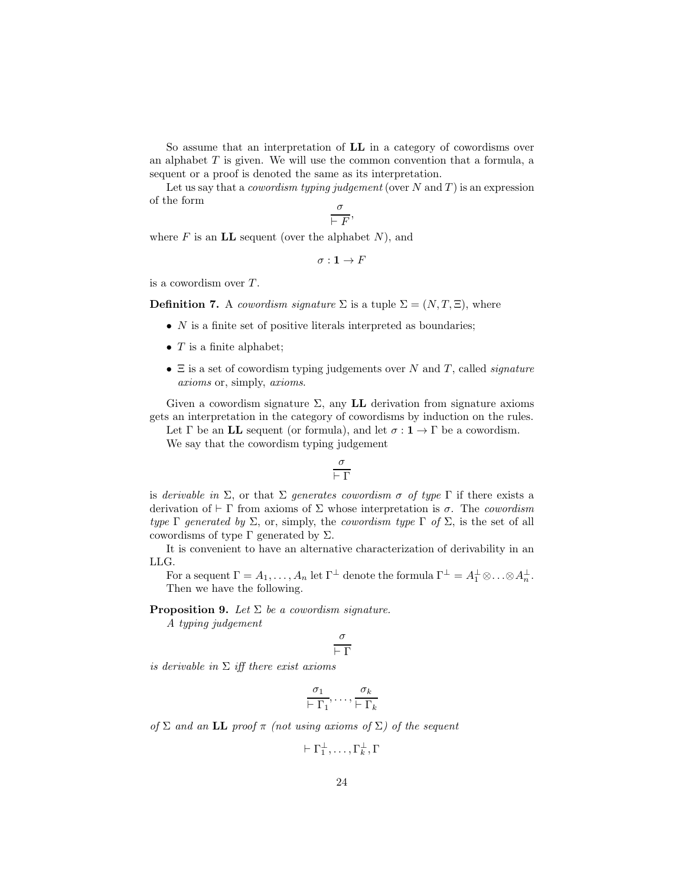So assume that an interpretation of LL in a category of cowordisms over an alphabet  $T$  is given. We will use the common convention that a formula, a sequent or a proof is denoted the same as its interpretation.

Let us say that a *cowordism typing judgement* (over  $N$  and  $T$ ) is an expression of the form

$$
\frac{o}{\vdash F},
$$

where  $F$  is an LL sequent (over the alphabet  $N$ ), and

$$
\sigma:{\bf 1}\to F
$$

is a cowordism over  $T$ .

**Definition 7.** A cowordism signature  $\Sigma$  is a tuple  $\Sigma = (N, T, \Xi)$ , where

- $\bullet$  N is a finite set of positive literals interpreted as boundaries;
- $T$  is a finite alphabet;
- $\Xi$  is a set of cowordism typing judgements over N and T, called *signature* axioms or, simply, axioms.

Given a cowordism signature  $\Sigma$ , any **LL** derivation from signature axioms gets an interpretation in the category of cowordisms by induction on the rules.

Let  $\Gamma$  be an LL sequent (or formula), and let  $\sigma : \mathbf{1} \to \Gamma$  be a cowordism.

We say that the cowordism typing judgement

$$
\frac{\sigma}{\vdash \Gamma}
$$

is derivable in  $\Sigma$ , or that  $\Sigma$  generates cowordism  $\sigma$  of type  $\Gamma$  if there exists a derivation of  $\vdash \Gamma$  from axioms of  $\Sigma$  whose interpretation is  $\sigma$ . The cowordism type  $\Gamma$  generated by  $\Sigma$ , or, simply, the cowordism type  $\Gamma$  of  $\Sigma$ , is the set of all cowordisms of type  $\Gamma$  generated by  $\Sigma$ .

It is convenient to have an alternative characterization of derivability in an LLG.

For a sequent  $\Gamma = A_1, \ldots, A_n$  let  $\Gamma^{\perp}$  denote the formula  $\Gamma^{\perp} = A_1^{\perp} \otimes \ldots \otimes A_n^{\perp}$ . Then we have the following.

<span id="page-23-0"></span>**Proposition 9.** Let  $\Sigma$  be a cowordism signature.

A typing judgement

$$
\frac{\sigma}{\vdash \Gamma}
$$

is derivable in  $\Sigma$  iff there exist axioms

$$
\frac{\sigma_1}{\vdash \Gamma_1}, \ldots, \frac{\sigma_k}{\vdash \Gamma_k}
$$

of  $\Sigma$  and an LL proof  $\pi$  (not using axioms of  $\Sigma$ ) of the sequent

 $\vdash \Gamma_1^{\perp}, \ldots, \Gamma_k^{\perp}, \Gamma$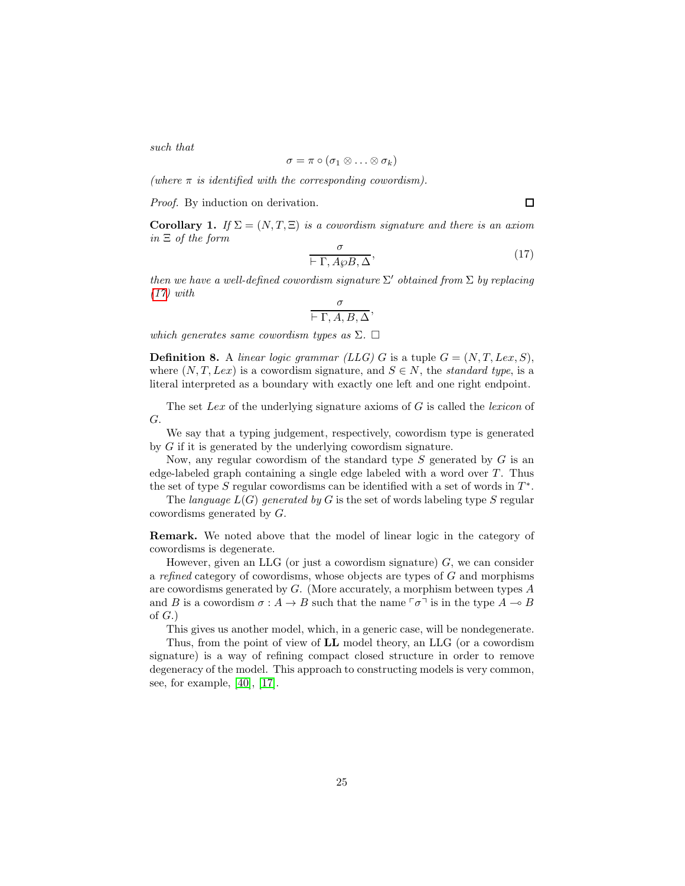such that

$$
\sigma = \pi \circ (\sigma_1 \otimes \ldots \otimes \sigma_k)
$$

(where  $\pi$  is identified with the corresponding cowordism).

Proof. By induction on derivation.

<span id="page-24-1"></span>**Corollary 1.** If  $\Sigma = (N, T, \Xi)$  is a cowordism signature and there is an axiom in  $\Xi$  of the form

<span id="page-24-0"></span>
$$
\frac{\sigma}{\vdash \Gamma, A \wp B, \Delta},\tag{17}
$$

 $\Box$ 

then we have a well-defined cowordism signature  $\Sigma'$  obtained from  $\Sigma$  by replacing  $(17)$  with

$$
\frac{\sigma}{\vdash \Gamma, A, B, \Delta},
$$

which generates same cowordism types as  $\Sigma$ .  $\Box$ 

**Definition 8.** A linear logic grammar (LLG) G is a tuple  $G = (N, T, Lex, S)$ , where  $(N, T, Lex)$  is a cowordism signature, and  $S \in N$ , the *standard type*, is a literal interpreted as a boundary with exactly one left and one right endpoint.

The set Lex of the underlying signature axioms of  $G$  is called the lexicon of G.

We say that a typing judgement, respectively, cowordism type is generated by G if it is generated by the underlying cowordism signature.

Now, any regular cowordism of the standard type  $S$  generated by  $G$  is an edge-labeled graph containing a single edge labeled with a word over  $T$ . Thus the set of type  $S$  regular cowordisms can be identified with a set of words in  $T^*$ .

The language  $L(G)$  generated by G is the set of words labeling type S regular cowordisms generated by G.

Remark. We noted above that the model of linear logic in the category of cowordisms is degenerate.

However, given an LLG (or just a cowordism signature)  $G$ , we can consider a refined category of cowordisms, whose objects are types of G and morphisms are cowordisms generated by G. (More accurately, a morphism between types A and B is a cowordism  $\sigma: A \to B$  such that the name  $\lceil \sigma \rceil$  is in the type  $A \multimap B$ of  $G.$ )

This gives us another model, which, in a generic case, will be nondegenerate.

Thus, from the point of view of LL model theory, an LLG (or a cowordism signature) is a way of refining compact closed structure in order to remove degeneracy of the model. This approach to constructing models is very common, see, for example, [\[40\]](#page-60-8), [\[17\]](#page-58-10).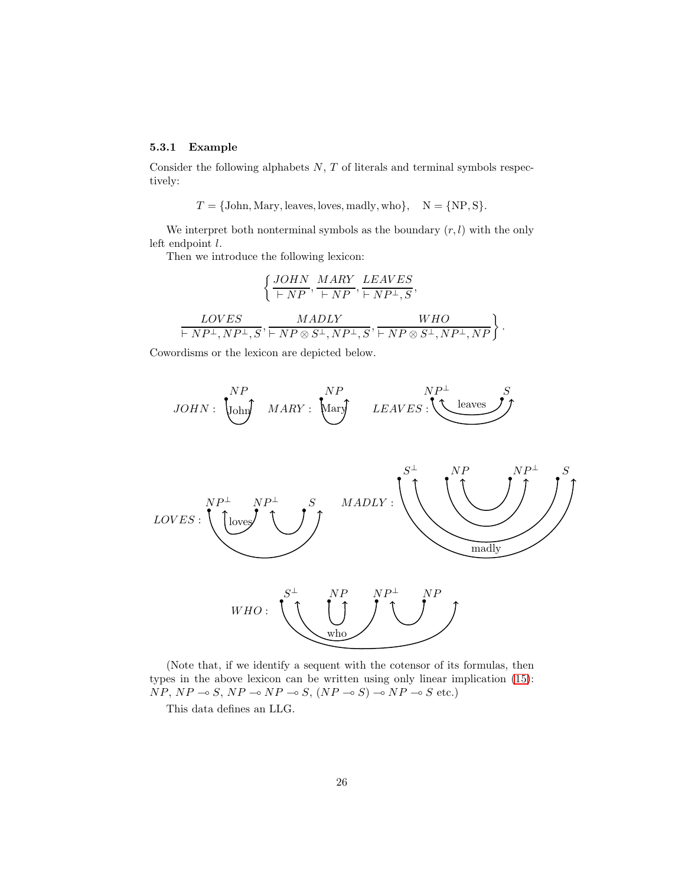## 5.3.1 Example

Consider the following alphabets  $N$ ,  $T$  of literals and terminal symbols respectively:

$$
T = \{\text{John}, \text{Mary}, \text{leaves}, \text{loves}, \text{madly}, \text{who}\}, \quad \mathcal{N} = \{\text{NP}, \text{S}\}.
$$

We interpret both nonterminal symbols as the boundary  $(r, l)$  with the only left endpoint l.

Then we introduce the following lexicon:

$$
\left\{\frac{JOHN}{\vdash NP},\frac{MARY}{\vdash NP},\frac{LEAVES}{\vdash NP^{\bot},S}, \right. \\ \left. \frac{LOVES}{\vdash NP^{\bot}, NP^{\bot},S},\frac{MADLY}{\vdash NP \otimes S^{\bot}, NP^{\bot},S},\frac{WHO}{\vdash NP \otimes S^{\bot}, NP^{\bot}, NP}, \right\}.
$$

Cowordisms or the lexicon are depicted below.





(Note that, if we identify a sequent with the cotensor of its formulas, then types in the above lexicon can be written using only linear implication [\(15\)](#page-20-0):  $NP, NP \rightarrow S, NP \rightarrow NP \rightarrow S, (NP \rightarrow S) \rightarrow NP \rightarrow S$  etc.)

This data defines an LLG.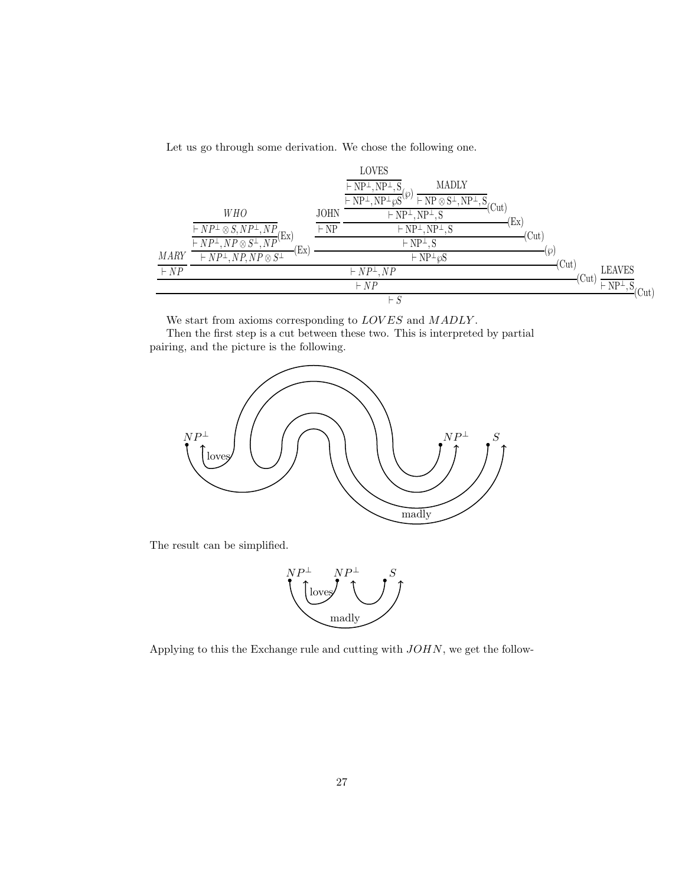Let us go through some derivation. We chose the following one.

|             |                                                                   |             | <b>LOVES</b>                                                                                                                                                                              |                        |      |
|-------------|-------------------------------------------------------------------|-------------|-------------------------------------------------------------------------------------------------------------------------------------------------------------------------------------------|------------------------|------|
|             |                                                                   |             | <b>MADLY</b><br>$\vdash$ NP <sup><math>\perp</math></sup> , NP <sup><math>\perp</math></sup> ,                                                                                            |                        |      |
|             |                                                                   |             | $\vdash$ NP <sup><math>\perp</math></sup> , NP <sup><math>\perp</math></sup><br>$\vdash$ NP $\otimes$ S <sup><math>\perp</math></sup> , NP <sup><math>\perp</math></sup> , S<br>$'$ (Cut) |                        |      |
|             | <b>WHO</b>                                                        | JOHN        | $\vdash NP^{\perp}, NP^{\perp}, S$                                                                                                                                                        | $\rm [Ex]$             |      |
|             | $\vdash NP^{\perp} \otimes S, NP^{\perp}, NP$<br>(EX)             | $\vdash$ NP | $\vdash NP^{\perp}, NP^{\perp}, S$                                                                                                                                                        | (Cut)                  |      |
|             | $\overline{\vdash NP^{\perp}, NP \otimes S^{\perp}, NP'}$<br>(Ex) |             | $\vdash$ NP <sup><math>\perp</math></sup> , S                                                                                                                                             |                        |      |
| <b>MARY</b> | $\vdash NP^{\perp}, NP, NP \otimes S^{\perp}$                     |             | $\vdash NP^{\perp} \wp S$                                                                                                                                                                 | .(၄)<br>(Cut)          |      |
| $\vdash NP$ |                                                                   |             | $\vdash NP^{\perp}, NP$                                                                                                                                                                   | <b>LEAVES</b><br>(Cut) |      |
|             |                                                                   |             | $\vdash NP$                                                                                                                                                                               | $\vdash NP^{\perp}, S$ | 'Cut |
|             |                                                                   |             | $\vdash S$                                                                                                                                                                                |                        |      |

We start from axioms corresponding to  $LOVES$  and  $MADLY$ .

Then the first step is a cut between these two. This is interpreted by partial pairing, and the picture is the following.



The result can be simplified.



Applying to this the Exchange rule and cutting with JOHN, we get the follow-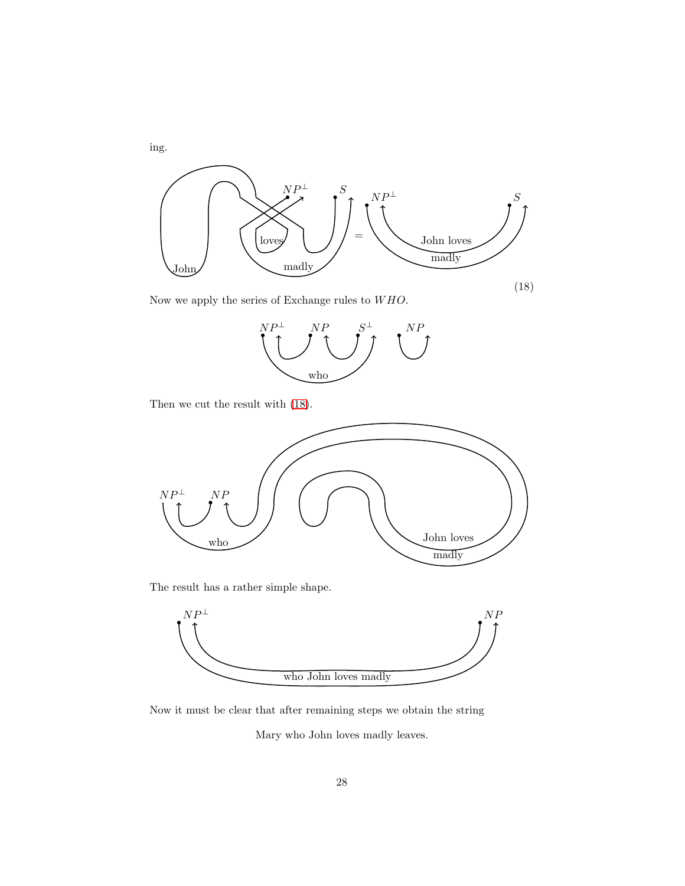

<span id="page-27-0"></span>Now we apply the series of Exchange rules to  ${\cal WHO}.$ 



Then we cut the result with [\(18\)](#page-27-0).



The result has a rather simple shape.



Now it must be clear that after remaining steps we obtain the string

Mary who John loves madly leaves.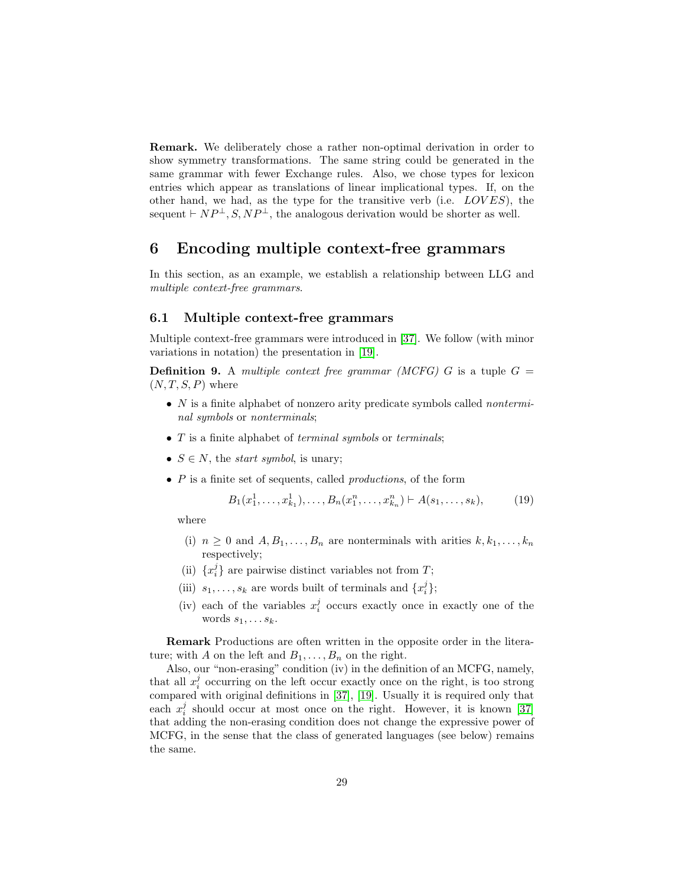Remark. We deliberately chose a rather non-optimal derivation in order to show symmetry transformations. The same string could be generated in the same grammar with fewer Exchange rules. Also, we chose types for lexicon entries which appear as translations of linear implicational types. If, on the other hand, we had, as the type for the transitive verb (i.e.  $LOVES$ ), the sequent  $\vdash NP^{\perp}, S, NP^{\perp}$ , the analogous derivation would be shorter as well.

## 6 Encoding multiple context-free grammars

In this section, as an example, we establish a relationship between LLG and multiple context-free grammars.

## 6.1 Multiple context-free grammars

Multiple context-free grammars were introduced in [\[37\]](#page-60-9). We follow (with minor variations in notation) the presentation in [\[19\]](#page-59-10).

**Definition 9.** A multiple context free grammar (MCFG) G is a tuple  $G =$  $(N, T, S, P)$  where

- $N$  is a finite alphabet of nonzero arity predicate symbols called *nontermi*nal symbols or nonterminals;
- $\bullet$  T is a finite alphabet of *terminal symbols* or *terminals*;
- $S \in N$ , the *start symbol*, is unary;
- $\bullet$  P is a finite set of sequents, called *productions*, of the form

<span id="page-28-0"></span>
$$
B_1(x_1^1, \ldots, x_{k_1}^1), \ldots, B_n(x_1^n, \ldots, x_{k_n}^n) \vdash A(s_1, \ldots, s_k), \tag{19}
$$

where

- (i)  $n \geq 0$  and  $A, B_1, \ldots, B_n$  are nonterminals with arities  $k, k_1, \ldots, k_n$ respectively;
- (ii)  $\{x_i^j\}$  are pairwise distinct variables not from T;
- (iii)  $s_1, \ldots, s_k$  are words built of terminals and  $\{x_i^j\}$ ;
- (iv) each of the variables  $x_i^j$  occurs exactly once in exactly one of the words  $s_1, \ldots s_k$ .

Remark Productions are often written in the opposite order in the literature; with A on the left and  $B_1, \ldots, B_n$  on the right.

Also, our "non-erasing" condition (iv) in the definition of an MCFG, namely, that all  $x_i^j$  occurring on the left occur exactly once on the right, is too strong compared with original definitions in [\[37\]](#page-60-9), [\[19\]](#page-59-10). Usually it is required only that each  $x_i^j$  should occur at most once on the right. However, it is known [\[37\]](#page-60-9) that adding the non-erasing condition does not change the expressive power of MCFG, in the sense that the class of generated languages (see below) remains the same.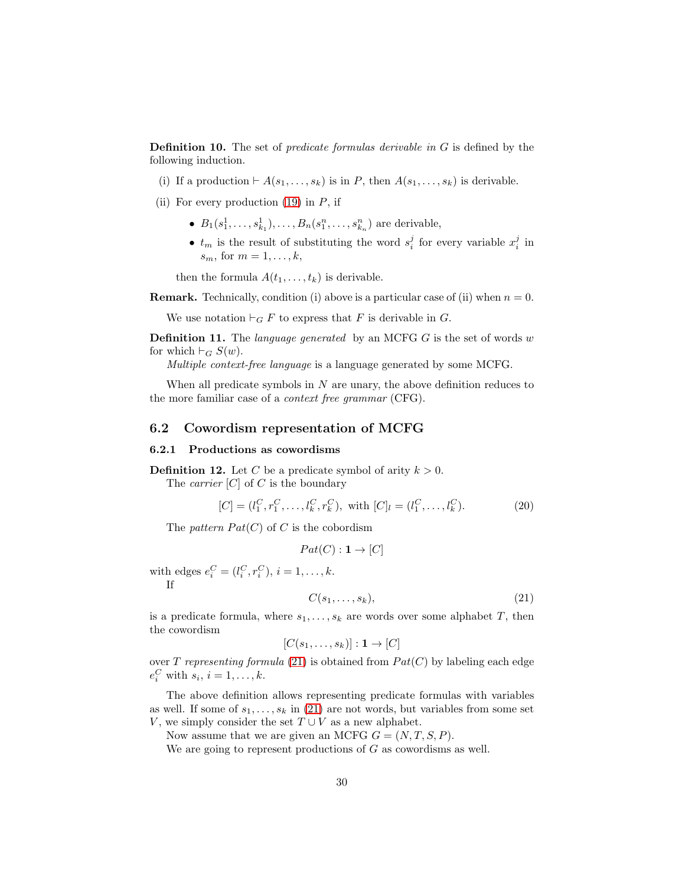**Definition 10.** The set of *predicate formulas derivable in G* is defined by the following induction.

- (i) If a production  $\vdash A(s_1,\ldots,s_k)$  is in P, then  $A(s_1,\ldots,s_k)$  is derivable.
- (ii) For every production  $(19)$  in P, if
	- $B_1(s_1^1, \ldots, s_{k_1}^1), \ldots, B_n(s_1^n, \ldots, s_{k_n}^n)$  are derivable,
	- $t_m$  is the result of substituting the word  $s_i^j$  for every variable  $x_i^j$  in  $s_m$ , for  $m = 1, \ldots, k$ ,

then the formula  $A(t_1, \ldots, t_k)$  is derivable.

**Remark.** Technically, condition (i) above is a particular case of (ii) when  $n = 0$ .

We use notation  $\vdash_G F$  to express that F is derivable in G.

**Definition 11.** The *language generated* by an MCFG  $G$  is the set of words  $w$ for which  $\vdash_G S(w)$ .

Multiple context-free language is a language generated by some MCFG.

When all predicate symbols in  $N$  are unary, the above definition reduces to the more familiar case of a context free grammar (CFG).

#### 6.2 Cowordism representation of MCFG

#### 6.2.1 Productions as cowordisms

<span id="page-29-1"></span>**Definition 12.** Let C be a predicate symbol of arity  $k > 0$ .

The *carrier*  $[C]$  of C is the boundary

$$
[C] = (l_1^C, r_1^C, \dots, l_k^C, r_k^C), \text{ with } [C]_l = (l_1^C, \dots, l_k^C). \tag{20}
$$

The pattern  $Pat(C)$  of C is the cobordism

$$
Pat(C): \mathbf{1} \to [C]
$$

with edges  $e_i^C = (l_i^C, r_i^C), i = 1, ..., k$ . If

<span id="page-29-0"></span>
$$
C(s_1, \ldots, s_k), \tag{21}
$$

is a predicate formula, where  $s_1, \ldots, s_k$  are words over some alphabet T, then the cowordism

$$
[C(s_1,\ldots,s_k)]:\mathbf{1}\to [C]
$$

over T representing formula [\(21\)](#page-29-0) is obtained from  $Pat(C)$  by labeling each edge  $e_i^C$  with  $s_i$ ,  $i = 1, \ldots, k$ .

The above definition allows representing predicate formulas with variables as well. If some of  $s_1, \ldots, s_k$  in [\(21\)](#page-29-0) are not words, but variables from some set V, we simply consider the set  $T \cup V$  as a new alphabet.

Now assume that we are given an MCFG  $G = (N, T, S, P)$ .

We are going to represent productions of  $G$  as cowordisms as well.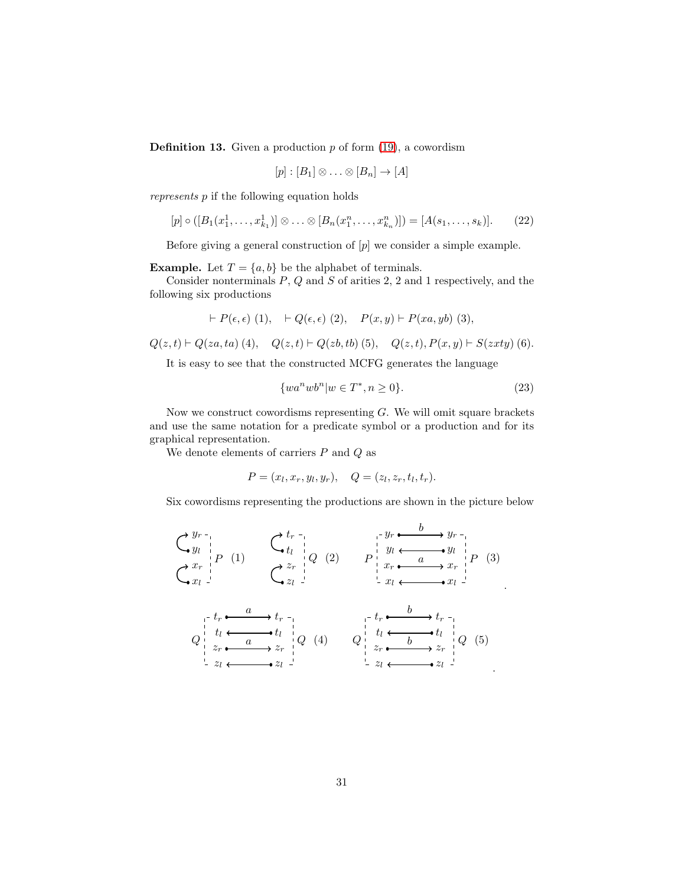<span id="page-30-2"></span>**Definition 13.** Given a production  $p$  of form  $(19)$ , a cowordism

$$
[p] : [B_1] \otimes \ldots \otimes [B_n] \to [A]
$$

represents p if the following equation holds

<span id="page-30-0"></span>
$$
[p] \circ ([B_1(x_1^1, \ldots, x_{k_1}^1)] \otimes \ldots \otimes [B_n(x_1^n, \ldots, x_{k_n}^n)]) = [A(s_1, \ldots, s_k)]. \qquad (22)
$$

Before giving a general construction of  $[p]$  we consider a simple example.

**Example.** Let  $T = \{a, b\}$  be the alphabet of terminals.

Consider nonterminals  $P$ ,  $Q$  and  $S$  of arities 2, 2 and 1 respectively, and the following six productions

$$
\vdash P(\epsilon, \epsilon) \ (1), \quad \vdash Q(\epsilon, \epsilon) \ (2), \quad P(x, y) \vdash P(xa, yb) \ (3),
$$

 $Q(z, t) \vdash Q(za, ta)$  (4),  $Q(z, t) \vdash Q(zb, tb)$  (5),  $Q(z, t), P(x, y) \vdash S(zxty)$  (6).

It is easy to see that the constructed MCFG generates the language

<span id="page-30-1"></span>
$$
\{wa^nwb^n|w \in T^*, n \ge 0\}.\tag{23}
$$

.

Now we construct cowordisms representing  $G$ . We will omit square brackets and use the same notation for a predicate symbol or a production and for its graphical representation.

We denote elements of carriers  $P$  and  $Q$  as

$$
P = (x_l, x_r, y_l, y_r), \quad Q = (z_l, z_r, t_l, t_r).
$$

Six cowordisms representing the productions are shown in the picture below

$$
\begin{array}{ccc}\n\bigodot_{y_l}^{y_r} & \bigodot_{t_l}^{t_r} & \bigodot_{t_l}^{t_r} & \bigodot_{y_l}^{t_r} & \bigodot_{y_l}^{y_l} & \bigodot_{y_l}^{y_l} & \bigodot_{y_l}^{y_l} \\
\bigodot_{x_l}^{x_r} & \bigodot_{z_l}^{x_l} & \bigodot_{z_l}^{z_r} & \bigodot_{z_l}^{y_l} & \bigodot_{x_l}^{y_l} & \bigodot_{x_l}^{y_l} & \bigodot_{x_l}^{y_l} \\
\bigodot_{x_l}^{t_r} & \bigodot_{z_l}^{t_r} & \bigodot_{z_l}^{t_r} & \bigodot_{z_l}^{t_r} & \bigodot_{x_l}^{t_r} & \bigodot_{x_l}^{t_r} & \bigodot_{x_l}^{t_r} \\
\bigodot_{z_l}^{t_l} & \bigodot_{x_l}^{t_l} & \bigodot_{z_l}^{t_l} & \bigodot_{z_l}^{t_l} & \bigodot_{x_r}^{t_r} & \bigodot_{x_l}^{t_l} & \bigodot_{z_l}^{t_l} \\
\bigodot_{z_l}^{t_l} & \bigodot_{z_l}^{t_l} & \bigodot_{z_l}^{t_l} & \bigodot_{x_l}^{t_l} & \bigodot_{x_l}^{t_l} & \bigodot_{x_l}^{t_l} & \bigodot_{x_l}^{t_l} \\
\bigodot_{z_l}^{t_l} & \bigodot_{z_l}^{t_l} & \bigodot_{z_l}^{t_l} & \bigodot_{z_l}^{t_l} & \bigodot_{z_l}^{t_l} & \bigodot_{z_l}^{t_l} & \bigodot_{z_l}^{t_l} & \bigodot_{z_l}^{t_l} & \bigodot_{z_l}^{t_l} & \bigodot_{z_l}^{t_l} & \bigodot_{z_l}^{t_l} & \bigodot_{z_l}^{t_l} & \bigodot_{z_l}^{t_l} & \bigodot_{z_l}^{t_l} & \bigodot_{z_l}^{t_l} & \bigodot_{z_l}^{t_l}
$$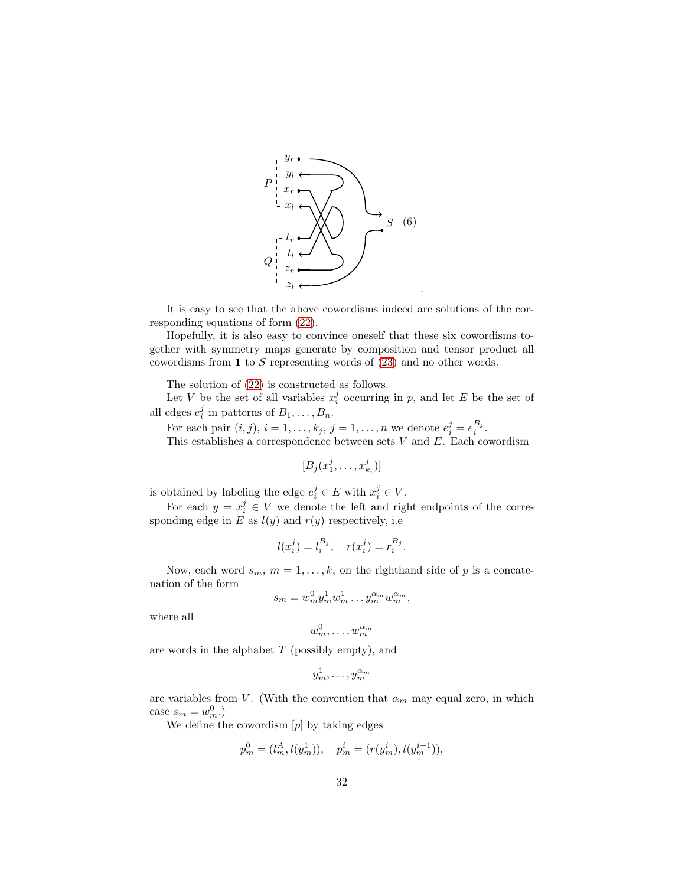

It is easy to see that the above cowordisms indeed are solutions of the corresponding equations of form [\(22\)](#page-30-0).

Hopefully, it is also easy to convince oneself that these six cowordisms together with symmetry maps generate by composition and tensor product all cowordisms from 1 to S representing words of [\(23\)](#page-30-1) and no other words.

The solution of [\(22\)](#page-30-0) is constructed as follows.

Let V be the set of all variables  $x_i^j$  occurring in p, and let E be the set of all edges  $e_i^j$  in patterns of  $B_1, \ldots, B_n$ .

For each pair  $(i, j)$ ,  $i = 1, \ldots, k_j$ ,  $j = 1, \ldots, n$  we denote  $e_i^j = e_i^{B_j}$ . This establishes a correspondence between sets  $V$  and  $E$ . Each cowordism

$$
[B_j(x_1^j,\ldots,x_{k_i}^j)]
$$

is obtained by labeling the edge  $e_i^j \in E$  with  $x_i^j \in V$ .

For each  $y = x_i^j \in V$  we denote the left and right endpoints of the corresponding edge in E as  $l(y)$  and  $r(y)$  respectively, i.e

$$
l(x_i^j) = l_i^{B_j}, \quad r(x_i^j) = r_i^{B_j}.
$$

Now, each word  $s_m$ ,  $m = 1, ..., k$ , on the righthand side of p is a concatenation of the form

$$
s_m = w_m^0 y_m^1 w_m^1 \dots y_m^{\alpha_m} w_m^{\alpha_m},
$$

where all

$$
w_m^0,\ldots,w_m^{\alpha_m}
$$

are words in the alphabet  $T$  (possibly empty), and

$$
y_m^1,\ldots,y_m^{\alpha_m}
$$

are variables from V. (With the convention that  $\alpha_m$  may equal zero, in which case  $s_m = w_m^0$ .)

We define the cowordism  $[p]$  by taking edges

$$
p_m^0 = (l_m^A, l(y_m^1)), \quad p_m^i = (r(y_m^i), l(y_m^{i+1})),
$$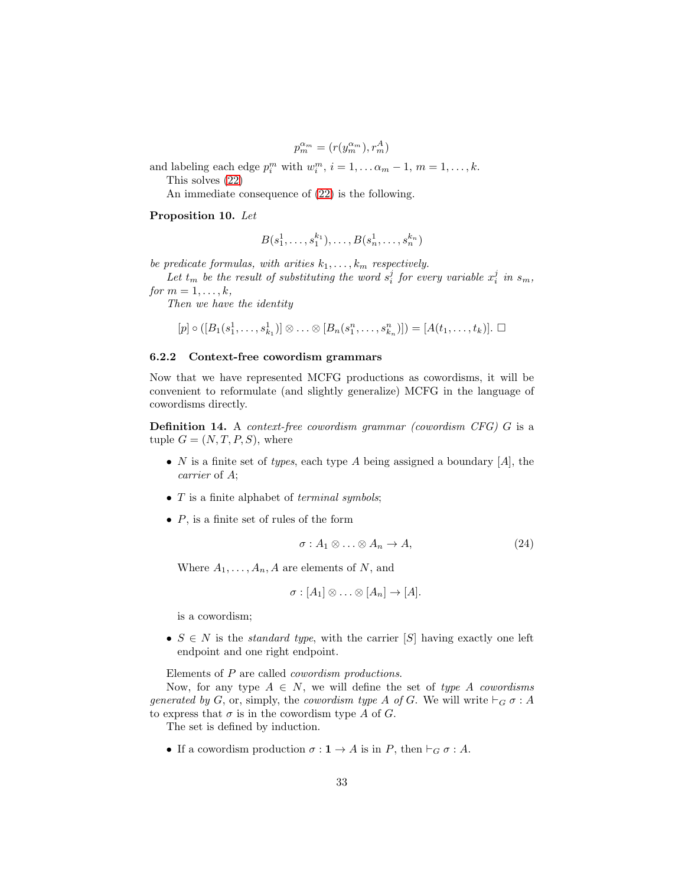$p_m^{\alpha_m} = (r(y_m^{\alpha_m}), r_m^A)$ 

and labeling each edge  $p_i^m$  with  $w_i^m$ ,  $i = 1, \dots \alpha_m - 1$ ,  $m = 1, \dots, k$ . This solves [\(22\)](#page-30-0)

An immediate consequence of [\(22\)](#page-30-0) is the following.

<span id="page-32-0"></span>Proposition 10. Let

$$
B(s_1^1, \ldots, s_1^{k_1}), \ldots, B(s_n^1, \ldots, s_n^{k_n})
$$

be predicate formulas, with arities  $k_1, \ldots, k_m$  respectively.

Let  $t_m$  be the result of substituting the word  $s_i^j$  for every variable  $x_i^j$  in  $s_m$ , for  $m = 1, \ldots, k$ ,

Then we have the identity

$$
[p] \circ ([B_1(s_1^1, \ldots, s_{k_1}^1)] \otimes \ldots \otimes [B_n(s_1^n, \ldots, s_{k_n}^n)]) = [A(t_1, \ldots, t_k)]. \square
$$

#### 6.2.2 Context-free cowordism grammars

Now that we have represented MCFG productions as cowordisms, it will be convenient to reformulate (and slightly generalize) MCFG in the language of cowordisms directly.

**Definition 14.** A *context-free cowordism grammar (cowordism CFG)*  $G$  is a tuple  $G = (N, T, P, S)$ , where

- N is a finite set of types, each type A being assigned a boundary  $[A]$ , the carrier of A;
- $T$  is a finite alphabet of *terminal symbols*;
- $P$ , is a finite set of rules of the form

<span id="page-32-1"></span>
$$
\sigma: A_1 \otimes \ldots \otimes A_n \to A,\tag{24}
$$

Where  $A_1, \ldots, A_n, A$  are elements of N, and

$$
\sigma : [A_1] \otimes \ldots \otimes [A_n] \to [A].
$$

is a cowordism;

•  $S \in N$  is the *standard type*, with the carrier [S] having exactly one left endpoint and one right endpoint.

Elements of P are called cowordism productions.

Now, for any type  $A \in N$ , we will define the set of type A cowordisms generated by G, or, simply, the cowordism type A of G. We will write  $\vdash_G \sigma : A$ to express that  $\sigma$  is in the cowordism type A of G.

The set is defined by induction.

• If a cowordism production  $\sigma: \mathbf{1} \to A$  is in P, then  $\vdash_G \sigma: A$ .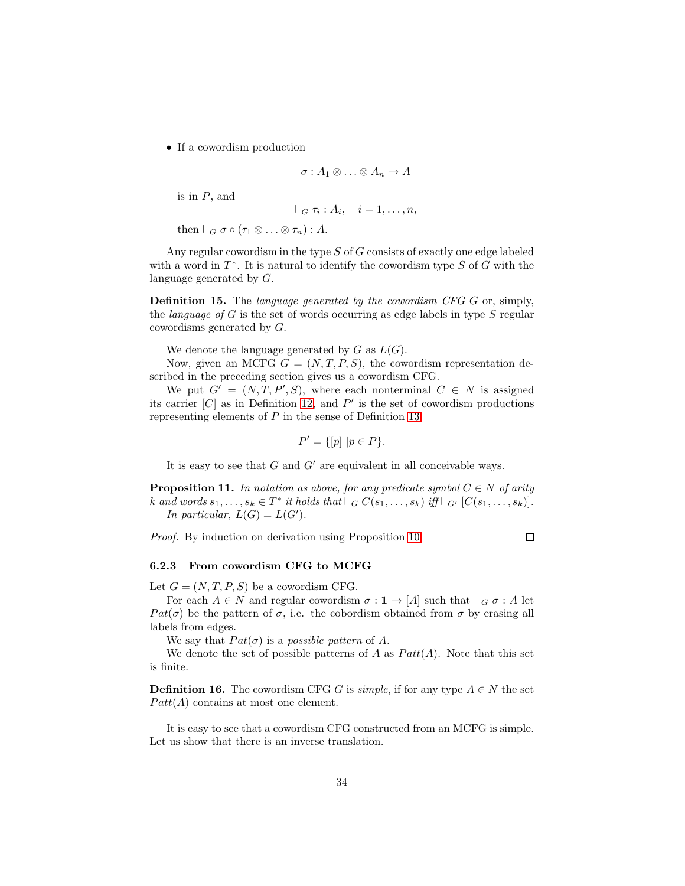• If a cowordism production

$$
\sigma: A_1 \otimes \ldots \otimes A_n \to A
$$

is in  $P$ , and

$$
\vdash_G \tau_i : A_i, \quad i = 1, \ldots, n,
$$

then  $\vdash_G \sigma \circ (\tau_1 \otimes \ldots \otimes \tau_n) : A$ .

Any regular cowordism in the type  $S$  of  $G$  consists of exactly one edge labeled with a word in  $T^*$ . It is natural to identify the cowordism type  $S$  of  $G$  with the language generated by G.

Definition 15. The language generated by the cowordism CFG G or, simply, the *language* of  $G$  is the set of words occurring as edge labels in type  $S$  regular cowordisms generated by G.

We denote the language generated by  $G$  as  $L(G)$ .

Now, given an MCFG  $G = (N, T, P, S)$ , the cowordism representation described in the preceding section gives us a cowordism CFG.

We put  $G' = (N, T, P', S)$ , where each nonterminal  $C \in N$  is assigned its carrier  $[C]$  as in Definition [12,](#page-29-1) and  $P'$  is the set of cowordism productions representing elements of P in the sense of Definition [13:](#page-30-2)

$$
P' = \{ [p] \mid p \in P \}.
$$

It is easy to see that  $G$  and  $G'$  are equivalent in all conceivable ways.

<span id="page-33-0"></span>**Proposition 11.** In notation as above, for any predicate symbol  $C \in N$  of arity k and words  $s_1, \ldots, s_k \in T^*$  it holds that  $\vdash_G C(s_1, \ldots, s_k)$  iff  $\vdash_{G'} [C(s_1, \ldots, s_k)]$ . In particular,  $L(G) = L(G')$ .

Proof. By induction on derivation using Proposition [10.](#page-32-0)

 $\Box$ 

#### 6.2.3 From cowordism CFG to MCFG

Let  $G = (N, T, P, S)$  be a cowordism CFG.

For each  $A \in N$  and regular cowordism  $\sigma : \mathbf{1} \to [A]$  such that  $\vdash_G \sigma : A$  let Pat( $\sigma$ ) be the pattern of  $\sigma$ , i.e. the cobordism obtained from  $\sigma$  by erasing all labels from edges.

We say that  $Pat(\sigma)$  is a possible pattern of A.

We denote the set of possible patterns of A as  $Patt(A)$ . Note that this set is finite.

**Definition 16.** The cowordism CFG G is *simple*, if for any type  $A \in N$  the set  $Patt(A)$  contains at most one element.

It is easy to see that a cowordism CFG constructed from an MCFG is simple. Let us show that there is an inverse translation.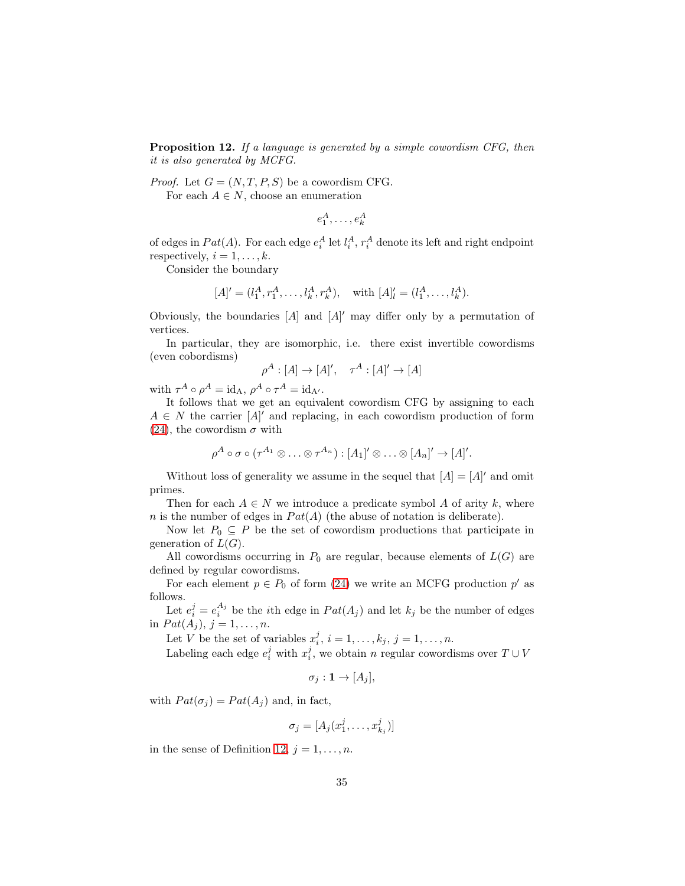**Proposition 12.** If a language is generated by a simple cowordism CFG, then it is also generated by MCFG.

*Proof.* Let  $G = (N, T, P, S)$  be a cowordism CFG.

For each  $A \in N$ , choose an enumeration

 $e_1^A, \ldots, e_k^A$ 

of edges in  $Pat(A)$ . For each edge  $e_i^A$  let  $l_i^A$ ,  $r_i^A$  denote its left and right endpoint respectively,  $i = 1, \ldots, k$ .

Consider the boundary

$$
[A]' = (l_1^A, r_1^A, \dots, l_k^A, r_k^A), \text{ with } [A]'_l = (l_1^A, \dots, l_k^A).
$$

Obviously, the boundaries  $[A]$  and  $[A]'$  may differ only by a permutation of vertices.

In particular, they are isomorphic, i.e. there exist invertible cowordisms (even cobordisms)

$$
\rho^A : [A] \to [A]', \quad \tau^A : [A]' \to [A]
$$

with  $\tau^A \circ \rho^A = \mathrm{id}_A$ ,  $\rho^A \circ \tau^A = \mathrm{id}_{A'}$ .

It follows that we get an equivalent cowordism CFG by assigning to each  $A \in N$  the carrier  $[A]'$  and replacing, in each cowordism production of form [\(24\)](#page-32-1), the cowordism  $\sigma$  with

$$
\rho^A\circ\sigma\circ(\tau^{A_1}\otimes\ldots\otimes\tau^{A_n}):\left[A_1\right]'\otimes\ldots\otimes\left[A_n\right]'\to\left[A\right]'.
$$

Without loss of generality we assume in the sequel that  $[A] = [A]'$  and omit primes.

Then for each  $A \in N$  we introduce a predicate symbol A of arity k, where n is the number of edges in  $Pat(A)$  (the abuse of notation is deliberate).

Now let  $P_0 \subseteq P$  be the set of cowordism productions that participate in generation of  $L(G)$ .

All cowordisms occurring in  $P_0$  are regular, because elements of  $L(G)$  are defined by regular cowordisms.

For each element  $p \in P_0$  of form [\(24\)](#page-32-1) we write an MCFG production  $p'$  as follows.

Let  $e_i^j = e_i^{A_j}$  be the *i*<sup>th</sup> edge in  $Pat(A_j)$  and let  $k_j$  be the number of edges in  $Pat(A_j), j = 1, ..., n$ .

Let V be the set of variables  $x_i^j$ ,  $i = 1, \ldots, k_j$ ,  $j = 1, \ldots, n$ .

Labeling each edge  $e_i^j$  with  $x_i^j$ , we obtain n regular cowordisms over  $T \cup V$ 

$$
\sigma_j: \mathbf{1} \to [A_j],
$$

with  $Pat(\sigma_j) = Pat(A_j)$  and, in fact,

$$
\sigma_j = [A_j(x_1^j, \ldots, x_{k_j}^j)]
$$

in the sense of Definition [12,](#page-29-1)  $j = 1, \ldots, n$ .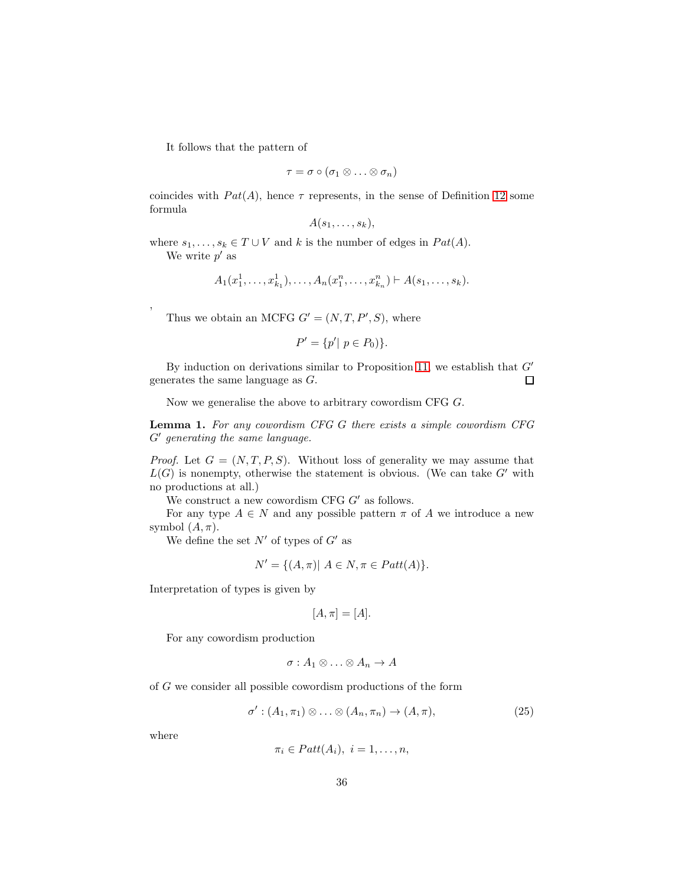It follows that the pattern of

$$
\tau = \sigma \circ (\sigma_1 \otimes \ldots \otimes \sigma_n)
$$

coincides with  $Pat(A)$ , hence  $\tau$  represents, in the sense of Definition [12](#page-29-1) some formula

$$
A(s_1,\ldots,s_k),
$$

where  $s_1, \ldots, s_k \in T \cup V$  and k is the number of edges in  $Pat(A)$ .

We write  $p'$  as

,

$$
A_1(x_1^1, \ldots, x_{k_1}^1), \ldots, A_n(x_1^n, \ldots, x_{k_n}^n) \vdash A(s_1, \ldots, s_k).
$$

Thus we obtain an MCFG  $G' = (N, T, P', S)$ , where

$$
P' = \{p' | p \in P_0)\}.
$$

By induction on derivations similar to Proposition [11,](#page-33-0) we establish that  $G'$ generates the same language as G.  $\Box$ 

Now we generalise the above to arbitrary cowordism CFG G.

Lemma 1. For any cowordism CFG G there exists a simple cowordism CFG G′ generating the same language.

*Proof.* Let  $G = (N, T, P, S)$ . Without loss of generality we may assume that  $L(G)$  is nonempty, otherwise the statement is obvious. (We can take  $G'$  with no productions at all.)

We construct a new cowordism CFG  $G'$  as follows.

For any type  $A \in N$  and any possible pattern  $\pi$  of A we introduce a new symbol  $(A, \pi)$ .

We define the set  $N'$  of types of  $G'$  as

$$
N' = \{(A, \pi) | A \in N, \pi \in Patt(A)\}.
$$

Interpretation of types is given by

$$
[A,\pi]=[A].
$$

For any cowordism production

$$
\sigma: A_1 \otimes \ldots \otimes A_n \to A
$$

of G we consider all possible cowordism productions of the form

<span id="page-35-0"></span>
$$
\sigma': (A_1, \pi_1) \otimes \ldots \otimes (A_n, \pi_n) \to (A, \pi), \tag{25}
$$

where

$$
\pi_i \in Patt(A_i), i = 1, \ldots, n,
$$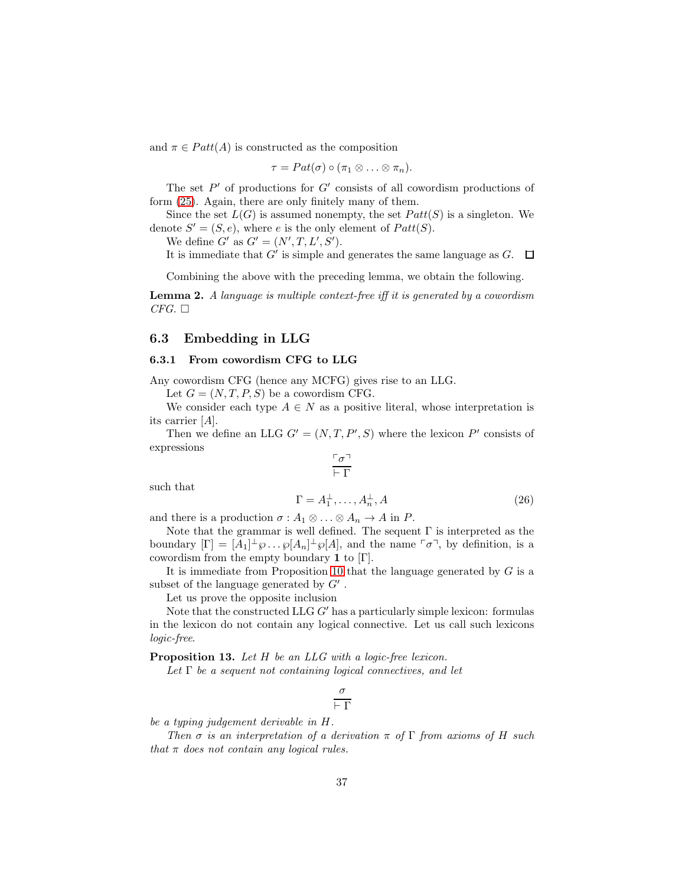and  $\pi \in \text{Patt}(A)$  is constructed as the composition

 $\tau = Pat(\sigma) \circ (\pi_1 \otimes \ldots \otimes \pi_n).$ 

The set  $P'$  of productions for  $G'$  consists of all cowordism productions of form [\(25\)](#page-35-0). Again, there are only finitely many of them.

Since the set  $L(G)$  is assumed nonempty, the set  $Patt(S)$  is a singleton. We denote  $S' = (S, e)$ , where e is the only element of  $Patt(S)$ .

We define  $G'$  as  $G' = (N', T, L', S')$ .

It is immediate that  $G'$  is simple and generates the same language as  $G$ .

Combining the above with the preceding lemma, we obtain the following.

<span id="page-36-0"></span>Lemma 2. A language is multiple context-free iff it is generated by a cowordism  $CFG. \ \Box$ 

### 6.3 Embedding in LLG

#### 6.3.1 From cowordism CFG to LLG

Any cowordism CFG (hence any MCFG) gives rise to an LLG.

Let  $G = (N, T, P, S)$  be a cowordism CFG.

We consider each type  $A \in N$  as a positive literal, whose interpretation is its carrier [A].

Then we define an LLG  $G' = (N, T, P', S)$  where the lexicon P' consists of expressions

$$
\frac{\ulcorner \sigma \urcorner}{\vdash \Gamma}
$$

such that

$$
\Gamma = A_1^{\perp}, \dots, A_n^{\perp}, A \tag{26}
$$

and there is a production  $\sigma : A_1 \otimes \ldots \otimes A_n \to A$  in P.

Note that the grammar is well defined. The sequent  $\Gamma$  is interpreted as the boundary  $[\Gamma] = [A_1]^{\perp} \wp \dots \wp[A_n]^{\perp} \wp[A]$ , and the name  $\lceil \sigma \rceil$ , by definition, is a cowordism from the empty boundary 1 to  $[\Gamma]$ .

It is immediate from Proposition [10](#page-32-0) that the language generated by  $G$  is a subset of the language generated by  $G'$ .

Let us prove the opposite inclusion

Note that the constructed LLG  $G'$  has a particularly simple lexicon: formulas in the lexicon do not contain any logical connective. Let us call such lexicons logic-free.

Proposition 13. Let H be an LLG with a logic-free lexicon.

Let  $\Gamma$  be a sequent not containing logical connectives, and let

$$
\frac{\sigma}{\vdash \Gamma}
$$

be a typing judgement derivable in H.

Then  $\sigma$  is an interpretation of a derivation  $\pi$  of  $\Gamma$  from axioms of H such that  $\pi$  does not contain any logical rules.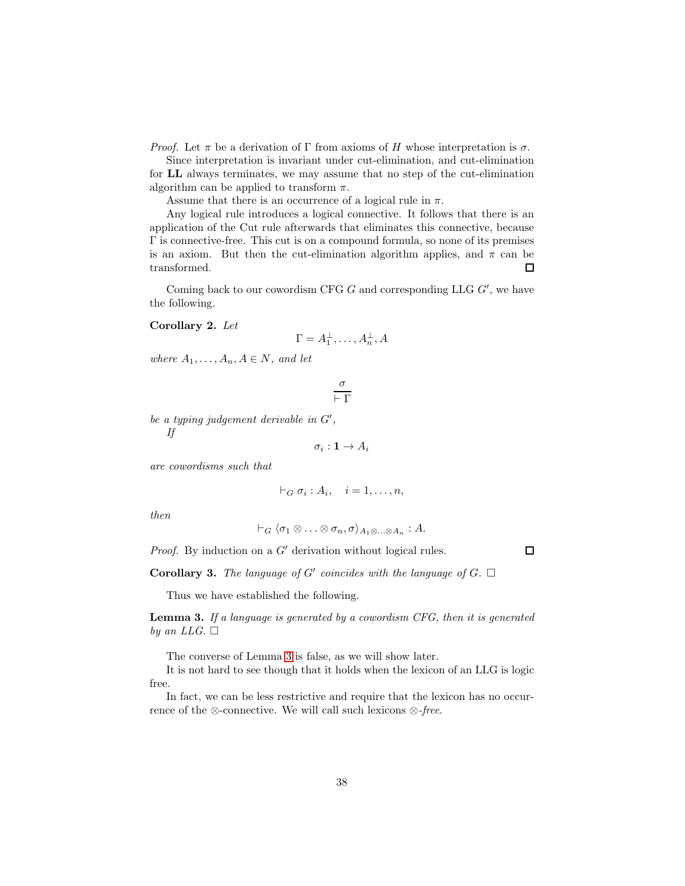*Proof.* Let  $\pi$  be a derivation of  $\Gamma$  from axioms of H whose interpretation is  $\sigma$ .

Since interpretation is invariant under cut-elimination, and cut-elimination for LL always terminates, we may assume that no step of the cut-elimination algorithm can be applied to transform  $\pi$ .

Assume that there is an occurrence of a logical rule in  $\pi$ .

Any logical rule introduces a logical connective. It follows that there is an application of the Cut rule afterwards that eliminates this connective, because Γ is connective-free. This cut is on a compound formula, so none of its premises is an axiom. But then the cut-elimination algorithm applies, and  $\pi$  can be transformed.  $\Box$ 

Coming back to our cowordism CFG  $G$  and corresponding LLG  $G'$ , we have the following.

### Corollary 2. Let

$$
\Gamma = A_1^{\perp}, \dots, A_n^{\perp}, A
$$

where  $A_1, \ldots, A_n, A \in N$ , and let

$$
\frac{\sigma}{\vdash \Gamma}
$$

be a typing judgement derivable in  $G'$ , If

$$
\sigma_i: \mathbf{1} \to A_i
$$

are cowordisms such that

$$
\vdash_G \sigma_i : A_i, \quad i = 1, \ldots, n,
$$

then

$$
\vdash_G \langle \sigma_1 \otimes \ldots \otimes \sigma_n, \sigma \rangle_{A_1 \otimes \ldots \otimes A_n} : A.
$$

*Proof.* By induction on a  $G'$  derivation without logical rules.

 $\Box$ 

**Corollary 3.** The language of  $G'$  coincides with the language of  $G$ .  $\Box$ 

Thus we have established the following.

<span id="page-37-0"></span>**Lemma 3.** If a language is generated by a cowordism CFG, then it is generated by an LLG.  $\Box$ 

The converse of Lemma [3](#page-37-0) is false, as we will show later.

It is not hard to see though that it holds when the lexicon of an LLG is logic free.

In fact, we can be less restrictive and require that the lexicon has no occurrence of the ⊗-connective. We will call such lexicons  $\otimes$ -free.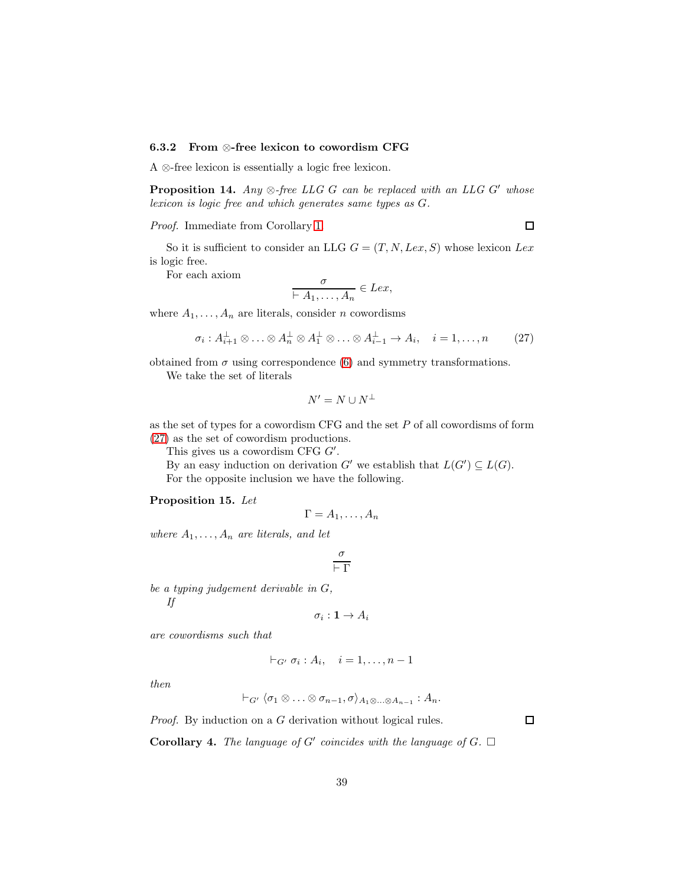#### 6.3.2 From ⊗-free lexicon to cowordism CFG

A ⊗-free lexicon is essentially a logic free lexicon.

**Proposition 14.** Any  $\otimes$ -free LLG G can be replaced with an LLG G' whose lexicon is logic free and which generates same types as G.

Proof. Immediate from Corollary [1.](#page-24-1)

So it is sufficient to consider an LLG  $G = (T, N, Lex, S)$  whose lexicon Lex is logic free.

For each axiom

$$
\frac{o}{\vdash A_1,\ldots,A_n}\in Lex,
$$

where  $A_1, \ldots, A_n$  are literals, consider n cowordisms

<span id="page-38-0"></span>
$$
\sigma_i: A_{i+1}^\perp \otimes \ldots \otimes A_n^\perp \otimes A_1^\perp \otimes \ldots \otimes A_{i-1}^\perp \to A_i, \quad i = 1, \ldots, n \tag{27}
$$

obtained from  $\sigma$  using correspondence [\(6\)](#page-14-1) and symmetry transformations.

We take the set of literals

$$
N'=N\cup N^\perp
$$

as the set of types for a cowordism CFG and the set  $P$  of all cowordisms of form [\(27\)](#page-38-0) as the set of cowordism productions.

This gives us a cowordism CFG  $G'$ .

By an easy induction on derivation  $G'$  we establish that  $L(G') \subseteq L(G)$ . For the opposite inclusion we have the following.

#### Proposition 15. Let

$$
\Gamma = A_1, \ldots, A_n
$$

where  $A_1, \ldots, A_n$  are literals, and let

$$
\frac{\sigma}{\vdash \Gamma}
$$

be a typing judgement derivable in G,

If

$$
\sigma_i: \mathbf{1} \to A_i
$$

are cowordisms such that

$$
\vdash_{G'} \sigma_i : A_i, \quad i = 1, \ldots, n-1
$$

then

$$
\vdash_{G'} \langle \sigma_1 \otimes \ldots \otimes \sigma_{n-1}, \sigma \rangle_{A_1 \otimes \ldots \otimes A_{n-1}} : A_n.
$$

Proof. By induction on a G derivation without logical rules.

 $\Box$ 

**Corollary 4.** The language of G' coincides with the language of  $G$ .  $\Box$ 

 $\Box$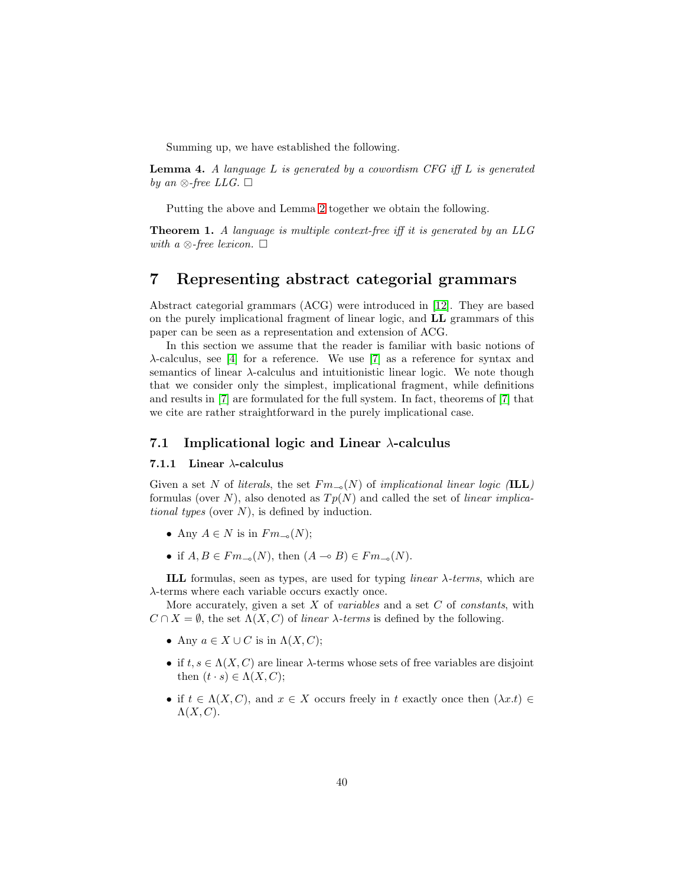Summing up, we have established the following.

**Lemma 4.** A language  $L$  is generated by a cowordism CFG iff  $L$  is generated by an  $\otimes$ -free LLG.  $\square$ 

Putting the above and Lemma [2](#page-36-0) together we obtain the following.

<span id="page-39-0"></span>**Theorem 1.** A language is multiple context-free iff it is generated by an  $LLG$ with a  $\otimes$ -free lexicon.  $\square$ 

## 7 Representing abstract categorial grammars

Abstract categorial grammars (ACG) were introduced in [\[12\]](#page-58-1). They are based on the purely implicational fragment of linear logic, and LL grammars of this paper can be seen as a representation and extension of ACG.

In this section we assume that the reader is familiar with basic notions of λ-calculus, see [\[4\]](#page-58-5) for a reference. We use [\[7\]](#page-58-11) as a reference for syntax and semantics of linear  $\lambda$ -calculus and intuitionistic linear logic. We note though that we consider only the simplest, implicational fragment, while definitions and results in [\[7\]](#page-58-11) are formulated for the full system. In fact, theorems of [\[7\]](#page-58-11) that we cite are rather straightforward in the purely implicational case.

## 7.1 Implicational logic and Linear  $\lambda$ -calculus

#### 7.1.1 Linear  $\lambda$ -calculus

Given a set N of literals, the set  $Fm_{-0}(N)$  of implicational linear logic (ILL) formulas (over N), also denoted as  $Tp(N)$  and called the set of linear implicational types (over  $N$ ), is defined by induction.

- Any  $A \in N$  is in  $F_{m_{-9}}(N)$ ;
- if  $A, B \in Fm_{\neg \circ}(N)$ , then  $(A \multimap B) \in Fm_{\neg \circ}(N)$ .

ILL formulas, seen as types, are used for typing *linear*  $\lambda$ -terms, which are λ-terms where each variable occurs exactly once.

More accurately, given a set  $X$  of variables and a set  $C$  of constants, with  $C \cap X = \emptyset$ , the set  $\Lambda(X, C)$  of linear  $\lambda$ -terms is defined by the following.

- Any  $a \in X \cup C$  is in  $\Lambda(X, C)$ ;
- if  $t, s \in \Lambda(X, C)$  are linear  $\lambda$ -terms whose sets of free variables are disjoint then  $(t \cdot s) \in \Lambda(X, C);$
- if  $t \in \Lambda(X, C)$ , and  $x \in X$  occurs freely in t exactly once then  $(\lambda x.t) \in$  $\Lambda(X,C)$ .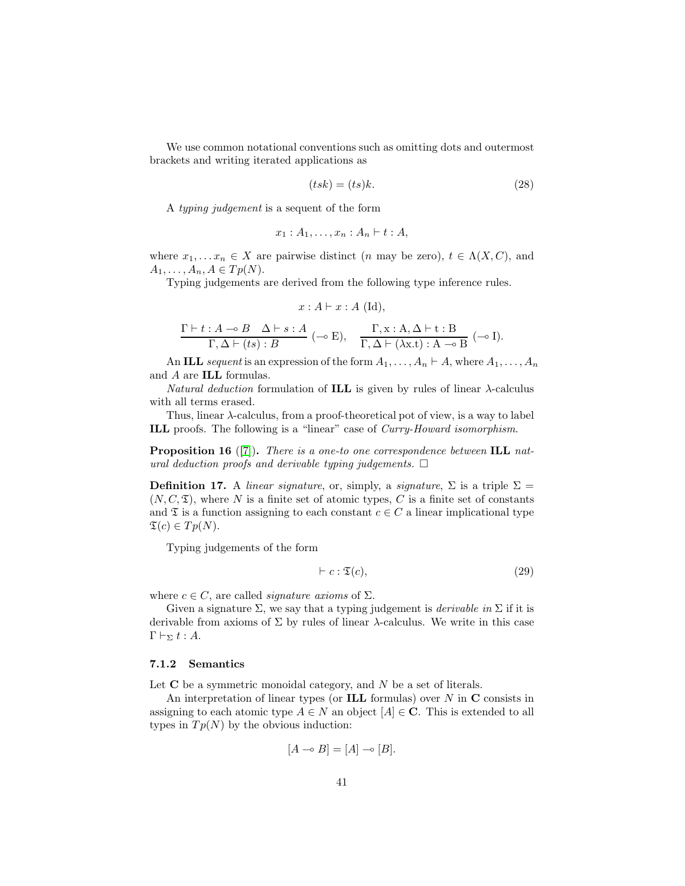We use common notational conventions such as omitting dots and outermost brackets and writing iterated applications as

<span id="page-40-1"></span>
$$
(tsk) = (ts)k.
$$
\n<sup>(28)</sup>

A typing judgement is a sequent of the form

$$
x_1 : A_1, \ldots, x_n : A_n \vdash t : A,
$$

where  $x_1, \ldots, x_n \in X$  are pairwise distinct (*n* may be zero),  $t \in \Lambda(X, C)$ , and  $A_1, \ldots, A_n, A \in Tp(N).$ 

Typing judgements are derived from the following type inference rules.

$$
x: A \vdash x: A \text{ (Id)},
$$

$$
\frac{\Gamma\vdash t:A\multimap B\quad\Delta\vdash s:A}{\Gamma,\Delta\vdash (ts):B}~(\multimap E), \quad \frac{\Gamma,x:A,\Delta\vdash t:B}{\Gamma,\Delta\vdash (\lambda x.t):A\multimap B}~(\multimap I).
$$

An ILL sequent is an expression of the form  $A_1, \ldots, A_n \vdash A$ , where  $A_1, \ldots, A_n$ and A are ILL formulas.

Natural deduction formulation of **ILL** is given by rules of linear  $\lambda$ -calculus with all terms erased.

Thus, linear  $\lambda$ -calculus, from a proof-theoretical pot of view, is a way to label ILL proofs. The following is a "linear" case of Curry-Howard isomorphism.

**Proposition 16** ([\[7\]](#page-58-11)). There is a one-to one correspondence between **ILL** natural deduction proofs and derivable typing judgements.  $\Box$ 

**Definition 17.** A linear signature, or, simply, a signature,  $\Sigma$  is a triple  $\Sigma$  =  $(N, C, \mathfrak{T})$ , where N is a finite set of atomic types, C is a finite set of constants and  $\mathfrak T$  is a function assigning to each constant  $c \in C$  a linear implicational type  $\mathfrak{T}(c) \in Tp(N).$ 

Typing judgements of the form

<span id="page-40-0"></span>
$$
\vdash c : \mathfrak{T}(c),\tag{29}
$$

where  $c \in C$ , are called *signature axioms* of  $\Sigma$ .

Given a signature  $\Sigma$ , we say that a typing judgement is *derivable in*  $\Sigma$  if it is derivable from axioms of  $\Sigma$  by rules of linear  $\lambda$ -calculus. We write in this case  $Γ ⊢<sub>Σ</sub> t : A.$ 

#### 7.1.2 Semantics

Let  $C$  be a symmetric monoidal category, and  $N$  be a set of literals.

An interpretation of linear types (or **ILL** formulas) over  $N$  in  $C$  consists in assigning to each atomic type  $A \in N$  an object  $[A] \in \mathbb{C}$ . This is extended to all types in  $Tp(N)$  by the obvious induction:

$$
[A \multimap B] = [A] \multimap [B].
$$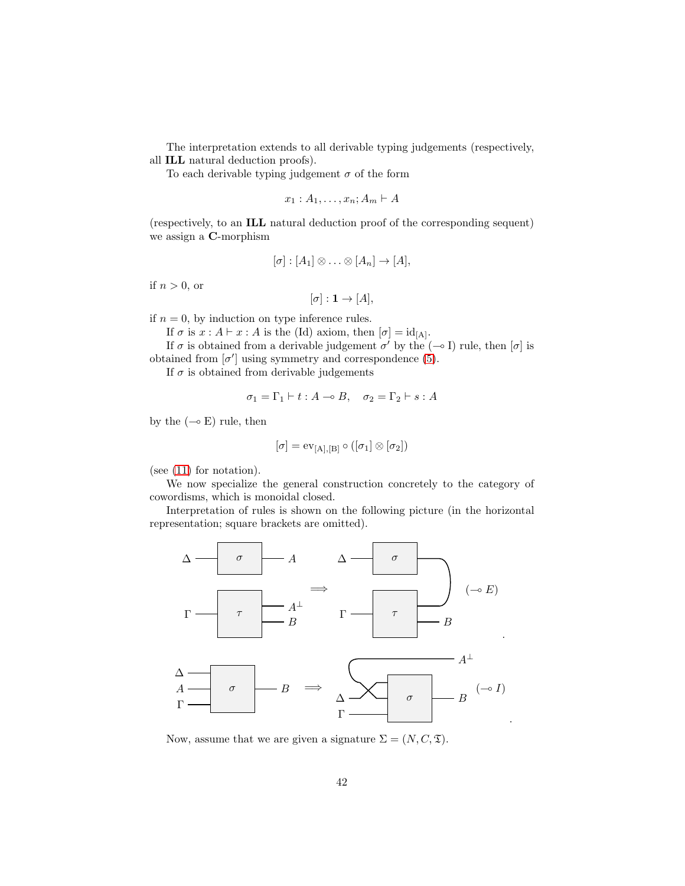The interpretation extends to all derivable typing judgements (respectively,

all ILL natural deduction proofs).

To each derivable typing judgement  $\sigma$  of the form

$$
x_1:A_1,\ldots,x_n;A_m\vdash A
$$

(respectively, to an ILL natural deduction proof of the corresponding sequent) we assign a C-morphism

$$
[\sigma] : [A_1] \otimes \ldots \otimes [A_n] \to [A],
$$

if  $n > 0$ , or

$$
[\sigma]: \mathbf{1} \to [A],
$$

if  $n = 0$ , by induction on type inference rules.

If  $\sigma$  is  $x : A \vdash x : A$  is the (Id) axiom, then  $[\sigma] = id_{[A]}.$ 

If  $\sigma$  is obtained from a derivable judgement  $\sigma'$  by the  $(-\sigma I)$  rule, then  $[\sigma]$  is obtained from  $[\sigma']$  using symmetry and correspondence [\(5\)](#page-14-0).

If  $\sigma$  is obtained from derivable judgements

$$
\sigma_1 = \Gamma_1 \vdash t : A \multimap B, \quad \sigma_2 = \Gamma_2 \vdash s : A
$$

by the  $(\neg \circ \mathbf{E})$  rule, then

$$
[\sigma]=\mathrm{ev}_{[A],[B]}\circ ([\sigma_1]\otimes [\sigma_2])
$$

(see [\(11\)](#page-17-1) for notation).

We now specialize the general construction concretely to the category of cowordisms, which is monoidal closed.

Interpretation of rules is shown on the following picture (in the horizontal representation; square brackets are omitted).



Now, assume that we are given a signature  $\Sigma = (N, C, \mathfrak{T})$ .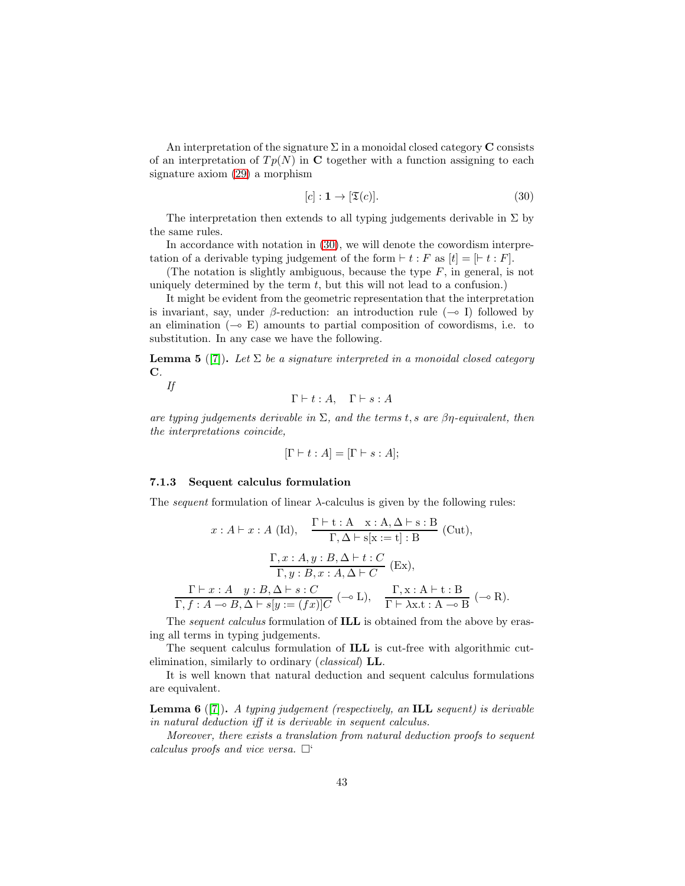An interpretation of the signature  $\Sigma$  in a monoidal closed category **C** consists of an interpretation of  $Tp(N)$  in C together with a function assigning to each signature axiom [\(29\)](#page-40-0) a morphism

<span id="page-42-0"></span>
$$
[c] : \mathbf{1} \to [\mathfrak{T}(c)]. \tag{30}
$$

The interpretation then extends to all typing judgements derivable in  $\Sigma$  by the same rules.

In accordance with notation in [\(30\)](#page-42-0), we will denote the cowordism interpretation of a derivable typing judgement of the form  $\vdash t : F$  as  $[t] = [\vdash t : F]$ .

(The notation is slightly ambiguous, because the type  $F$ , in general, is not uniquely determined by the term  $t$ , but this will not lead to a confusion.)

It might be evident from the geometric representation that the interpretation is invariant, say, under  $\beta$ -reduction: an introduction rule ( $\rightarrow$  I) followed by an elimination  $(\neg \circ E)$  amounts to partial composition of cowordisms, i.e. to substitution. In any case we have the following.

<span id="page-42-1"></span>**Lemma 5** ([\[7\]](#page-58-11)). Let  $\Sigma$  be a signature interpreted in a monoidal closed category C.

If

 $\Gamma \vdash t : A, \quad \Gamma \vdash s : A$ 

are typing judgements derivable in  $\Sigma$ , and the terms t, s are  $\beta\eta$ -equivalent, then the interpretations coincide,

$$
[\Gamma \vdash t : A] = [\Gamma \vdash s : A];
$$

#### 7.1.3 Sequent calculus formulation

The *sequent* formulation of linear  $\lambda$ -calculus is given by the following rules:

$$
x: A \vdash x: A \text{ (Id)}, \quad \frac{\Gamma \vdash t: A \quad x: A, \Delta \vdash s: B}{\Gamma, \Delta \vdash s[x := t]: B} \text{ (Cut)},
$$
\n
$$
\frac{\Gamma, x: A, y: B, \Delta \vdash t: C}{\Gamma, y: B, x: A, \Delta \vdash C} \text{ (Ex)},
$$
\n
$$
\frac{\Gamma \vdash x: A \quad y: B, \Delta \vdash s: C}{\Gamma, f: A \multimap B, \Delta \vdash s[y := (fx)]C} \text{ (---L)}, \quad \frac{\Gamma, x: A \vdash t: B}{\Gamma \vdash \lambda x. t: A \multimap B} \text{ (---R)}.
$$

The *sequent calculus* formulation of **ILL** is obtained from the above by erasing all terms in typing judgements.

The sequent calculus formulation of ILL is cut-free with algorithmic cutelimination, similarly to ordinary (classical) LL.

It is well known that natural deduction and sequent calculus formulations are equivalent.

**Lemma 6** ([\[7\]](#page-58-11)). A typing judgement (respectively, an **ILL** sequent) is derivable in natural deduction iff it is derivable in sequent calculus.

Moreover, there exists a translation from natural deduction proofs to sequent calculus proofs and vice versa.  $\Box$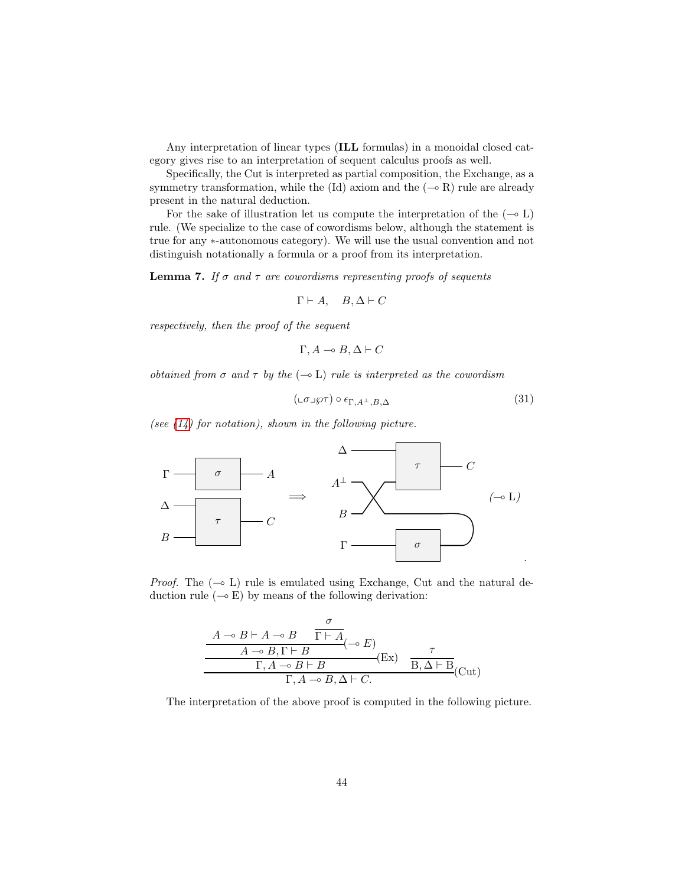Any interpretation of linear types (ILL formulas) in a monoidal closed category gives rise to an interpretation of sequent calculus proofs as well.

Specifically, the Cut is interpreted as partial composition, the Exchange, as a symmetry transformation, while the (Id) axiom and the  $(-\in R)$  rule are already present in the natural deduction.

For the sake of illustration let us compute the interpretation of the  $(-\circ L)$ rule. (We specialize to the case of cowordisms below, although the statement is true for any ∗-autonomous category). We will use the usual convention and not distinguish notationally a formula or a proof from its interpretation.

<span id="page-43-1"></span>**Lemma 7.** If  $\sigma$  and  $\tau$  are cowordisms representing proofs of sequents

$$
\Gamma \vdash A, \quad B, \Delta \vdash C
$$

respectively, then the proof of the sequent

$$
\Gamma, A \multimap B, \Delta \vdash C
$$

obtained from  $\sigma$  and  $\tau$  by the  $(-\circ L)$  rule is interpreted as the cowordism

<span id="page-43-0"></span>
$$
(\mathbf{L}\sigma \mathbf{L}\wp \tau) \circ \epsilon_{\Gamma,A^\perp,B,\Delta} \tag{31}
$$

(see  $(14)$  for notation), shown in the following picture.



*Proof.* The  $(\neg$  L) rule is emulated using Exchange, Cut and the natural deduction rule  $(\neg \in E)$  by means of the following derivation:

$$
\frac{A \rightarrow B \vdash A \rightarrow B \quad \overline{\Gamma \vdash A}}{A \rightarrow B, \Gamma \vdash B} (\neg B) \quad \tau
$$
\n
$$
\frac{\tau}{\Gamma, A \rightarrow B \vdash B} (\text{Ex}) \quad \frac{\tau}{B, \Delta \vdash B} (\text{Cut})
$$
\n
$$
\frac{\tau}{\Gamma, A \rightarrow B \vdash B} (\text{Cut})
$$

The interpretation of the above proof is computed in the following picture.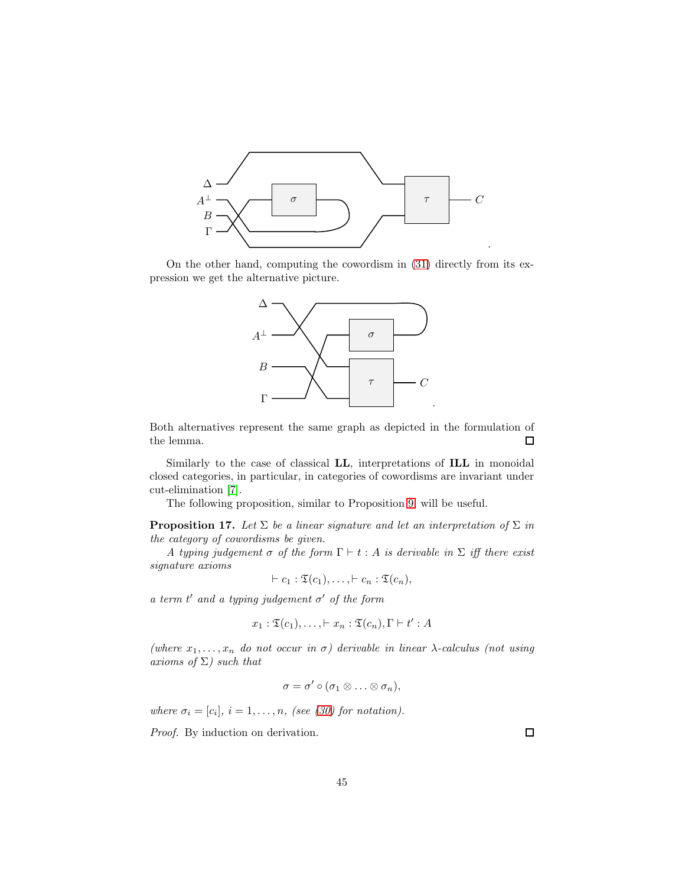

On the other hand, computing the cowordism in [\(31\)](#page-43-0) directly from its expression we get the alternative picture.



Both alternatives represent the same graph as depicted in the formulation of the lemma.  $\Box$ 

Similarly to the case of classical LL, interpretations of ILL in monoidal closed categories, in particular, in categories of cowordisms are invariant under cut-elimination [\[7\]](#page-58-11).

The following proposition, similar to Proposition [9,](#page-23-0) will be useful.

<span id="page-44-0"></span>**Proposition 17.** Let  $\Sigma$  be a linear signature and let an interpretation of  $\Sigma$  in the category of cowordisms be given.

A typing judgement  $\sigma$  of the form  $\Gamma \vdash t : A$  is derivable in  $\Sigma$  iff there exist signature axioms

$$
\vdash c_1 : \mathfrak{T}(c_1), \ldots, \vdash c_n : \mathfrak{T}(c_n),
$$

a term  $t'$  and a typing judgement  $\sigma'$  of the form

$$
x_1 : \mathfrak{T}(c_1), \ldots, \vdash x_n : \mathfrak{T}(c_n), \Gamma \vdash t' : A
$$

(where  $x_1, \ldots, x_n$  do not occur in  $\sigma$ ) derivable in linear  $\lambda$ -calculus (not using axioms of  $\Sigma$ ) such that

$$
\sigma=\sigma'\circ(\sigma_1\otimes\ldots\otimes\sigma_n),
$$

where  $\sigma_i = [c_i], i = 1, \ldots, n$ , (see [\(30\)](#page-42-0) for notation).

Proof. By induction on derivation.

 $\Box$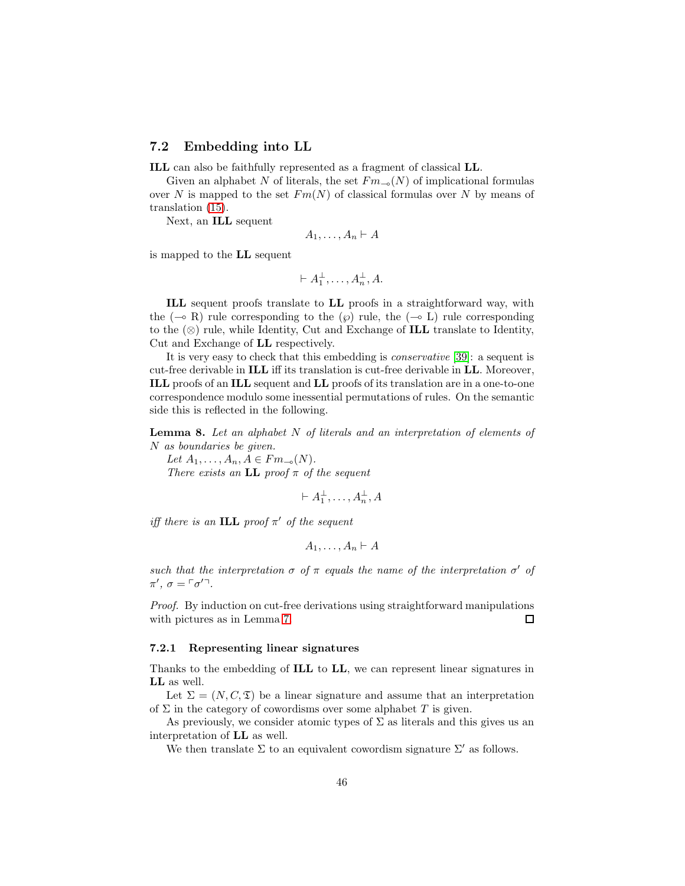## 7.2 Embedding into LL

ILL can also be faithfully represented as a fragment of classical LL.

Given an alphabet N of literals, the set  $Fm_{\neg o}(N)$  of implicational formulas over N is mapped to the set  $Fm(N)$  of classical formulas over N by means of translation [\(15\)](#page-20-0).

Next, an ILL sequent

$$
A_1,\ldots,A_n\vdash A
$$

is mapped to the LL sequent

$$
\vdash A_1^{\perp}, \ldots, A_n^{\perp}, A.
$$

ILL sequent proofs translate to LL proofs in a straightforward way, with the  $(\neg \circ R)$  rule corresponding to the  $(\wp)$  rule, the  $(\neg \circ L)$  rule corresponding to the  $(\otimes)$  rule, while Identity, Cut and Exchange of **ILL** translate to Identity, Cut and Exchange of LL respectively.

It is very easy to check that this embedding is conservative [\[39\]](#page-60-10): a sequent is cut-free derivable in ILL iff its translation is cut-free derivable in LL. Moreover, ILL proofs of an ILL sequent and LL proofs of its translation are in a one-to-one correspondence modulo some inessential permutations of rules. On the semantic side this is reflected in the following.

<span id="page-45-0"></span>**Lemma 8.** Let an alphabet  $N$  of literals and an interpretation of elements of N as boundaries be given.

Let  $A_1, \ldots, A_n, A \in Fm_{\multimap}(N)$ . There exists an LL proof  $\pi$  of the sequent

 $\vdash A_1^{\perp}, \ldots, A_n^{\perp}, A$ 

iff there is an ILL proof  $\pi'$  of the sequent

$$
A_1,\ldots,A_n\vdash A
$$

such that the interpretation  $\sigma$  of  $\pi$  equals the name of the interpretation  $\sigma'$  of  $\pi'$ ,  $\sigma = \lceil \sigma'^{-1} \rceil$ .

Proof. By induction on cut-free derivations using straightforward manipulations with pictures as in Lemma [7.](#page-43-1)  $\Box$ 

## <span id="page-45-1"></span>7.2.1 Representing linear signatures

Thanks to the embedding of ILL to LL, we can represent linear signatures in LL as well.

Let  $\Sigma = (N, C, \mathfrak{T})$  be a linear signature and assume that an interpretation of  $\Sigma$  in the category of cowordisms over some alphabet T is given.

As previously, we consider atomic types of  $\Sigma$  as literals and this gives us an interpretation of LL as well.

We then translate  $\Sigma$  to an equivalent cowordism signature  $\Sigma'$  as follows.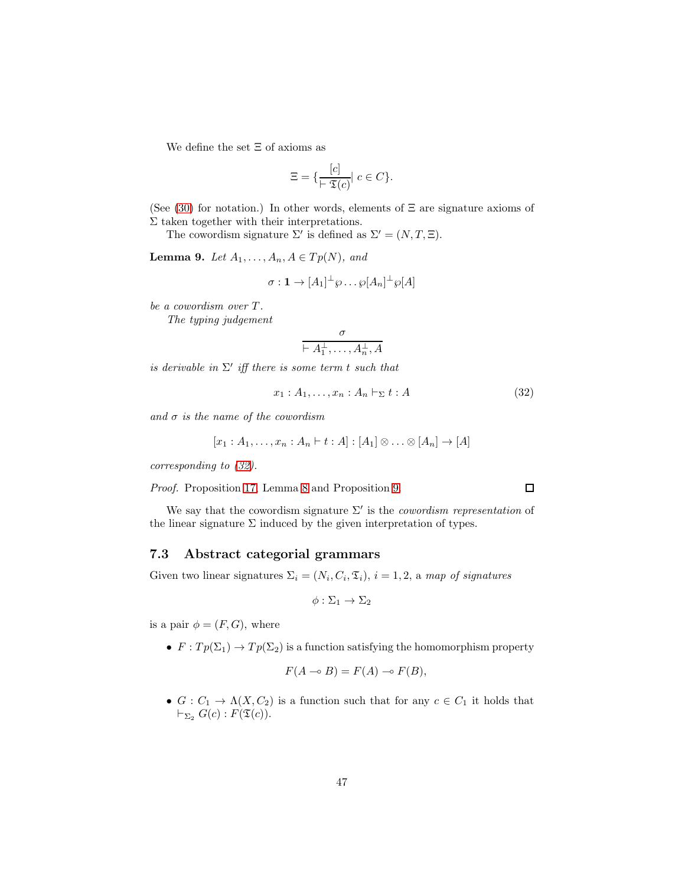We define the set  $\Xi$  of axioms as

$$
\Xi = \{ \frac{[c]}{\vdash \mathfrak{T}(c)} \vert \ c \in C \}.
$$

(See  $(30)$  for notation.) In other words, elements of  $\Xi$  are signature axioms of  $\Sigma$  taken together with their interpretations.

The cowordism signature  $\Sigma'$  is defined as  $\Sigma' = (N, T, \Xi)$ .

<span id="page-46-1"></span>**Lemma 9.** Let  $A_1, \ldots, A_n, A \in Tp(N)$ , and

$$
\sigma: \mathbf{1} \to [A_1]^\perp \wp \dots \wp[A_n]^\perp \wp[A]
$$

be a cowordism over T.

The typing judgement

$$
\frac{\sigma}{\vdash A_1^{\perp},\ldots,A_n^{\perp},A}
$$

is derivable in  $\Sigma'$  iff there is some term t such that

<span id="page-46-0"></span>
$$
x_1 : A_1, \dots, x_n : A_n \vdash_{\Sigma} t : A
$$
\n
$$
(32)
$$

and  $\sigma$  is the name of the cowordism

$$
[x_1:A_1,\ldots,x_n:A_n\vdash t:A]:[A_1]\otimes\ldots\otimes[A_n]\to[A]
$$

corresponding to [\(32\)](#page-46-0).

Proof. Proposition [17,](#page-44-0) Lemma [8](#page-45-0) and Proposition [9.](#page-23-0)

We say that the cowordism signature  $\Sigma'$  is the *cowordism representation* of the linear signature  $\Sigma$  induced by the given interpretation of types.

## 7.3 Abstract categorial grammars

Given two linear signatures  $\Sigma_i = (N_i, C_i, \mathfrak{T}_i), i = 1, 2$ , a map of signatures

$$
\phi: \Sigma_1 \to \Sigma_2
$$

is a pair  $\phi = (F, G)$ , where

•  $F: Tp(\Sigma_1) \to Tp(\Sigma_2)$  is a function satisfying the homomorphism property

$$
F(A \multimap B) = F(A) \multimap F(B),
$$

•  $G: C_1 \to \Lambda(X, C_2)$  is a function such that for any  $c \in C_1$  it holds that  $\vdash_{\Sigma_2} G(c): F(\mathfrak{T}(c)).$ 

 $\Box$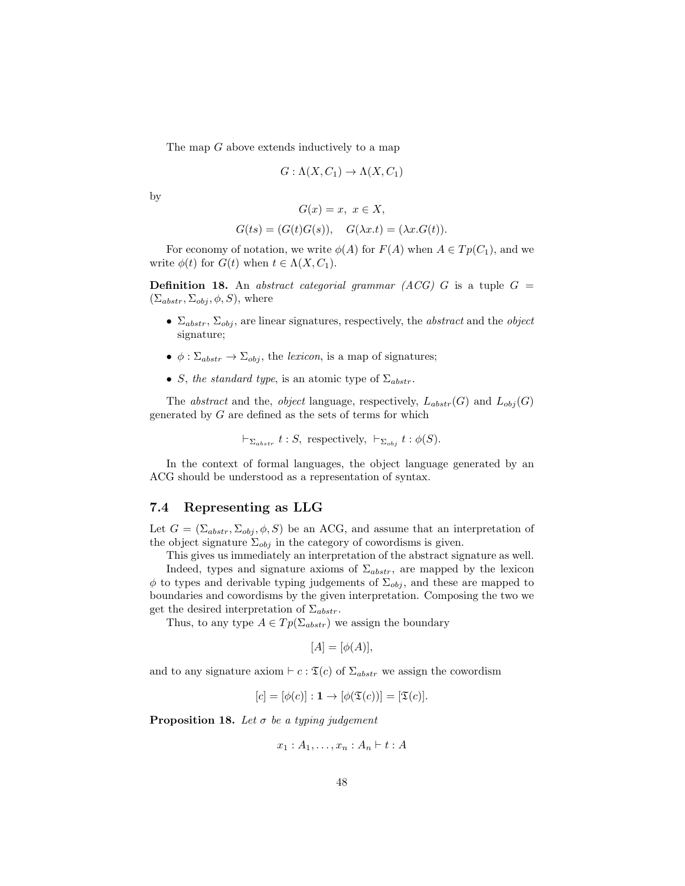The map  $G$  above extends inductively to a map

$$
G: \Lambda(X, C_1) \to \Lambda(X, C_1)
$$

by

$$
G(x) = x, \ x \in X,
$$

$$
G(ts) = (G(t)G(s)), \quad G(\lambda x.t) = (\lambda x.G(t)).
$$

For economy of notation, we write  $\phi(A)$  for  $F(A)$  when  $A \in Tp(C_1)$ , and we write  $\phi(t)$  for  $G(t)$  when  $t \in \Lambda(X, C_1)$ .

**Definition 18.** An abstract categorial grammar (ACG) G is a tuple  $G =$  $(\Sigma_{abstr}, \Sigma_{obj}, \phi, S)$ , where

- $\Sigma_{abstr}$ ,  $\Sigma_{obj}$ , are linear signatures, respectively, the *abstract* and the *object* signature;
- $\bullet \phi : \Sigma_{abstr} \to \Sigma_{obj}$ , the lexicon, is a map of signatures;
- S, the standard type, is an atomic type of  $\Sigma_{abstr}$ .

The *abstract* and the, *object* language, respectively,  $L_{abstr}(G)$  and  $L_{obj}(G)$ generated by  $G$  are defined as the sets of terms for which

$$
\vdash_{\Sigma_{abstr}} t : S, \text{ respectively, } \vdash_{\Sigma_{obj}} t : \phi(S).
$$

In the context of formal languages, the object language generated by an ACG should be understood as a representation of syntax.

## <span id="page-47-1"></span>7.4 Representing as LLG

Let  $G = (\Sigma_{abstr}, \Sigma_{obj}, \phi, S)$  be an ACG, and assume that an interpretation of the object signature  $\Sigma_{obj}$  in the category of cowordisms is given.

This gives us immediately an interpretation of the abstract signature as well.

Indeed, types and signature axioms of  $\Sigma_{abstr}$ , are mapped by the lexicon  $\phi$  to types and derivable typing judgements of  $\Sigma_{obj}$ , and these are mapped to boundaries and cowordisms by the given interpretation. Composing the two we get the desired interpretation of  $\Sigma_{abstr}$ .

Thus, to any type  $A \in Tp(\Sigma_{abstr})$  we assign the boundary

$$
[A] = [\phi(A)],
$$

and to any signature axiom  $\vdash c : \mathfrak{T}(c)$  of  $\Sigma_{abstr}$  we assign the cowordism

$$
[c] = [\phi(c)] : \mathbf{1} \to [\phi(\mathfrak{T}(c))] = [\mathfrak{T}(c)].
$$

<span id="page-47-0"></span>**Proposition 18.** Let  $\sigma$  be a typing judgement

$$
x_1 : A_1, \ldots, x_n : A_n \vdash t : A
$$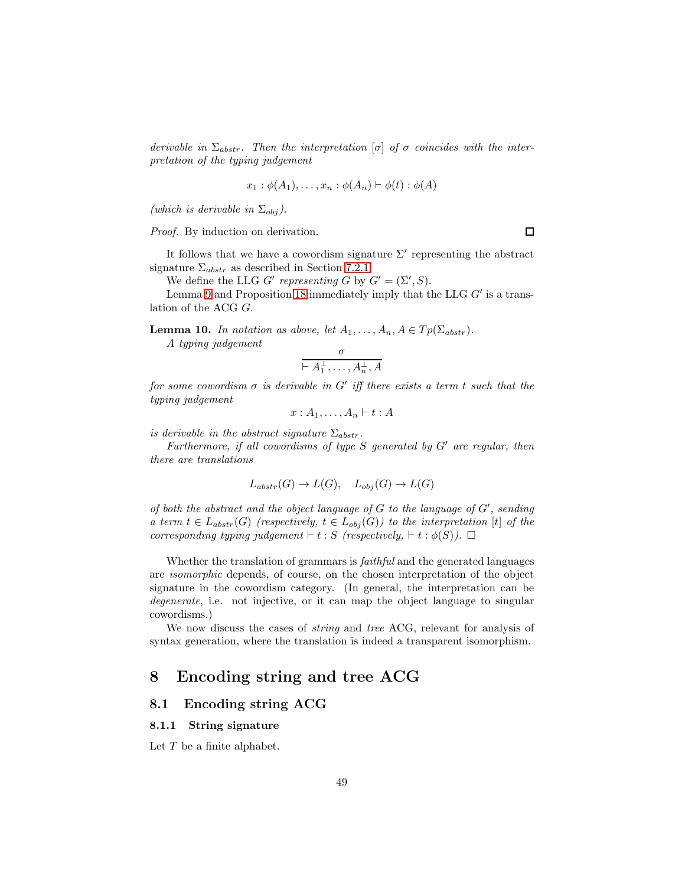derivable in  $\Sigma_{abstr}$ . Then the interpretation  $[\sigma]$  of  $\sigma$  coincides with the interpretation of the typing judgement

$$
x_1 : \phi(A_1), \ldots, x_n : \phi(A_n) \vdash \phi(t) : \phi(A)
$$

(which is derivable in  $\Sigma_{obj}$ ).

Proof. By induction on derivation.

It follows that we have a cowordism signature  $\Sigma'$  representing the abstract signature  $\Sigma_{abstr}$  as described in Section [7.2.1.](#page-45-1)

We define the LLG G' representing G by  $G' = (\Sigma', S)$ .

Lemma [9](#page-46-1) and Proposition [18](#page-47-0) immediately imply that the LLG  $G'$  is a translation of the ACG G.

<span id="page-48-0"></span>**Lemma 10.** In notation as above, let  $A_1, \ldots, A_n, A \in T_p(\Sigma_{abstr})$ .

A typing judgement

$$
\frac{\sigma}{\vdash A_1^{\perp},\ldots,A_n^{\perp},A}
$$

for some cowordism  $\sigma$  is derivable in G' iff there exists a term t such that the typing judgement

$$
x:A_1,\ldots,A_n\vdash t:A
$$

is derivable in the abstract signature  $\Sigma_{abstr}$ .

Furthermore, if all cowordisms of type  $S$  generated by  $G'$  are regular, then there are translations

$$
L_{abstr}(G) \to L(G), \quad L_{obj}(G) \to L(G)
$$

of both the abstract and the object language of  $G$  to the language of  $G'$ , sending a term  $t \in L_{abstr}(G)$  (respectively,  $t \in L_{obj}(G)$ ) to the interpretation [t] of the corresponding typing judgement  $\vdash t : S$  (respectively,  $\vdash t : \phi(S)$ ).  $\Box$ 

Whether the translation of grammars is *faithful* and the generated languages are isomorphic depends, of course, on the chosen interpretation of the object signature in the cowordism category. (In general, the interpretation can be degenerate, i.e. not injective, or it can map the object language to singular cowordisms.)

We now discuss the cases of *string* and *tree* ACG, relevant for analysis of syntax generation, where the translation is indeed a transparent isomorphism.

## 8 Encoding string and tree ACG

## 8.1 Encoding string ACG

#### 8.1.1 String signature

Let  $T$  be a finite alphabet.

 $\Box$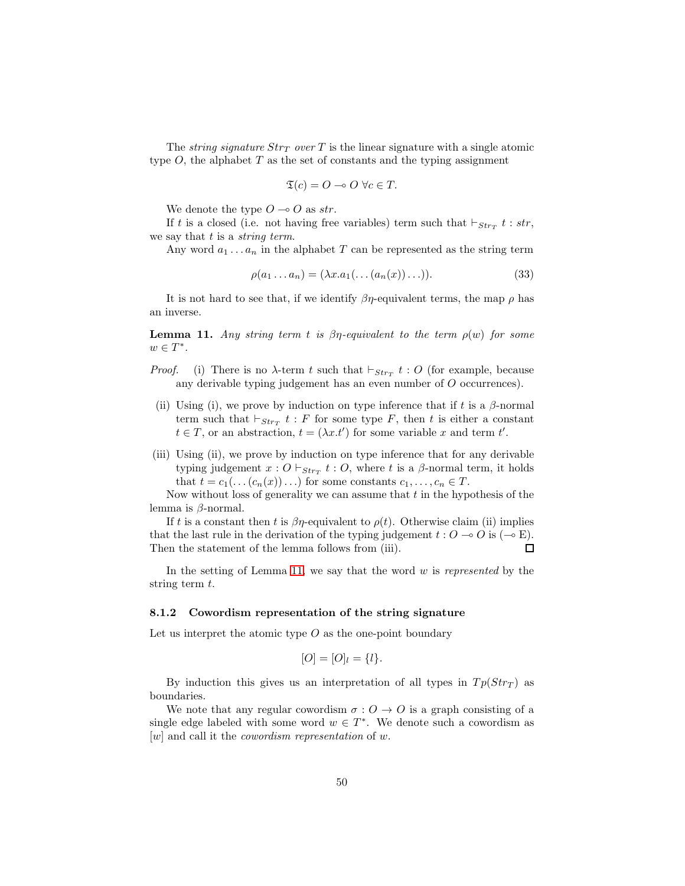The *string signature*  $Str_T$  over T is the linear signature with a single atomic type  $O$ , the alphabet  $T$  as the set of constants and the typing assignment

$$
\mathfrak{T}(c) = O \multimap O \ \forall c \in T.
$$

We denote the type  $O \rightarrow O$  as str.

If t is a closed (i.e. not having free variables) term such that  $\vdash_{Str_T} t : str$ , we say that  $t$  is a *string term*.

Any word  $a_1 \ldots a_n$  in the alphabet T can be represented as the string term

$$
\rho(a_1 \dots a_n) = (\lambda x. a_1(\dots (a_n(x)) \dots)). \tag{33}
$$

It is not hard to see that, if we identify  $\beta\eta$ -equivalent terms, the map  $\rho$  has an inverse.

<span id="page-49-0"></span>**Lemma 11.** Any string term t is  $\beta\eta$ -equivalent to the term  $\rho(w)$  for some  $w \in T^*$ .

- *Proof.* (i) There is no  $\lambda$ -term t such that  $\vdash_{Str_T} t : O$  (for example, because any derivable typing judgement has an even number of O occurrences).
- (ii) Using (i), we prove by induction on type inference that if t is a  $\beta$ -normal term such that  $\vdash_{Str_T} t : F$  for some type F, then t is either a constant  $t \in T$ , or an abstraction,  $t = (\lambda x.t')$  for some variable x and term t'.
- (iii) Using (ii), we prove by induction on type inference that for any derivable typing judgement  $x: O \vdash_{Str_T} t: O$ , where t is a  $\beta$ -normal term, it holds that  $t = c_1(\ldots(c_n(x))\ldots)$  for some constants  $c_1, \ldots, c_n \in T$ .

Now without loss of generality we can assume that  $t$  in the hypothesis of the lemma is  $\beta$ -normal.

If t is a constant then t is  $\beta\eta$ -equivalent to  $\rho(t)$ . Otherwise claim (ii) implies that the last rule in the derivation of the typing judgement  $t: O \to O$  is  $(\neg \in \mathbb{E})$ .  $\Box$ Then the statement of the lemma follows from (iii).

In the setting of Lemma [11,](#page-49-0) we say that the word  $w$  is represented by the string term  $t$ .

#### 8.1.2 Cowordism representation of the string signature

Let us interpret the atomic type  $O$  as the one-point boundary

$$
[O] = [O]_l = \{l\}.
$$

By induction this gives us an interpretation of all types in  $Tp(Str_T)$  as boundaries.

We note that any regular cowordism  $\sigma: O \to O$  is a graph consisting of a single edge labeled with some word  $w \in T^*$ . We denote such a cowordism as  $[w]$  and call it the *cowordism representation* of w.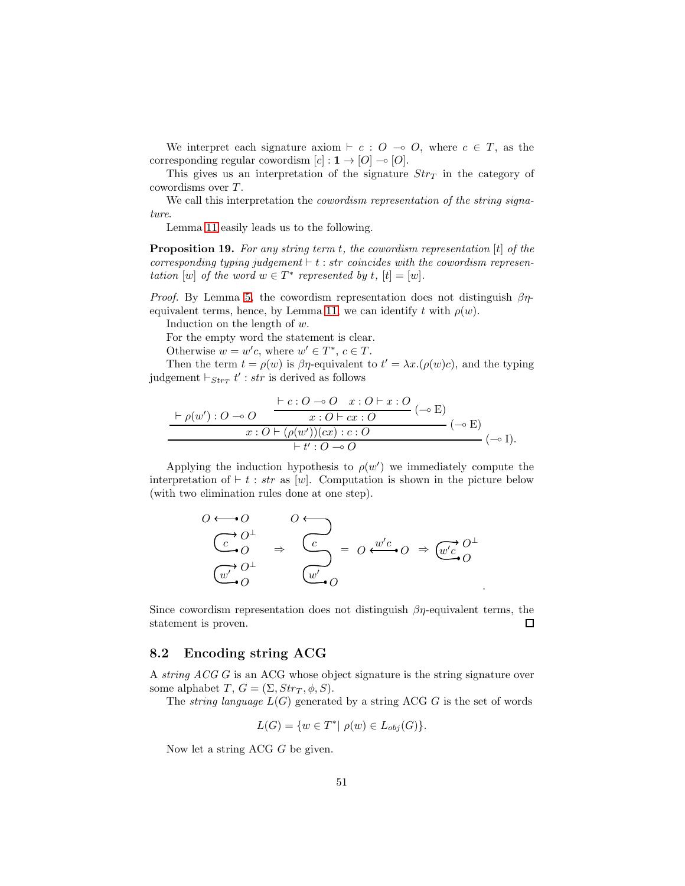We interpret each signature axiom  $\vdash c : O \multimap O$ , where  $c \in T$ , as the corresponding regular cowordism  $[c] : 1 \rightarrow [O] \rightarrow [O]$ .

This gives us an interpretation of the signature  $Str_{T}$  in the category of cowordisms over T.

We call this interpretation the *cowordism representation of the string signa*ture.

Lemma [11](#page-49-0) easily leads us to the following.

<span id="page-50-0"></span>**Proposition 19.** For any string term t, the cowordism representation  $[t]$  of the corresponding typing judgement  $\vdash t : str$  coincides with the cowordism representation [w] of the word  $w \in T^*$  represented by t,  $[t] = [w]$ .

*Proof.* By Lemma [5,](#page-42-1) the cowordism representation does not distinguish  $\beta\eta$ -equivalent terms, hence, by Lemma [11,](#page-49-0) we can identify t with  $\rho(w)$ .

Induction on the length of w.

For the empty word the statement is clear.

Otherwise  $w = w'c$ , where  $w' \in T^*$ ,  $c \in T$ .

Then the term  $t = \rho(w)$  is  $\beta \eta$ -equivalent to  $t' = \lambda x.(\rho(w)c)$ , and the typing judgement  $\vdash_{Str_T} t'$ : str is derived as follows

$$
\frac{\vdash e: O \multimap O \quad x: O \vdash x: O}{x: O \vdash cx: O} \quad (\multimap E)
$$
  

$$
\frac{x: O \vdash (\rho(w'))(cx): C}{x: O \vdash (\rho(w'))(cx): c: O} \quad (\multimap E)
$$
  

$$
\vdash t': O \multimap O \quad (\multimap I).
$$

Applying the induction hypothesis to  $\rho(w')$  we immediately compute the interpretation of  $\vdash t : str$  as [w]. Computation is shown in the picture below (with two elimination rules done at one step).

$$
0 \leftrightarrow 0
$$
  
\n
$$
\begin{array}{ccc}\nC & 0^{\perp} & \nearrow \\
C & 0 & \Rightarrow & C \\
\hline\n\vdots & \ddots & \ddots \\
C & 0 & \searrow\n\end{array} \Rightarrow \begin{array}{ccc}\nC & \nearrow & \downarrow \\
C & \searrow & \downarrow \\
\hline\n\vdots & \ddots & \ddots \\
C & 0 & \searrow\n\end{array} \Rightarrow \begin{array}{ccc}\n\frac{w'c}{c} & 0 & \Rightarrow & \frac{w'c}{c} & 0 \\
\hline\n\vdots & \ddots & \ddots & \ddots \\
C & 0 & \searrow\n\end{array}
$$

Since cowordism representation does not distinguish  $\beta\eta$ -equivalent terms, the statement is proven. 口

.

## 8.2 Encoding string ACG

A string ACG G is an ACG whose object signature is the string signature over some alphabet T,  $G = (\Sigma, Str_T, \phi, S)$ .

The *string language*  $L(G)$  generated by a string ACG G is the set of words

$$
L(G) = \{ w \in T^* | \ \rho(w) \in L_{obj}(G) \}.
$$

Now let a string ACG G be given.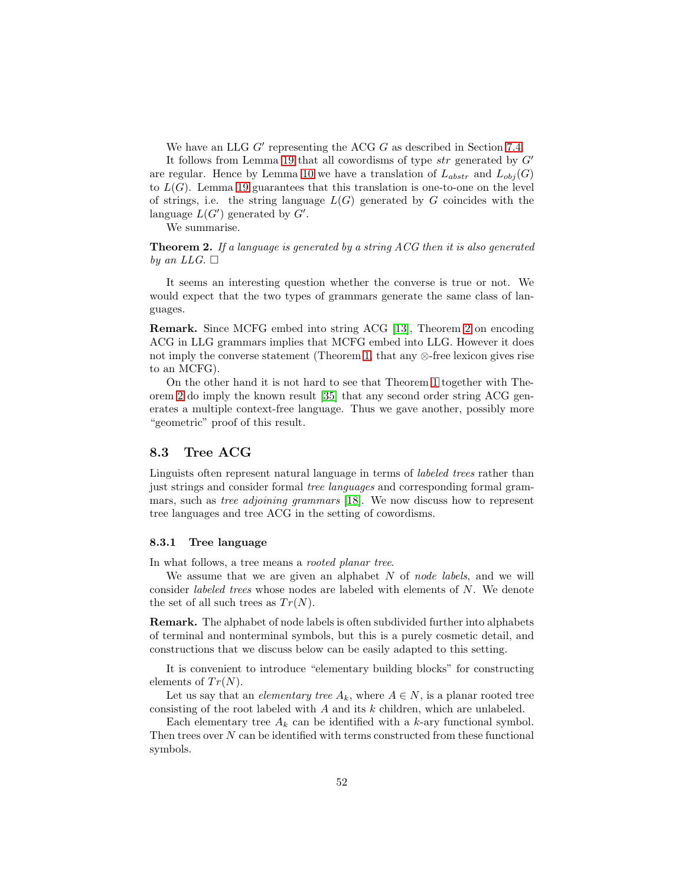We have an LLG  $G'$  representing the ACG  $G$  as described in Section [7.4.](#page-47-1)

It follows from Lemma [19](#page-50-0) that all cowordisms of type  $str$  generated by  $G'$ are regular. Hence by Lemma [10](#page-48-0) we have a translation of  $L_{abstr}$  and  $L_{obj}(G)$ to  $L(G)$ . Lemma [19](#page-50-0) guarantees that this translation is one-to-one on the level of strings, i.e. the string language  $L(G)$  generated by G coincides with the language  $L(G')$  generated by  $G'$ .

We summarise.

<span id="page-51-0"></span>**Theorem 2.** If a language is generated by a string ACG then it is also generated by an LLG.  $\Box$ 

It seems an interesting question whether the converse is true or not. We would expect that the two types of grammars generate the same class of languages.

Remark. Since MCFG embed into string ACG [\[13\]](#page-58-12), Theorem [2](#page-51-0) on encoding ACG in LLG grammars implies that MCFG embed into LLG. However it does not imply the converse statement (Theorem [1,](#page-39-0) that any ⊗-free lexicon gives rise to an MCFG).

On the other hand it is not hard to see that Theorem [1](#page-39-0) together with Theorem [2](#page-51-0) do imply the known result [\[35\]](#page-60-11) that any second order string ACG generates a multiple context-free language. Thus we gave another, possibly more "geometric" proof of this result.

## 8.3 Tree ACG

Linguists often represent natural language in terms of labeled trees rather than just strings and consider formal tree languages and corresponding formal grammars, such as tree adjoining grammars [\[18\]](#page-59-11). We now discuss how to represent tree languages and tree ACG in the setting of cowordisms.

#### 8.3.1 Tree language

In what follows, a tree means a *rooted planar tree*.

We assume that we are given an alphabet  $N$  of node labels, and we will consider labeled trees whose nodes are labeled with elements of N. We denote the set of all such trees as  $Tr(N)$ .

Remark. The alphabet of node labels is often subdivided further into alphabets of terminal and nonterminal symbols, but this is a purely cosmetic detail, and constructions that we discuss below can be easily adapted to this setting.

It is convenient to introduce "elementary building blocks" for constructing elements of  $Tr(N)$ .

Let us say that an *elementary tree*  $A_k$ , where  $A \in N$ , is a planar rooted tree consisting of the root labeled with A and its k children, which are unlabeled.

Each elementary tree  $A_k$  can be identified with a k-ary functional symbol. Then trees over  $N$  can be identified with terms constructed from these functional symbols.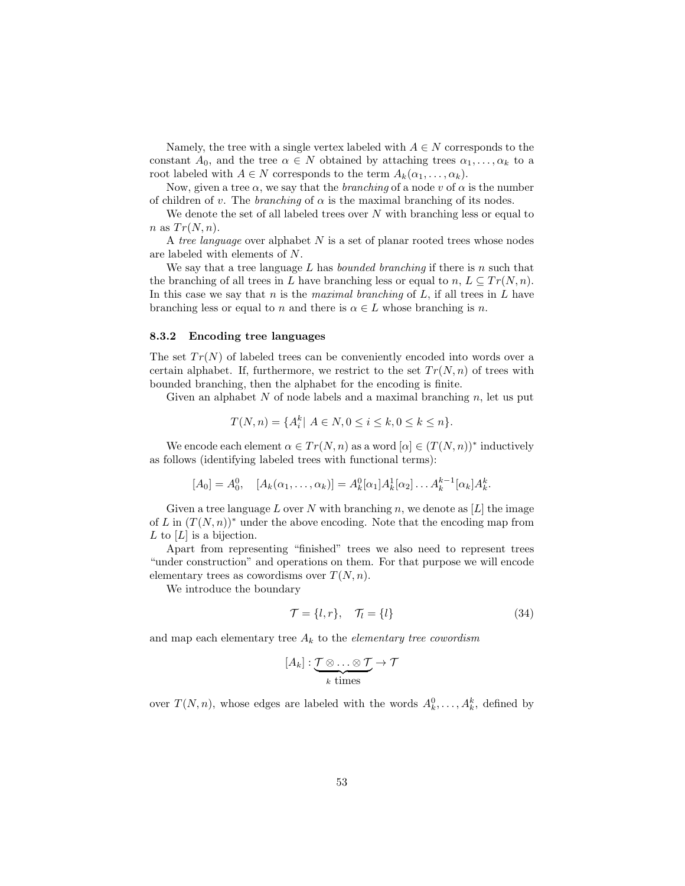Namely, the tree with a single vertex labeled with  $A \in N$  corresponds to the constant  $A_0$ , and the tree  $\alpha \in N$  obtained by attaching trees  $\alpha_1, \ldots, \alpha_k$  to a root labeled with  $A \in N$  corresponds to the term  $A_k(\alpha_1, \ldots, \alpha_k)$ .

Now, given a tree  $\alpha$ , we say that the *branching* of a node v of  $\alpha$  is the number of children of v. The branching of  $\alpha$  is the maximal branching of its nodes.

We denote the set of all labeled trees over  $N$  with branching less or equal to  $n$  as  $Tr(N, n)$ .

A tree language over alphabet  $N$  is a set of planar rooted trees whose nodes are labeled with elements of N.

We say that a tree language L has *bounded branching* if there is n such that the branching of all trees in L have branching less or equal to  $n, L \subseteq Tr(N, n)$ . In this case we say that  $n$  is the *maximal branching* of  $L$ , if all trees in  $L$  have branching less or equal to n and there is  $\alpha \in L$  whose branching is n.

#### <span id="page-52-1"></span>8.3.2 Encoding tree languages

The set  $Tr(N)$  of labeled trees can be conveniently encoded into words over a certain alphabet. If, furthermore, we restrict to the set  $Tr(N, n)$  of trees with bounded branching, then the alphabet for the encoding is finite.

Given an alphabet  $N$  of node labels and a maximal branching  $n$ , let us put

$$
T(N, n) = \{ A_i^k | A \in N, 0 \le i \le k, 0 \le k \le n \}.
$$

We encode each element  $\alpha \in Tr(N, n)$  as a word  $[\alpha] \in (T(N, n))^*$  inductively as follows (identifying labeled trees with functional terms):

$$
[A_0] = A_0^0, \quad [A_k(\alpha_1, \dots, \alpha_k)] = A_k^0[\alpha_1] A_k^1[\alpha_2] \dots A_k^{k-1}[\alpha_k] A_k^k.
$$

Given a tree language L over N with branching n, we denote as  $[L]$  the image of L in  $(T(N, n))^*$  under the above encoding. Note that the encoding map from  $L$  to  $[L]$  is a bijection.

Apart from representing "finished" trees we also need to represent trees "under construction" and operations on them. For that purpose we will encode elementary trees as cowordisms over  $T(N, n)$ .

We introduce the boundary

<span id="page-52-0"></span>
$$
\mathcal{T} = \{l, r\}, \quad \mathcal{T}_l = \{l\} \tag{34}
$$

and map each elementary tree  $A_k$  to the *elementary tree cowordism* 

$$
[A_k] : \underbrace{\mathcal{T} \otimes \ldots \otimes \mathcal{T}}_{k \text{ times}} \to \mathcal{T}
$$

over  $T(N, n)$ , whose edges are labeled with the words  $A_k^0, \ldots, A_k^k$ , defined by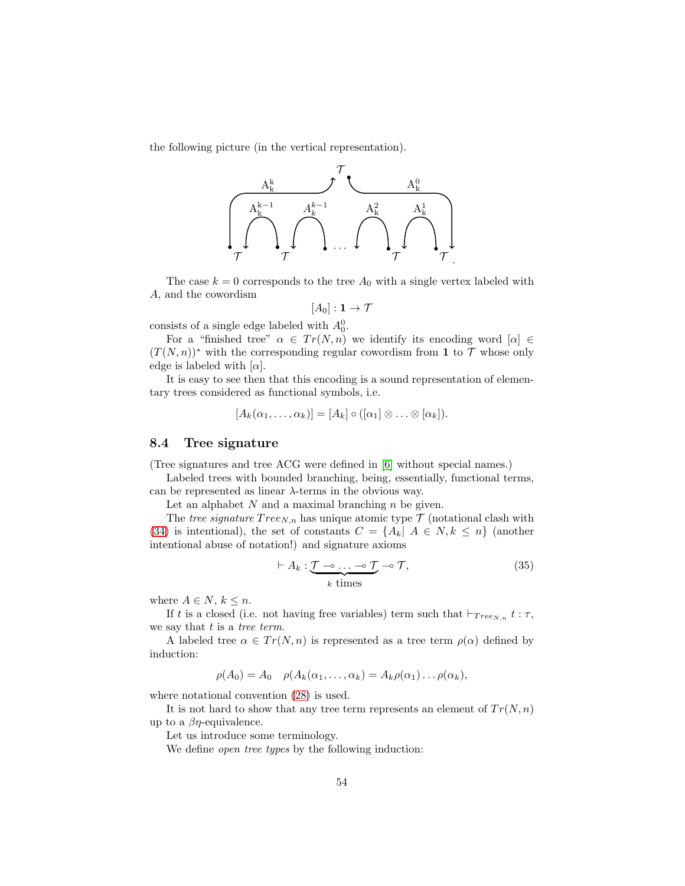the following picture (in the vertical representation).



The case  $k = 0$  corresponds to the tree  $A_0$  with a single vertex labeled with A, and the cowordism

$$
[A_0]:\mathbf{1}\to\mathcal{T}
$$

consists of a single edge labeled with  $A_0^0$ .

For a "finished tree"  $\alpha \in Tr(N, n)$  we identify its encoding word  $[\alpha] \in$  $(T(N,n))^*$  with the corresponding regular cowordism from 1 to  $\mathcal T$  whose only edge is labeled with  $[\alpha]$ .

It is easy to see then that this encoding is a sound representation of elementary trees considered as functional symbols, i.e.

$$
[A_k(\alpha_1,\ldots,\alpha_k)]=[A_k]\circ([\alpha_1]\otimes\ldots\otimes[\alpha_k]).
$$

## 8.4 Tree signature

(Tree signatures and tree ACG were defined in [\[6\]](#page-58-13) without special names.)

Labeled trees with bounded branching, being, essentially, functional terms, can be represented as linear  $\lambda$ -terms in the obvious way.

Let an alphabet  $N$  and a maximal branching  $n$  be given.

The tree signature  $Tree_{N,n}$  has unique atomic type  $\mathcal T$  (notational clash with [\(34\)](#page-52-0) is intentional), the set of constants  $C = \{A_k | A \in N, k \leq n\}$  (another intentional abuse of notation!) and signature axioms

<span id="page-53-0"></span>
$$
\vdash A_k : \underbrace{\mathcal{T} \multimap \dots \multimap \mathcal{T}}_{k \text{ times}} \multimap \mathcal{T}, \tag{35}
$$

where  $A \in N$ ,  $k \leq n$ .

If t is a closed (i.e. not having free variables) term such that  $\vdash_{Tree_{N,n}} t : \tau$ , we say that  $t$  is a tree term.

A labeled tree  $\alpha \in Tr(N, n)$  is represented as a tree term  $\rho(\alpha)$  defined by induction:

$$
\rho(A_0) = A_0 \quad \rho(A_k(\alpha_1,\ldots,\alpha_k) = A_k \rho(\alpha_1) \ldots \rho(\alpha_k),
$$

where notational convention [\(28\)](#page-40-1) is used.

It is not hard to show that any tree term represents an element of  $Tr(N, n)$ up to a  $\beta\eta$ -equivalence.

Let us introduce some terminology.

We define *open tree types* by the following induction: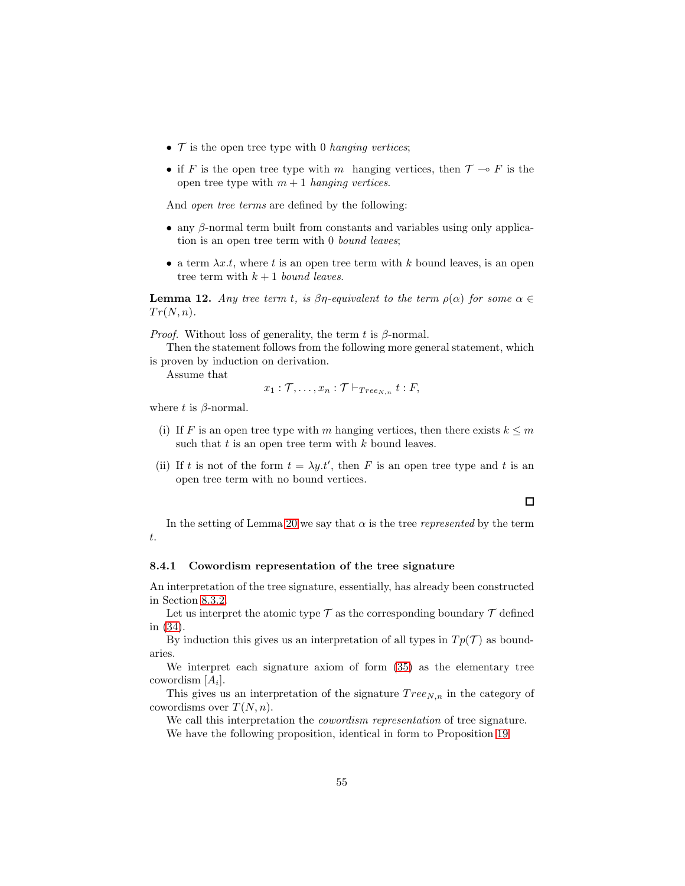- $\mathcal T$  is the open tree type with 0 hanging vertices;
- if F is the open tree type with m hanging vertices, then  $\mathcal{T} \multimap F$  is the open tree type with  $m + 1$  hanging vertices.

And open tree terms are defined by the following:

- $\bullet$  any  $\beta$ -normal term built from constants and variables using only application is an open tree term with 0 bound leaves;
- a term  $\lambda x.t$ , where t is an open tree term with k bound leaves, is an open tree term with  $k + 1$  bound leaves.

<span id="page-54-0"></span>**Lemma 12.** Any tree term t, is  $\beta\eta$ -equivalent to the term  $\rho(\alpha)$  for some  $\alpha \in$  $Tr(N, n)$ .

*Proof.* Without loss of generality, the term t is  $\beta$ -normal.

Then the statement follows from the following more general statement, which is proven by induction on derivation.

Assume that

$$
x_1 : \mathcal{T}, \ldots, x_n : \mathcal{T} \vdash_{Tree_{N,n}} t : F,
$$

where t is  $\beta$ -normal.

- (i) If F is an open tree type with m hanging vertices, then there exists  $k \leq m$ such that  $t$  is an open tree term with  $k$  bound leaves.
- (ii) If t is not of the form  $t = \lambda y \cdot t'$ , then F is an open tree type and t is an open tree term with no bound vertices.

In the setting of Lemma [20](#page-55-0) we say that  $\alpha$  is the tree represented by the term t.

#### 8.4.1 Cowordism representation of the tree signature

An interpretation of the tree signature, essentially, has already been constructed in Section [8.3.2.](#page-52-1)

Let us interpret the atomic type  ${\mathcal T}$  as the corresponding boundary  ${\mathcal T}$  defined in [\(34\)](#page-52-0).

By induction this gives us an interpretation of all types in  $T_p(\mathcal{T})$  as boundaries.

We interpret each signature axiom of form [\(35\)](#page-53-0) as the elementary tree cowordism  $[A_i]$ .

This gives us an interpretation of the signature  $Tree_{N,n}$  in the category of cowordisms over  $T(N, n)$ .

We call this interpretation the *cowordism representation* of tree signature.

We have the following proposition, identical in form to Proposition [19](#page-50-0)

 $\Box$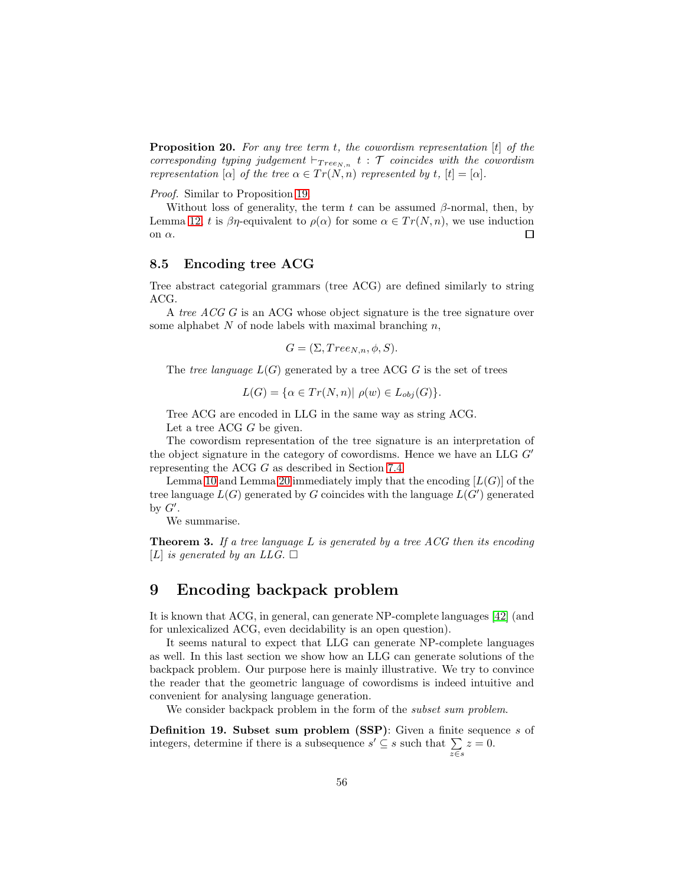<span id="page-55-0"></span>**Proposition 20.** For any tree term  $t$ , the cowordism representation  $[t]$  of the corresponding typing judgement  $\vdash_{Tree_{N,n}} t : \mathcal{T}$  coincides with the cowordism representation  $[\alpha]$  of the tree  $\alpha \in Tr(N,n)$  represented by t,  $[t] = [\alpha]$ .

Proof. Similar to Proposition [19.](#page-50-0)

Without loss of generality, the term t can be assumed  $\beta$ -normal, then, by Lemma [12,](#page-54-0) t is  $\beta\eta$ -equivalent to  $\rho(\alpha)$  for some  $\alpha \in Tr(N,n)$ , we use induction on  $\alpha.$  $\Box$ 

## 8.5 Encoding tree ACG

Tree abstract categorial grammars (tree ACG) are defined similarly to string ACG.

A tree ACG G is an ACG whose object signature is the tree signature over some alphabet  $N$  of node labels with maximal branching  $n$ ,

$$
G = (\Sigma, Tree_{N,n}, \phi, S).
$$

The tree language  $L(G)$  generated by a tree ACG G is the set of trees

$$
L(G) = \{ \alpha \in Tr(N, n) | \rho(w) \in L_{obj}(G) \}.
$$

Tree ACG are encoded in LLG in the same way as string ACG.

Let a tree ACG G be given.

The cowordism representation of the tree signature is an interpretation of the object signature in the category of cowordisms. Hence we have an LLG  $G'$ representing the ACG G as described in Section [7.4.](#page-47-1)

Lemma [10](#page-48-0) and Lemma [20](#page-55-0) immediately imply that the encoding  $[L(G)]$  of the tree language  $L(G)$  generated by G coincides with the language  $L(G')$  generated by  $G'$ .

We summarise.

**Theorem 3.** If a tree language  $L$  is generated by a tree  $ACG$  then its encoding [L] is generated by an LLG.  $\square$ 

## 9 Encoding backpack problem

It is known that ACG, in general, can generate NP-complete languages [\[42\]](#page-60-3) (and for unlexicalized ACG, even decidability is an open question).

It seems natural to expect that LLG can generate NP-complete languages as well. In this last section we show how an LLG can generate solutions of the backpack problem. Our purpose here is mainly illustrative. We try to convince the reader that the geometric language of cowordisms is indeed intuitive and convenient for analysing language generation.

We consider backpack problem in the form of the *subset sum problem*.

Definition 19. Subset sum problem (SSP): Given a finite sequence s of integers, determine if there is a subsequence  $s' \subseteq s$  such that  $\sum_{z \in s} z = 0$ .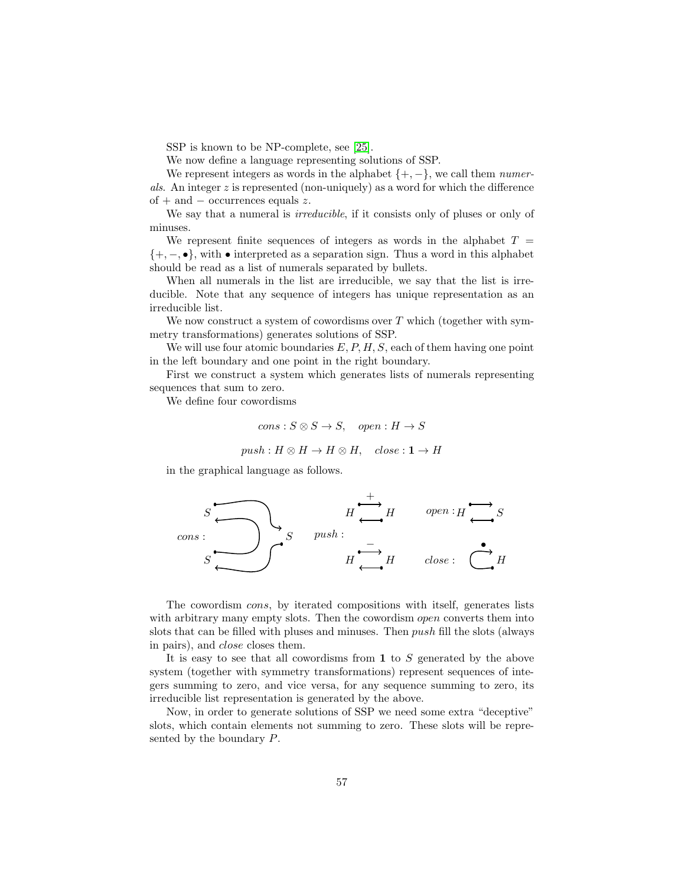SSP is known to be NP-complete, see [\[25\]](#page-59-12).

We now define a language representing solutions of SSP.

We represent integers as words in the alphabet  $\{+, -\}$ , we call them *numer*als. An integer  $z$  is represented (non-uniquely) as a word for which the difference of + and  $-$  occurrences equals z.

We say that a numeral is *irreducible*, if it consists only of pluses or only of minuses.

We represent finite sequences of integers as words in the alphabet  $T =$  $\{+, -, \bullet\}$ , with  $\bullet$  interpreted as a separation sign. Thus a word in this alphabet should be read as a list of numerals separated by bullets.

When all numerals in the list are irreducible, we say that the list is irreducible. Note that any sequence of integers has unique representation as an irreducible list.

We now construct a system of cowordisms over  $T$  which (together with symmetry transformations) generates solutions of SSP.

We will use four atomic boundaries  $E, P, H, S$ , each of them having one point in the left boundary and one point in the right boundary.

First we construct a system which generates lists of numerals representing sequences that sum to zero.

We define four cowordisms

$$
cons: S \otimes S \to S, \quad open: H \to S
$$

$$
push: H \otimes H \to H \otimes H, \quad close: \mathbf{1} \to H
$$

in the graphical language as follows.



The cowordism cons, by iterated compositions with itself, generates lists with arbitrary many empty slots. Then the cowordism *open* converts them into slots that can be filled with pluses and minuses. Then push fill the slots (always in pairs), and close closes them.

It is easy to see that all cowordisms from  $\bf{1}$  to S generated by the above system (together with symmetry transformations) represent sequences of integers summing to zero, and vice versa, for any sequence summing to zero, its irreducible list representation is generated by the above.

Now, in order to generate solutions of SSP we need some extra "deceptive" slots, which contain elements not summing to zero. These slots will be represented by the boundary P.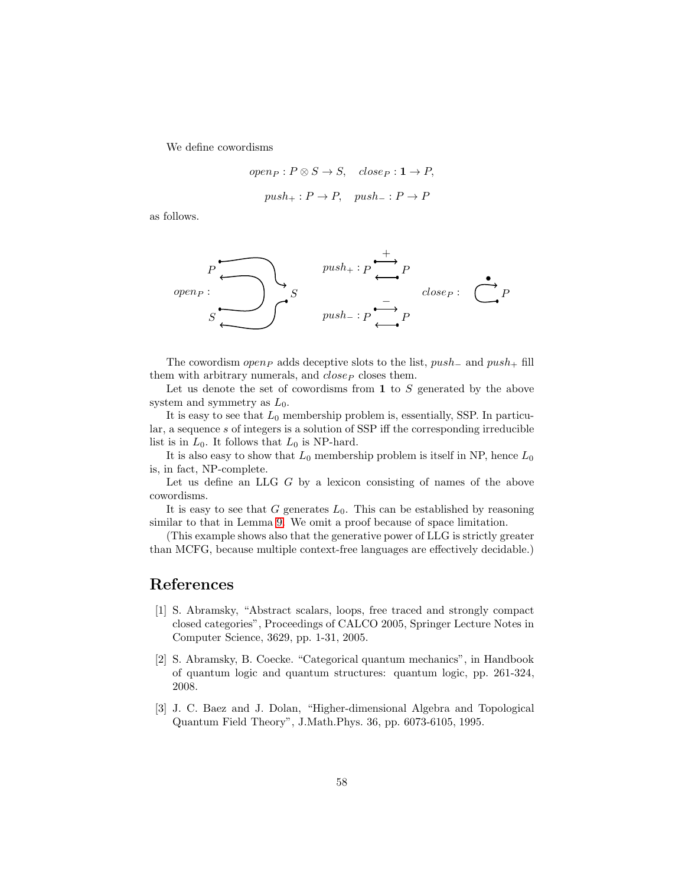We define cowordisms

open<sub>P</sub> : 
$$
P \otimes S \rightarrow S
$$
, close<sub>P</sub> :  $1 \rightarrow P$ ,  
push<sub>+</sub> :  $P \rightarrow P$ , push<sub>-</sub> :  $P \rightarrow P$ 

as follows.

$$
P \longrightarrow B
$$
\n
$$
S \longrightarrow S
$$
\n
$$
P \longrightarrow B
$$
\n
$$
push = : P \longrightarrow B
$$
\n
$$
push = : P \longrightarrow P
$$
\n
$$
p
$$
\n
$$
p
$$

The cowordism open<sub>P</sub> adds deceptive slots to the list,  $push_$  and  $push_+$  fill them with arbitrary numerals, and  $close_P$  closes them.

Let us denote the set of cowordisms from  $\bf{1}$  to S generated by the above system and symmetry as  $L_0$ .

It is easy to see that  $L_0$  membership problem is, essentially, SSP. In particular, a sequence s of integers is a solution of SSP iff the corresponding irreducible list is in  $L_0$ . It follows that  $L_0$  is NP-hard.

It is also easy to show that  $L_0$  membership problem is itself in NP, hence  $L_0$ is, in fact, NP-complete.

Let us define an LLG G by a lexicon consisting of names of the above cowordisms.

It is easy to see that  $G$  generates  $L_0$ . This can be established by reasoning similar to that in Lemma [9.](#page-46-1) We omit a proof because of space limitation.

(This example shows also that the generative power of LLG is strictly greater than MCFG, because multiple context-free languages are effectively decidable.)

## <span id="page-57-2"></span>References

- [1] S. Abramsky, "Abstract scalars, loops, free traced and strongly compact closed categories", Proceedings of CALCO 2005, Springer Lecture Notes in Computer Science, 3629, pp. 1-31, 2005.
- <span id="page-57-1"></span>[2] S. Abramsky, B. Coecke. "Categorical quantum mechanics", in Handbook of quantum logic and quantum structures: quantum logic, pp. 261-324, 2008.
- <span id="page-57-0"></span>[3] J. C. Baez and J. Dolan, "Higher-dimensional Algebra and Topological Quantum Field Theory", J.Math.Phys. 36, pp. 6073-6105, 1995.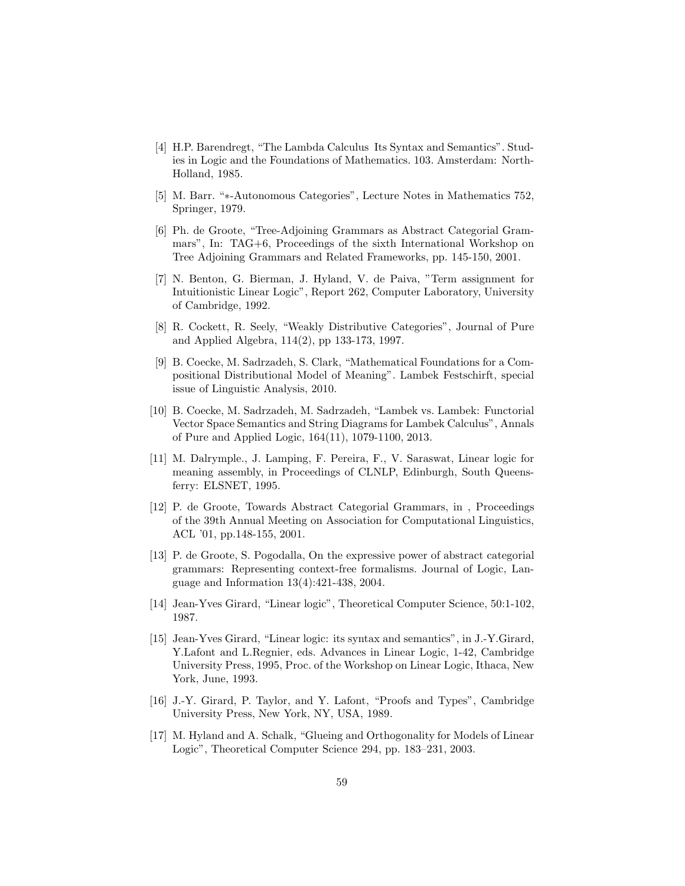- <span id="page-58-5"></span>[4] H.P. Barendregt, "The Lambda Calculus Its Syntax and Semantics". Studies in Logic and the Foundations of Mathematics. 103. Amsterdam: North-Holland, 1985.
- <span id="page-58-13"></span><span id="page-58-7"></span>[5] M. Barr. "∗-Autonomous Categories", Lecture Notes in Mathematics 752, Springer, 1979.
- [6] Ph. de Groote, "Tree-Adjoining Grammars as Abstract Categorial Grammars", In: TAG+6, Proceedings of the sixth International Workshop on Tree Adjoining Grammars and Related Frameworks, pp. 145-150, 2001.
- <span id="page-58-11"></span>[7] N. Benton, G. Bierman, J. Hyland, V. de Paiva, "Term assignment for Intuitionistic Linear Logic", Report 262, Computer Laboratory, University of Cambridge, 1992.
- <span id="page-58-8"></span>[8] R. Cockett, R. Seely, "Weakly Distributive Categories", Journal of Pure and Applied Algebra, 114(2), pp 133-173, 1997.
- <span id="page-58-3"></span>[9] B. Coecke, M. Sadrzadeh, S. Clark, "Mathematical Foundations for a Compositional Distributional Model of Meaning". Lambek Festschirft, special issue of Linguistic Analysis, 2010.
- <span id="page-58-4"></span>[10] B. Coecke, M. Sadrzadeh, M. Sadrzadeh, "Lambek vs. Lambek: Functorial Vector Space Semantics and String Diagrams for Lambek Calculus", Annals of Pure and Applied Logic, 164(11), 1079-1100, 2013.
- <span id="page-58-2"></span>[11] M. Dalrymple., J. Lamping, F. Pereira, F., V. Saraswat, Linear logic for meaning assembly, in Proceedings of CLNLP, Edinburgh, South Queensferry: ELSNET, 1995.
- <span id="page-58-1"></span>[12] P. de Groote, Towards Abstract Categorial Grammars, in , Proceedings of the 39th Annual Meeting on Association for Computational Linguistics, ACL '01, pp.148-155, 2001.
- <span id="page-58-12"></span>[13] P. de Groote, S. Pogodalla, On the expressive power of abstract categorial grammars: Representing context-free formalisms. Journal of Logic, Language and Information 13(4):421-438, 2004.
- <span id="page-58-9"></span><span id="page-58-0"></span>[14] Jean-Yves Girard, "Linear logic", Theoretical Computer Science, 50:1-102, 1987.
- [15] Jean-Yves Girard, "Linear logic: its syntax and semantics", in J.-Y.Girard, Y.Lafont and L.Regnier, eds. Advances in Linear Logic, 1-42, Cambridge University Press, 1995, Proc. of the Workshop on Linear Logic, Ithaca, New York, June, 1993.
- <span id="page-58-6"></span>[16] J.-Y. Girard, P. Taylor, and Y. Lafont, "Proofs and Types", Cambridge University Press, New York, NY, USA, 1989.
- <span id="page-58-10"></span>[17] M. Hyland and A. Schalk, "Glueing and Orthogonality for Models of Linear Logic", Theoretical Computer Science 294, pp. 183–231, 2003.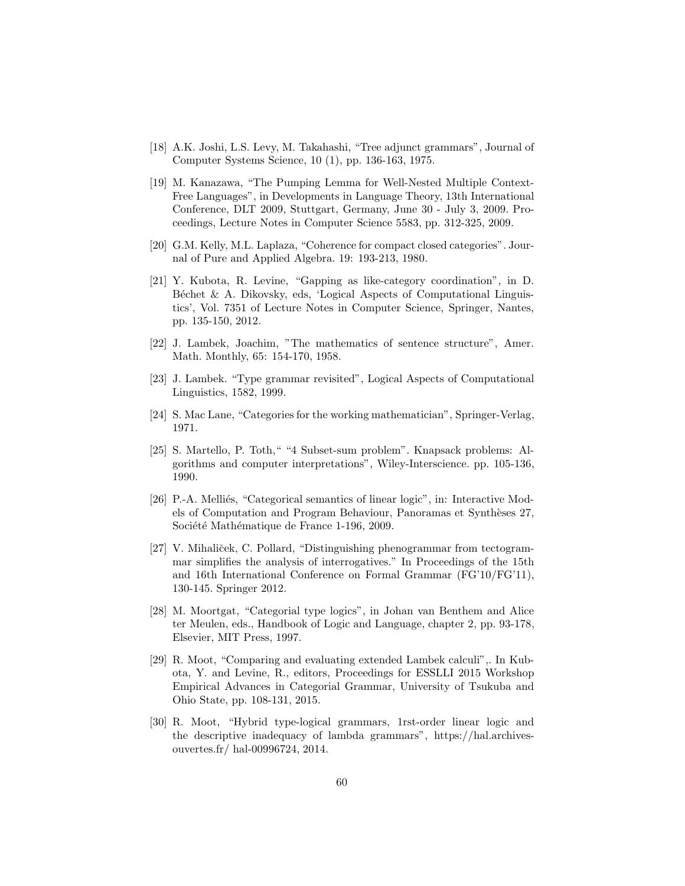- <span id="page-59-11"></span>[18] A.K. Joshi, L.S. Levy, M. Takahashi, "Tree adjunct grammars", Journal of Computer Systems Science, 10 (1), pp. 136-163, 1975.
- <span id="page-59-10"></span>[19] M. Kanazawa, "The Pumping Lemma for Well-Nested Multiple Context-Free Languages", in Developments in Language Theory, 13th International Conference, DLT 2009, Stuttgart, Germany, June 30 - July 3, 2009. Proceedings, Lecture Notes in Computer Science 5583, pp. 312-325, 2009.
- <span id="page-59-8"></span><span id="page-59-3"></span>[20] G.M. Kelly, M.L. Laplaza, "Coherence for compact closed categories". Journal of Pure and Applied Algebra. 19: 193-213, 1980.
- [21] Y. Kubota, R. Levine, "Gapping as like-category coordination", in D. Béchet & A. Dikovsky, eds, 'Logical Aspects of Computational Linguistics', Vol. 7351 of Lecture Notes in Computer Science, Springer, Nantes, pp. 135-150, 2012.
- <span id="page-59-0"></span>[22] J. Lambek, Joachim, "The mathematics of sentence structure", Amer. Math. Monthly, 65: 154-170, 1958.
- <span id="page-59-7"></span><span id="page-59-6"></span>[23] J. Lambek. "Type grammar revisited", Logical Aspects of Computational Linguistics, 1582, 1999.
- <span id="page-59-12"></span>[24] S. Mac Lane, "Categories for the working mathematician", Springer-Verlag, 1971.
- [25] S. Martello, P. Toth," "4 Subset-sum problem". Knapsack problems: Algorithms and computer interpretations", Wiley-Interscience. pp. 105-136, 1990.
- <span id="page-59-9"></span>[26] P.-A. Melliés, "Categorical semantics of linear logic", in: Interactive Models of Computation and Program Behaviour, Panoramas et Synthèses 27, Société Mathématique de France 1-196, 2009.
- <span id="page-59-2"></span>[27] V. Mihaliček, C. Pollard, "Distinguishing phenogrammar from tectogrammar simplifies the analysis of interrogatives." In Proceedings of the 15th and 16th International Conference on Formal Grammar (FG'10/FG'11), 130-145. Springer 2012.
- <span id="page-59-1"></span>[28] M. Moortgat, "Categorial type logics", in Johan van Benthem and Alice ter Meulen, eds., Handbook of Logic and Language, chapter 2, pp. 93-178, Elsevier, MIT Press, 1997.
- <span id="page-59-5"></span>[29] R. Moot, "Comparing and evaluating extended Lambek calculi",. In Kubota, Y. and Levine, R., editors, Proceedings for ESSLLI 2015 Workshop Empirical Advances in Categorial Grammar, University of Tsukuba and Ohio State, pp. 108-131, 2015.
- <span id="page-59-4"></span>[30] R. Moot, "Hybrid type-logical grammars, 1rst-order linear logic and the descriptive inadequacy of lambda grammars", https://hal.archivesouvertes.fr/ hal-00996724, 2014.